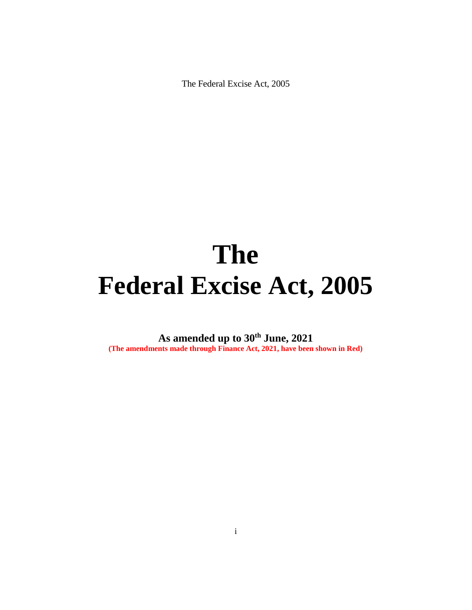# **The Federal Excise Act, 2005**

**As amended up to 30th June, 2021 (The amendments made through Finance Act, 2021, have been shown in Red)**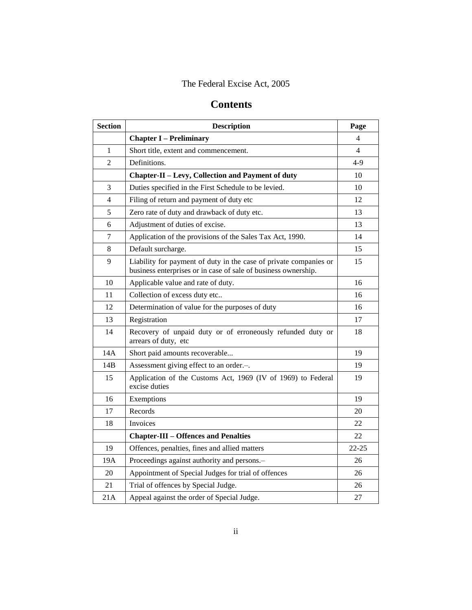## **Contents**

| <b>Section</b> | <b>Description</b>                                                                                                                  | Page      |
|----------------|-------------------------------------------------------------------------------------------------------------------------------------|-----------|
|                | <b>Chapter I – Preliminary</b>                                                                                                      | 4         |
| 1              | Short title, extent and commencement.                                                                                               | 4         |
| $\overline{2}$ | Definitions.                                                                                                                        | $4-9$     |
|                | <b>Chapter-II - Levy, Collection and Payment of duty</b>                                                                            | 10        |
| 3              | Duties specified in the First Schedule to be levied.                                                                                | 10        |
| 4              | Filing of return and payment of duty etc                                                                                            | 12        |
| 5              | Zero rate of duty and drawback of duty etc.                                                                                         | 13        |
| 6              | Adjustment of duties of excise.                                                                                                     | 13        |
| 7              | Application of the provisions of the Sales Tax Act, 1990.                                                                           | 14        |
| 8              | Default surcharge.                                                                                                                  | 15        |
| 9              | Liability for payment of duty in the case of private companies or<br>business enterprises or in case of sale of business ownership. | 15        |
| 10             | Applicable value and rate of duty.                                                                                                  | 16        |
| 11             | Collection of excess duty etc                                                                                                       | 16        |
| 12             | Determination of value for the purposes of duty                                                                                     | 16        |
| 13             | Registration                                                                                                                        | 17        |
| 14             | Recovery of unpaid duty or of erroneously refunded duty or<br>arrears of duty, etc                                                  | 18        |
| 14A            | Short paid amounts recoverable                                                                                                      | 19        |
| 14B            | Assessment giving effect to an order.-.                                                                                             | 19        |
| 15             | Application of the Customs Act, 1969 (IV of 1969) to Federal<br>excise duties                                                       | 19        |
| 16             | Exemptions                                                                                                                          | 19        |
| 17             | Records                                                                                                                             | 20        |
| 18             | Invoices                                                                                                                            | 22        |
|                | <b>Chapter-III - Offences and Penalties</b>                                                                                         | 22        |
| 19             | Offences, penalties, fines and allied matters                                                                                       | $22 - 25$ |
| 19A            | Proceedings against authority and persons.-                                                                                         | 26        |
| 20             | Appointment of Special Judges for trial of offences                                                                                 | 26        |
| 21             | Trial of offences by Special Judge.                                                                                                 | 26        |
| 21A            | Appeal against the order of Special Judge.                                                                                          | 27        |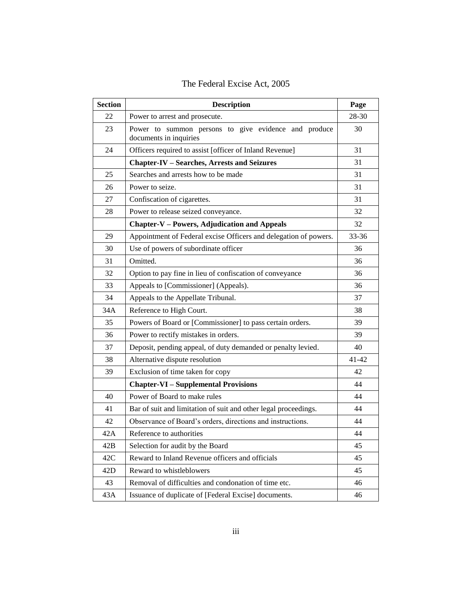| <b>Section</b> | <b>Description</b>                                                             | Page  |
|----------------|--------------------------------------------------------------------------------|-------|
| 22             | Power to arrest and prosecute.                                                 | 28-30 |
| 23             | Power to summon persons to give evidence and produce<br>documents in inquiries | 30    |
| 24             | Officers required to assist [officer of Inland Revenue]                        | 31    |
|                | <b>Chapter-IV - Searches, Arrests and Seizures</b>                             | 31    |
| 25             | Searches and arrests how to be made                                            | 31    |
| 26             | Power to seize.                                                                | 31    |
| 27             | Confiscation of cigarettes.                                                    | 31    |
| 28             | Power to release seized conveyance.                                            | 32    |
|                | <b>Chapter-V – Powers, Adjudication and Appeals</b>                            | 32    |
| 29             | Appointment of Federal excise Officers and delegation of powers.               | 33-36 |
| 30             | Use of powers of subordinate officer                                           | 36    |
| 31             | Omitted.                                                                       | 36    |
| 32             | Option to pay fine in lieu of confiscation of conveyance                       | 36    |
| 33             | Appeals to [Commissioner] (Appeals).                                           | 36    |
| 34             | Appeals to the Appellate Tribunal.                                             | 37    |
| 34A            | Reference to High Court.                                                       | 38    |
| 35             | Powers of Board or [Commissioner] to pass certain orders.                      | 39    |
| 36             | Power to rectify mistakes in orders.                                           | 39    |
| 37             | Deposit, pending appeal, of duty demanded or penalty levied.                   | 40    |
| 38             | Alternative dispute resolution                                                 | 41-42 |
| 39             | Exclusion of time taken for copy                                               | 42    |
|                | <b>Chapter-VI - Supplemental Provisions</b>                                    | 44    |
| 40             | Power of Board to make rules                                                   | 44    |
| 41             | Bar of suit and limitation of suit and other legal proceedings.                | 44    |
| 42             | Observance of Board's orders, directions and instructions.                     | 44    |
| 42A            | Reference to authorities                                                       | 44    |
| 42B            | Selection for audit by the Board                                               | 45    |
| 42C            | Reward to Inland Revenue officers and officials                                | 45    |
| 42D            | Reward to whistleblowers                                                       | 45    |
| 43             | Removal of difficulties and condonation of time etc.                           | 46    |
| 43A            | Issuance of duplicate of [Federal Excise] documents.                           | 46    |

| The Federal Excise Act, 2005 |  |  |  |
|------------------------------|--|--|--|
|------------------------------|--|--|--|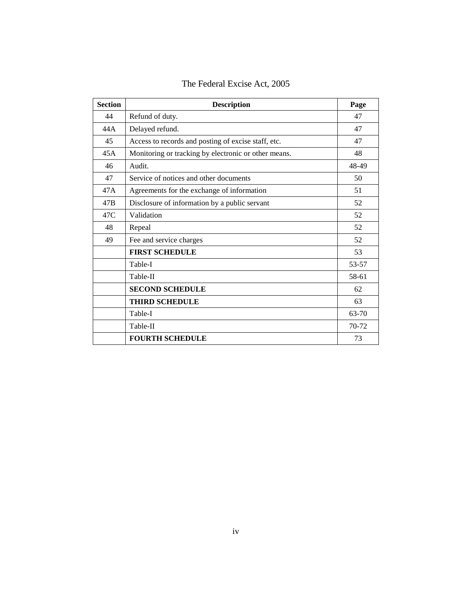| <b>Section</b> | <b>Description</b>                                   | Page  |
|----------------|------------------------------------------------------|-------|
| 44             | Refund of duty.                                      | 47    |
| 44 A           | Delayed refund.                                      | 47    |
| 45             | Access to records and posting of excise staff, etc.  | 47    |
| 45A            | Monitoring or tracking by electronic or other means. | 48    |
| 46             | Audit.                                               | 48-49 |
| 47             | Service of notices and other documents               | 50    |
| 47A            | Agreements for the exchange of information           | 51    |
| 47B            | Disclosure of information by a public servant        | 52    |
| 47C            | Validation                                           | 52    |
| 48             | Repeal                                               | 52    |
| 49             | Fee and service charges                              | 52    |
|                | <b>FIRST SCHEDULE</b>                                | 53    |
|                | Table-I                                              | 53-57 |
|                | Table-II                                             | 58-61 |
|                | <b>SECOND SCHEDULE</b>                               | 62    |
|                | <b>THIRD SCHEDULE</b>                                | 63    |
|                | Table-I                                              | 63-70 |
|                | Table-II                                             | 70-72 |
|                | <b>FOURTH SCHEDULE</b>                               | 73    |

The Federal Excise Act, 2005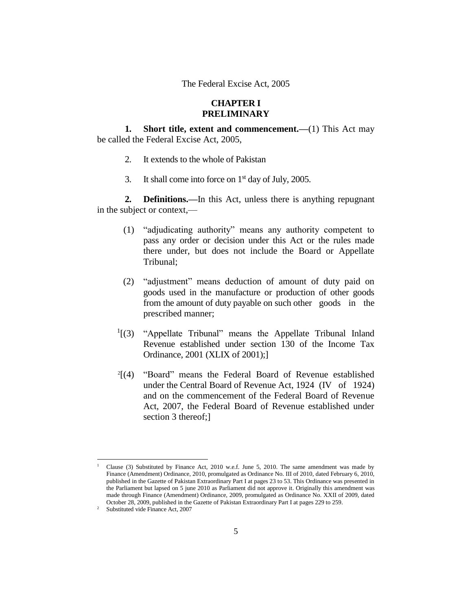## **CHAPTER I PRELIMINARY**

**1. Short title, extent and commencement.**—(1) This Act may be called the Federal Excise Act, 2005,

- 2. It extends to the whole of Pakistan
- 3. It shall come into force on  $1<sup>st</sup>$  day of July, 2005.

**2. Definitions.—**In this Act, unless there is anything repugnant in the subject or context,—

- (1) "adjudicating authority" means any authority competent to pass any order or decision under this Act or the rules made there under, but does not include the Board or Appellate Tribunal;
- (2) "adjustment" means deduction of amount of duty paid on goods used in the manufacture or production of other goods from the amount of duty payable on such other goods in the prescribed manner;
- $\frac{1}{3}$  "Appellate Tribunal" means the Appellate Tribunal Inland Revenue established under section 130 of the Income Tax Ordinance, 2001 (XLIX of 2001);]
- 2 [(4) "Board" means the Federal Board of Revenue established under the Central Board of Revenue Act, 1924 (IV of 1924) and on the commencement of the Federal Board of Revenue Act, 2007, the Federal Board of Revenue established under section 3 thereof;

<sup>1</sup> Clause (3) Substituted by Finance Act, 2010 w.e.f. June 5, 2010. The same amendment was made by Finance (Amendment) Ordinance, 2010, promulgated as Ordinance No. III of 2010, dated February 6, 2010, published in the Gazette of Pakistan Extraordinary Part I at pages 23 to 53. This Ordinance was presented in the Parliament but lapsed on 5 june 2010 as Parliament did not approve it. Originally this amendment was made through Finance (Amendment) Ordinance, 2009, promulgated as Ordinance No. XXII of 2009, dated October 28, 2009, published in the Gazette of Pakistan Extraordinary Part I at pages 229 to 259.

<sup>&</sup>lt;sup>2</sup> Substituted vide Finance Act, 2007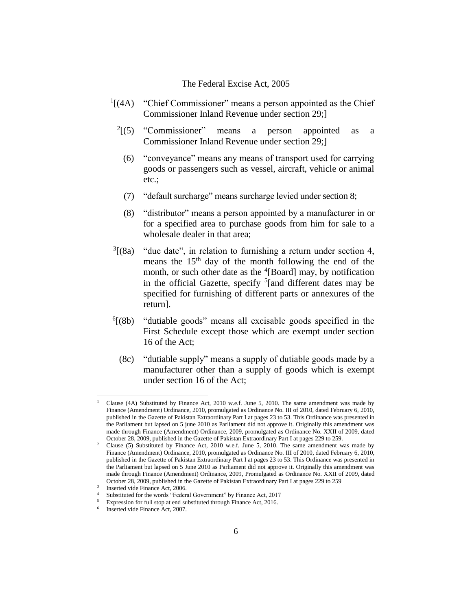- $<sup>1</sup>$ [(4A) "Chief Commissioner" means a person appointed as the Chief</sup> Commissioner Inland Revenue under section 29;]
	- $2(5)$  "Commissioner" means a person appointed as a Commissioner Inland Revenue under section 29;]
		- (6) "conveyance" means any means of transport used for carrying goods or passengers such as vessel, aircraft, vehicle or animal etc.;
		- (7) "default surcharge" means surcharge levied under section 8;
		- (8) "distributor" means a person appointed by a manufacturer in or for a specified area to purchase goods from him for sale to a wholesale dealer in that area;
- $\sqrt[3]{(8a)}$ "due date", in relation to furnishing a return under section 4, means the  $15<sup>th</sup>$  day of the month following the end of the month, or such other date as the <sup>4</sup>[Board] may, by notification in the official Gazette, specify  $5$ [and different dates may be specified for furnishing of different parts or annexures of the return].
- $^{6}$ [(8b) "dutiable goods" means all excisable goods specified in the First Schedule except those which are exempt under section 16 of the Act;
	- (8c) "dutiable supply" means a supply of dutiable goods made by a manufacturer other than a supply of goods which is exempt under section 16 of the Act;

<sup>1</sup> Clause (4A) Substituted by Finance Act, 2010 w.e.f. June 5, 2010. The same amendment was made by Finance (Amendment) Ordinance, 2010, promulgated as Ordinance No. III of 2010, dated February 6, 2010, published in the Gazette of Pakistan Extraordinary Part I at pages 23 to 53. This Ordinance was presented in the Parliament but lapsed on 5 june 2010 as Parliament did not approve it. Originally this amendment was made through Finance (Amendment) Ordinance, 2009, promulgated as Ordinance No. XXII of 2009, dated October 28, 2009, published in the Gazette of Pakistan Extraordinary Part I at pages 229 to 259.

<sup>&</sup>lt;sup>2</sup> Clause (5) Substituted by Finance Act, 2010 w.e.f. June 5, 2010. The same amendment was made by Finance (Amendment) Ordinance, 2010, promulgated as Ordinance No. III of 2010, dated February 6, 2010, published in the Gazette of Pakistan Extraordinary Part I at pages 23 to 53. This Ordinance was presented in the Parliament but lapsed on 5 June 2010 as Parliament did not approve it. Originally this amendment was made through Finance (Amendment) Ordinance, 2009, Promulgated as Ordinance No. XXII of 2009, dated October 28, 2009, published in the Gazette of Pakistan Extraordinary Part I at pages 229 to 259

<sup>3</sup> Inserted vide Finance Act, 2006.

Substituted for the words "Federal Government" by Finance Act, 2017

<sup>5</sup> Expression for full stop at end substituted through Finance Act, 2016.

<sup>6</sup> Inserted vide Finance Act, 2007.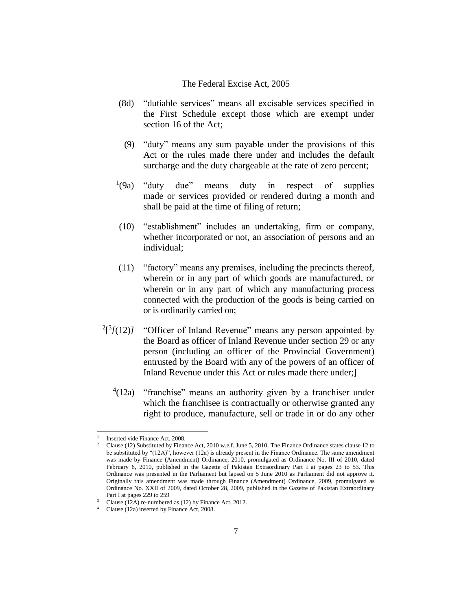- (8d) "dutiable services" means all excisable services specified in the First Schedule except those which are exempt under section 16 of the Act;
	- (9) "duty" means any sum payable under the provisions of this Act or the rules made there under and includes the default surcharge and the duty chargeable at the rate of zero percent;
- $(9a)$ "duty due" means duty in respect of supplies made or services provided or rendered during a month and shall be paid at the time of filing of return;
- (10) "establishment" includes an undertaking, firm or company, whether incorporated or not, an association of persons and an individual;
- (11) "factory" means any premises, including the precincts thereof, wherein or in any part of which goods are manufactured, or wherein or in any part of which any manufacturing process connected with the production of the goods is being carried on or is ordinarily carried on;
- $2^{2}$ [3 $/(12)$ *]* "Officer of Inland Revenue" means any person appointed by the Board as officer of Inland Revenue under section 29 or any person (including an officer of the Provincial Government) entrusted by the Board with any of the powers of an officer of Inland Revenue under this Act or rules made there under;]
	- $4(12a)$  "franchise" means an authority given by a franchiser under which the franchisee is contractually or otherwise granted any right to produce, manufacture, sell or trade in or do any other

<sup>1</sup> Inserted vide Finance Act, 2008.

<sup>&</sup>lt;sup>2</sup> Clause (12) Substituted by Finance Act, 2010 w.e.f. June 5, 2010. The Finance Ordinance states clause 12 to be substituted by "(12A)", however (12a) is already present in the Finance Ordinance. The same amendment was made by Finance (Amendment) Ordinance, 2010, promulgated as Ordinance No. III of 2010, dated February 6, 2010, published in the Gazette of Pakistan Extraordinary Part I at pages 23 to 53. This Ordinance was presented in the Parliament but lapsed on 5 June 2010 as Parliament did not approve it. Originally this amendment was made through Finance (Amendment) Ordinance, 2009, promulgated as Ordinance No. XXII of 2009, dated October 28, 2009, published in the Gazette of Pakistan Extraordinary Part I at pages 229 to 259

<sup>&</sup>lt;sup>3</sup> Clause (12A) re-numbered as (12) by Finance Act, 2012.

<sup>4</sup> Clause (12a) inserted by Finance Act, 2008.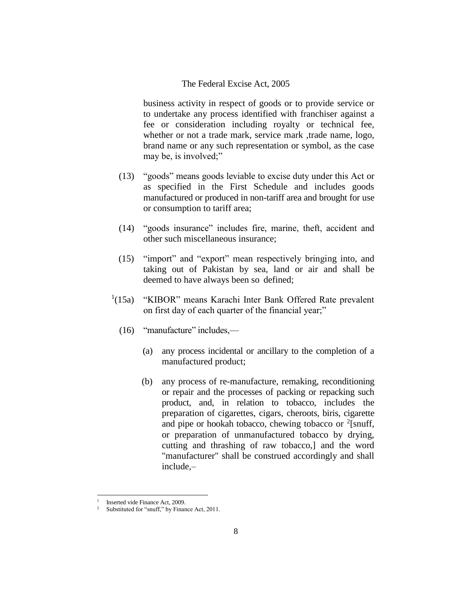business activity in respect of goods or to provide service or to undertake any process identified with franchiser against a fee or consideration including royalty or technical fee, whether or not a trade mark, service mark ,trade name, logo, brand name or any such representation or symbol, as the case may be, is involved;"

- (13) "goods" means goods leviable to excise duty under this Act or as specified in the First Schedule and includes goods manufactured or produced in non-tariff area and brought for use or consumption to tariff area;
- (14) "goods insurance" includes fire, marine, theft, accident and other such miscellaneous insurance;
- (15) "import" and "export" mean respectively bringing into, and taking out of Pakistan by sea, land or air and shall be deemed to have always been so defined;
- $^{1}(15a)$ "KIBOR" means Karachi Inter Bank Offered Rate prevalent on first day of each quarter of the financial year;"
	- (16) "manufacture" includes,—
		- (a) any process incidental or ancillary to the completion of a manufactured product;
		- (b) any process of re-manufacture, remaking, reconditioning or repair and the processes of packing or repacking such product, and, in relation to tobacco, includes the preparation of cigarettes, cigars, cheroots, biris, cigarette and pipe or hookah tobacco, chewing tobacco or  $2$ [snuff, or preparation of unmanufactured tobacco by drying, cutting and thrashing of raw tobacco,] and the word "manufacturer" shall be construed accordingly and shall include,–

<sup>1</sup> Inserted vide Finance Act, 2009.

Substituted for "snuff," by Finance Act, 2011.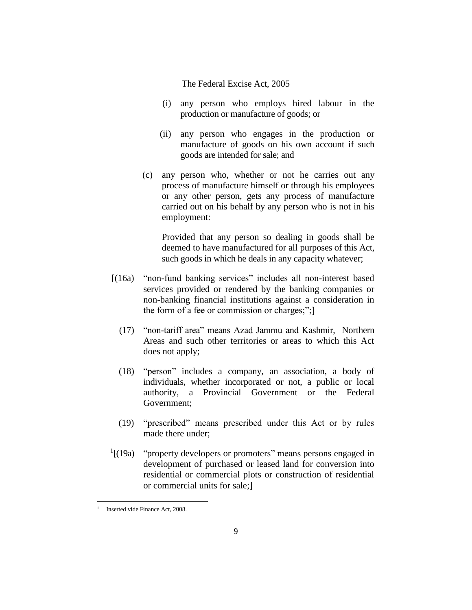- (i) any person who employs hired labour in the production or manufacture of goods; or
- (ii) any person who engages in the production or manufacture of goods on his own account if such goods are intended for sale; and
- (c) any person who, whether or not he carries out any process of manufacture himself or through his employees or any other person, gets any process of manufacture carried out on his behalf by any person who is not in his employment:

Provided that any person so dealing in goods shall be deemed to have manufactured for all purposes of this Act, such goods in which he deals in any capacity whatever;

- [(16a) "non-fund banking services" includes all non-interest based services provided or rendered by the banking companies or non-banking financial institutions against a consideration in the form of a fee or commission or charges;";]
	- (17) "non-tariff area" means Azad Jammu and Kashmir, Northern Areas and such other territories or areas to which this Act does not apply;
	- (18) "person" includes a company, an association, a body of individuals, whether incorporated or not, a public or local authority, a Provincial Government or the Federal Government;
	- (19) "prescribed" means prescribed under this Act or by rules made there under;
- $\frac{1}{1}$ [(19a) "property developers or promoters" means persons engaged in development of purchased or leased land for conversion into residential or commercial plots or construction of residential or commercial units for sale;]

<sup>1</sup> Inserted vide Finance Act, 2008.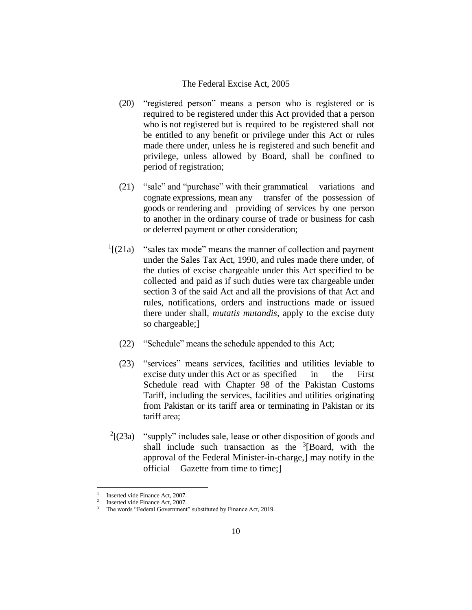- (20) "registered person" means a person who is registered or is required to be registered under this Act provided that a person who is not registered but is required to be registered shall not be entitled to any benefit or privilege under this Act or rules made there under, unless he is registered and such benefit and privilege, unless allowed by Board, shall be confined to period of registration;
- (21) "sale" and "purchase" with their grammatical variations and cognate expressions, mean any transfer of the possession of goods or rendering and providing of services by one person to another in the ordinary course of trade or business for cash or deferred payment or other consideration;
- $\frac{1}{2}$ [(21a) "sales tax mode" means the manner of collection and payment under the Sales Tax Act, 1990, and rules made there under, of the duties of excise chargeable under this Act specified to be collected and paid as if such duties were tax chargeable under section 3 of the said Act and all the provisions of that Act and rules, notifications, orders and instructions made or issued there under shall, *mutatis mutandis*, apply to the excise duty so chargeable;]
	- (22) "Schedule" means the schedule appended to this Act;
	- (23) "services" means services, facilities and utilities leviable to excise duty under this Act or as specified in the First Schedule read with Chapter 98 of the Pakistan Customs Tariff, including the services, facilities and utilities originating from Pakistan or its tariff area or terminating in Pakistan or its tariff area;
- $2[(23a)]$ "supply" includes sale, lease or other disposition of goods and shall include such transaction as the  $3$ [Board, with the approval of the Federal Minister-in-charge,] may notify in the official Gazette from time to time;]

<sup>1</sup> Inserted vide Finance Act, 2007.  $\overline{2}$ 

Inserted vide Finance Act, 2007.

The words "Federal Government" substituted by Finance Act, 2019.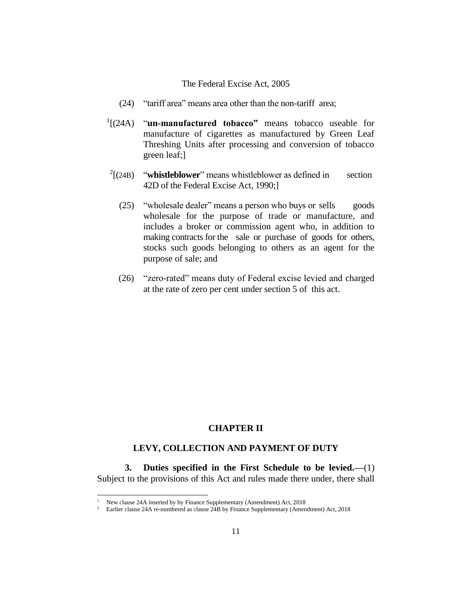- (24) "tariff area" means area other than the non-tariff area;
- <sup>1</sup>[(24A) "**un-manufactured tobacco**" means tobacco useable for manufacture of cigarettes as manufactured by Green Leaf Threshing Units after processing and conversion of tobacco green leaf;]
- $^{2}$ [(24B) "whistleblower" means whistleblower as defined in section 42D of the Federal Excise Act, 1990;]
	- (25) "wholesale dealer" means a person who buys or sells goods wholesale for the purpose of trade or manufacture, and includes a broker or commission agent who, in addition to making contracts for the sale or purchase of goods for others, stocks such goods belonging to others as an agent for the purpose of sale; and
	- (26) "zero-rated" means duty of Federal excise levied and charged at the rate of zero per cent under section 5 of this act.

## **CHAPTER II**

## **LEVY, COLLECTION AND PAYMENT OF DUTY**

**3. Duties specified in the First Schedule to be levied.—**(1) Subject to the provisions of this Act and rules made there under, there shall

<sup>1</sup> New clause 24A inserted by by Finance Supplementary (Amendment) Act, 2018

<sup>2</sup> Earlier clause 24A re-numbered as clause 24B by Finance Supplementary (Amendment) Act, 2018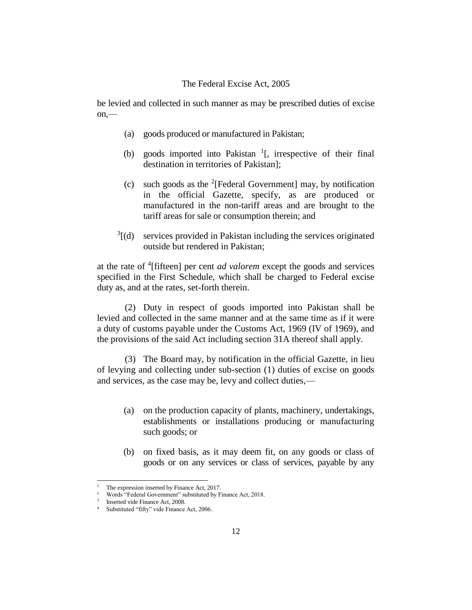be levied and collected in such manner as may be prescribed duties of excise  $on$ —

- (a) goods produced or manufactured in Pakistan;
- (b) goods imported into Pakistan  $1$ [, irrespective of their final destination in territories of Pakistan];
- (c) such goods as the <sup>2</sup>[Federal Government] may, by notification in the official Gazette, specify, as are produced or manufactured in the non-tariff areas and are brought to the tariff areas for sale or consumption therein; and
- $3[(d)$  services provided in Pakistan including the services originated outside but rendered in Pakistan;

at the rate of <sup>4</sup> [fifteen] per cent *ad valorem* except the goods and services specified in the First Schedule, which shall be charged to Federal excise duty as, and at the rates, set-forth therein.

(2) Duty in respect of goods imported into Pakistan shall be levied and collected in the same manner and at the same time as if it were a duty of customs payable under the Customs Act, 1969 (IV of 1969), and the provisions of the said Act including section 31A thereof shall apply.

(3) The Board may, by notification in the official Gazette, in lieu of levying and collecting under sub-section (1) duties of excise on goods and services, as the case may be, levy and collect duties,—

- (a) on the production capacity of plants, machinery, undertakings, establishments or installations producing or manufacturing such goods; or
- (b) on fixed basis, as it may deem fit, on any goods or class of goods or on any services or class of services, payable by any

The expression inserted by Finance Act, 2017.

<sup>&</sup>lt;sup>2</sup> Words "Federal Government" substituted by Finance Act, 2018.

<sup>&</sup>lt;sup>3</sup> Inserted vide Finance Act, 2008.

<sup>4</sup> Substituted "fifty" vide Finance Act, 2006.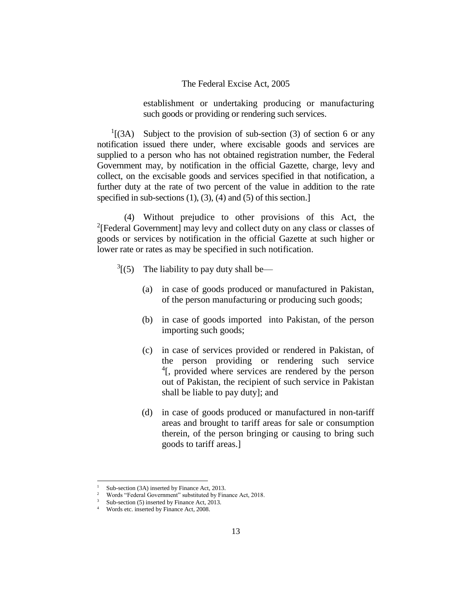establishment or undertaking producing or manufacturing such goods or providing or rendering such services.

 $<sup>1</sup>$ [(3A) Subject to the provision of sub-section (3) of section 6 or any</sup> notification issued there under, where excisable goods and services are supplied to a person who has not obtained registration number, the Federal Government may, by notification in the official Gazette, charge, levy and collect, on the excisable goods and services specified in that notification, a further duty at the rate of two percent of the value in addition to the rate specified in sub-sections (1), (3), (4) and (5) of this section.

(4) Without prejudice to other provisions of this Act, the <sup>2</sup>[Federal Government] may levy and collect duty on any class or classes of goods or services by notification in the official Gazette at such higher or lower rate or rates as may be specified in such notification.

- $3(5)$  The liability to pay duty shall be—
	- (a) in case of goods produced or manufactured in Pakistan, of the person manufacturing or producing such goods;
	- (b) in case of goods imported into Pakistan, of the person importing such goods;
	- (c) in case of services provided or rendered in Pakistan, of the person providing or rendering such service <sup>4</sup>[, provided where services are rendered by the person out of Pakistan, the recipient of such service in Pakistan shall be liable to pay duty]; and
	- (d) in case of goods produced or manufactured in non-tariff areas and brought to tariff areas for sale or consumption therein, of the person bringing or causing to bring such goods to tariff areas.]

Sub-section (3A) inserted by Finance Act, 2013.

<sup>&</sup>lt;sup>2</sup> Words "Federal Government" substituted by Finance Act, 2018.

Sub-section (5) inserted by Finance Act, 2013.

<sup>4</sup> Words etc. inserted by Finance Act, 2008.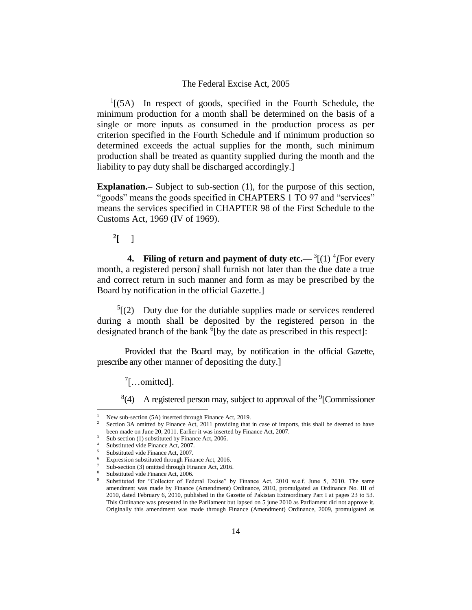$<sup>1</sup>$ [(5A) In respect of goods, specified in the Fourth Schedule, the</sup> minimum production for a month shall be determined on the basis of a single or more inputs as consumed in the production process as per criterion specified in the Fourth Schedule and if minimum production so determined exceeds the actual supplies for the month, such minimum production shall be treated as quantity supplied during the month and the liability to pay duty shall be discharged accordingly.]

**Explanation.**– Subject to sub-section (1), for the purpose of this section, "goods" means the goods specified in CHAPTERS 1 TO 97 and "services" means the services specified in CHAPTER 98 of the First Schedule to the Customs Act, 1969 (IV of 1969).

**2 [** ]

**4.** Filing of return and payment of duty etc.— $\frac{3}{11}$   $\frac{4}{11}$   $\frac{4}{11}$   $\frac{4}{11}$   $\frac{4}{11}$ month, a registered person*]* shall furnish not later than the due date a true and correct return in such manner and form as may be prescribed by the Board by notification in the official Gazette.]

 $5(2)$  Duty due for the dutiable supplies made or services rendered during a month shall be deposited by the registered person in the designated branch of the bank <sup>6</sup>[by the date as prescribed in this respect]:

Provided that the Board may, by notification in the official Gazette, prescribe any other manner of depositing the duty.]

 $7$ [...omitted].

 $8(4)$  A registered person may, subject to approval of the <sup>9</sup>[Commissioner

New sub-section (5A) inserted through Finance Act, 2019.

Section 3A omitted by Finance Act, 2011 providing that in case of imports, this shall be deemed to have been made on June 20, 2011. Earlier it was inserted by Finance Act, 2007.

<sup>&</sup>lt;sup>3</sup> Sub section (1) substituted by Finance Act, 2006.

Substituted vide Finance Act, 2007.

<sup>5</sup> Substituted vide Finance Act, 2007.

Expression substituted through Finance Act, 2016.

Sub-section (3) omitted through Finance Act, 2016.

Substituted vide Finance Act, 2006.

Substituted for "Collector of Federal Excise" by Finance Act, 2010 w.e.f. June 5, 2010. The same amendment was made by Finance (Amendment) Ordinance, 2010, promulgated as Ordinance No. III of 2010, dated February 6, 2010, published in the Gazette of Pakistan Extraordinary Part I at pages 23 to 53. This Ordinance was presented in the Parliament but lapsed on 5 june 2010 as Parliament did not approve it. Originally this amendment was made through Finance (Amendment) Ordinance, 2009, promulgated as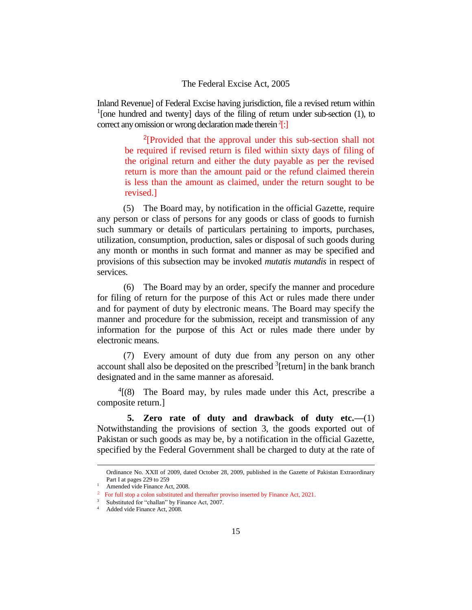Inland Revenue] of Federal Excise having jurisdiction, file a revised return within <sup>1</sup>[one hundred and twenty] days of the filing of return under sub-section  $(1)$ , to correct any omission or wrong declaration made therein <sup>2</sup>[:]

<sup>2</sup>[Provided that the approval under this sub-section shall not be required if revised return is filed within sixty days of filing of the original return and either the duty payable as per the revised return is more than the amount paid or the refund claimed therein is less than the amount as claimed, under the return sought to be revised.]

(5) The Board may, by notification in the official Gazette, require any person or class of persons for any goods or class of goods to furnish such summary or details of particulars pertaining to imports, purchases, utilization, consumption, production, sales or disposal of such goods during any month or months in such format and manner as may be specified and provisions of this subsection may be invoked *mutatis mutandis* in respect of services.

(6) The Board may by an order, specify the manner and procedure for filing of return for the purpose of this Act or rules made there under and for payment of duty by electronic means. The Board may specify the manner and procedure for the submission, receipt and transmission of any information for the purpose of this Act or rules made there under by electronic means.

(7) Every amount of duty due from any person on any other account shall also be deposited on the prescribed  $\frac{3}{2}$  [return] in the bank branch designated and in the same manner as aforesaid.

 $4(8)$  The Board may, by rules made under this Act, prescribe a composite return.]

**5. Zero rate of duty and drawback of duty etc.—**(1) Notwithstanding the provisions of section 3, the goods exported out of Pakistan or such goods as may be, by a notification in the official Gazette, specified by the Federal Government shall be charged to duty at the rate of

Ordinance No. XXII of 2009, dated October 28, 2009, published in the Gazette of Pakistan Extraordinary Part I at pages 229 to 259

<sup>&</sup>lt;sup>1</sup> Amended vide Finance Act, 2008.

<sup>&</sup>lt;sup>2</sup> For full stop a colon substituted and thereafter proviso inserted by Finance Act, 2021.

<sup>&</sup>lt;sup>3</sup> Substituted for "challan" by Finance Act, 2007.

Added vide Finance Act, 2008.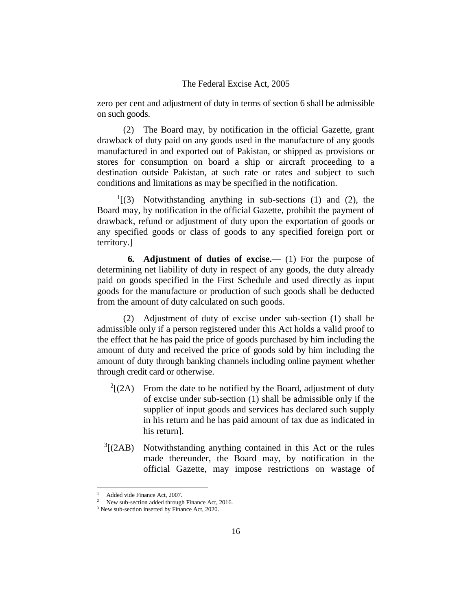zero per cent and adjustment of duty in terms of section 6 shall be admissible on such goods.

(2) The Board may, by notification in the official Gazette, grant drawback of duty paid on any goods used in the manufacture of any goods manufactured in and exported out of Pakistan, or shipped as provisions or stores for consumption on board a ship or aircraft proceeding to a destination outside Pakistan, at such rate or rates and subject to such conditions and limitations as may be specified in the notification.

 $<sup>1</sup>$ [(3) Notwithstanding anything in sub-sections (1) and (2), the</sup> Board may, by notification in the official Gazette, prohibit the payment of drawback, refund or adjustment of duty upon the exportation of goods or any specified goods or class of goods to any specified foreign port or territory.]

**6. Adjustment of duties of excise.**— (1) For the purpose of determining net liability of duty in respect of any goods, the duty already paid on goods specified in the First Schedule and used directly as input goods for the manufacture or production of such goods shall be deducted from the amount of duty calculated on such goods.

(2) Adjustment of duty of excise under sub-section (1) shall be admissible only if a person registered under this Act holds a valid proof to the effect that he has paid the price of goods purchased by him including the amount of duty and received the price of goods sold by him including the amount of duty through banking channels including online payment whether through credit card or otherwise.

- $^{2}[(2A)]$ From the date to be notified by the Board, adjustment of duty of excise under sub-section (1) shall be admissible only if the supplier of input goods and services has declared such supply in his return and he has paid amount of tax due as indicated in his return].
- $^{3}$ [(2AB) Notwithstanding anything contained in this Act or the rules made thereunder, the Board may, by notification in the official Gazette, may impose restrictions on wastage of

Added vide Finance Act, 2007.

New sub-section added through Finance Act, 2016.

<sup>&</sup>lt;sup>3</sup> New sub-section inserted by Finance Act, 2020.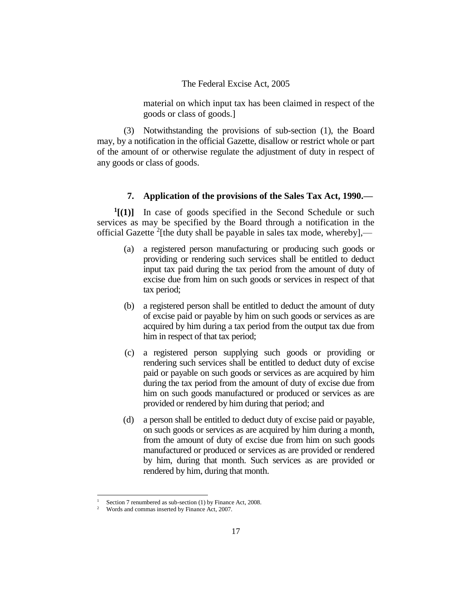material on which input tax has been claimed in respect of the goods or class of goods.]

(3) Notwithstanding the provisions of sub-section (1), the Board may, by a notification in the official Gazette, disallow or restrict whole or part of the amount of or otherwise regulate the adjustment of duty in respect of any goods or class of goods.

### **7. Application of the provisions of the Sales Tax Act, 1990.—**

**1 [(1)]** In case of goods specified in the Second Schedule or such services as may be specified by the Board through a notification in the official Gazette  $2$ [the duty shall be payable in sales tax mode, whereby],—

- (a) a registered person manufacturing or producing such goods or providing or rendering such services shall be entitled to deduct input tax paid during the tax period from the amount of duty of excise due from him on such goods or services in respect of that tax period;
- (b) a registered person shall be entitled to deduct the amount of duty of excise paid or payable by him on such goods or services as are acquired by him during a tax period from the output tax due from him in respect of that tax period;
- (c) a registered person supplying such goods or providing or rendering such services shall be entitled to deduct duty of excise paid or payable on such goods or services as are acquired by him during the tax period from the amount of duty of excise due from him on such goods manufactured or produced or services as are provided or rendered by him during that period; and
- (d) a person shall be entitled to deduct duty of excise paid or payable, on such goods or services as are acquired by him during a month, from the amount of duty of excise due from him on such goods manufactured or produced or services as are provided or rendered by him, during that month. Such services as are provided or rendered by him, during that month.

Section 7 renumbered as sub-section (1) by Finance Act, 2008.

<sup>2</sup> Words and commas inserted by Finance Act, 2007.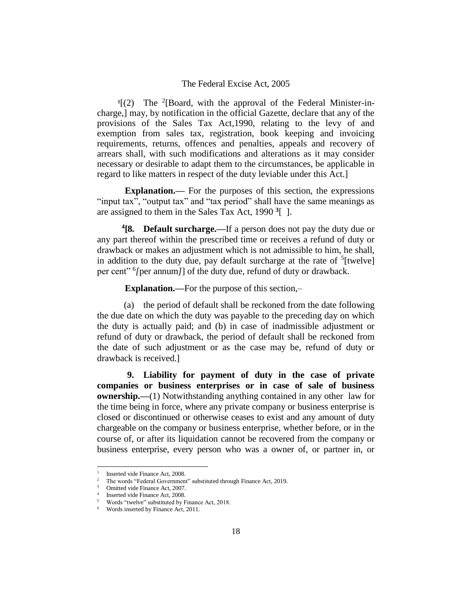<sup>1</sup>[(2) The <sup>2</sup>[Board, with the approval of the Federal Minister-incharge,] may, by notification in the official Gazette, declare that any of the provisions of the Sales Tax Act,1990, relating to the levy of and exemption from sales tax, registration, book keeping and invoicing requirements, returns, offences and penalties, appeals and recovery of arrears shall, with such modifications and alterations as it may consider necessary or desirable to adapt them to the circumstances, be applicable in regard to like matters in respect of the duty leviable under this Act.]

**Explanation.—** For the purposes of this section, the expressions "input tax", "output tax" and "tax period" shall have the same meanings as are assigned to them in the Sales Tax Act, 1990 **<sup>3</sup>** [ ].

**4 [8. Default surcharge.—**If a person does not pay the duty due or any part thereof within the prescribed time or receives a refund of duty or drawback or makes an adjustment which is not admissible to him, he shall, in addition to the duty due, pay default surcharge at the rate of <sup>5</sup>[twelve] per cent" <sup>6</sup> *[*per annum*]*] of the duty due, refund of duty or drawback.

**Explanation.—**For the purpose of this section,–

(a) the period of default shall be reckoned from the date following the due date on which the duty was payable to the preceding day on which the duty is actually paid; and (b) in case of inadmissible adjustment or refund of duty or drawback, the period of default shall be reckoned from the date of such adjustment or as the case may be, refund of duty or drawback is received.]

**9. Liability for payment of duty in the case of private companies or business enterprises or in case of sale of business ownership.—**(1) Notwithstanding anything contained in any other law for the time being in force, where any private company or business enterprise is closed or discontinued or otherwise ceases to exist and any amount of duty chargeable on the company or business enterprise, whether before, or in the course of, or after its liquidation cannot be recovered from the company or business enterprise, every person who was a owner of, or partner in, or

<sup>1</sup> Inserted vide Finance Act, 2008.

<sup>2</sup> The words "Federal Government" substituted through Finance Act, 2019.

Omitted vide Finance Act, 2007.

<sup>4</sup> Inserted vide Finance Act, 2008.

<sup>5</sup> Words "twelve" substituted by Finance Act, 2018.

Words inserted by Finance Act, 2011.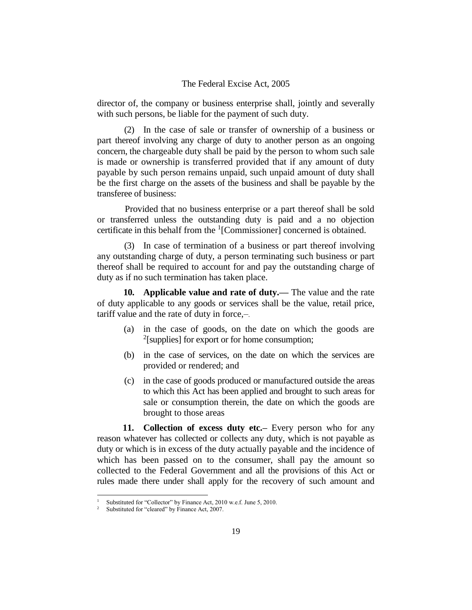director of, the company or business enterprise shall, jointly and severally with such persons, be liable for the payment of such duty.

(2) In the case of sale or transfer of ownership of a business or part thereof involving any charge of duty to another person as an ongoing concern, the chargeable duty shall be paid by the person to whom such sale is made or ownership is transferred provided that if any amount of duty payable by such person remains unpaid, such unpaid amount of duty shall be the first charge on the assets of the business and shall be payable by the transferee of business:

Provided that no business enterprise or a part thereof shall be sold or transferred unless the outstanding duty is paid and a no objection certificate in this behalf from the <sup>1</sup> [Commissioner] concerned is obtained.

(3) In case of termination of a business or part thereof involving any outstanding charge of duty, a person terminating such business or part thereof shall be required to account for and pay the outstanding charge of duty as if no such termination has taken place.

**10. Applicable value and rate of duty.—** The value and the rate of duty applicable to any goods or services shall be the value, retail price, tariff value and the rate of duty in force,–.

- (a) in the case of goods, on the date on which the goods are  $2$ [supplies] for export or for home consumption;
- (b) in the case of services, on the date on which the services are provided or rendered; and
- (c) in the case of goods produced or manufactured outside the areas to which this Act has been applied and brought to such areas for sale or consumption therein, the date on which the goods are brought to those areas

**11. Collection of excess duty etc.–** Every person who for any reason whatever has collected or collects any duty, which is not payable as duty or which is in excess of the duty actually payable and the incidence of which has been passed on to the consumer, shall pay the amount so collected to the Federal Government and all the provisions of this Act or rules made there under shall apply for the recovery of such amount and

Substituted for "Collector" by Finance Act, 2010 w.e.f. June 5, 2010.

Substituted for "cleared" by Finance Act, 2007.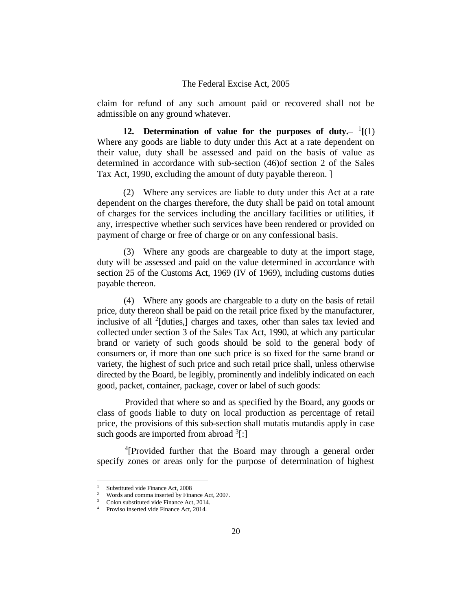claim for refund of any such amount paid or recovered shall not be admissible on any ground whatever.

12. Determination of value for the purposes of duty.- $(1)(1)$ Where any goods are liable to duty under this Act at a rate dependent on their value, duty shall be assessed and paid on the basis of value as determined in accordance with sub-section (46)of section 2 of the Sales Tax Act, 1990, excluding the amount of duty payable thereon. ]

(2) Where any services are liable to duty under this Act at a rate dependent on the charges therefore, the duty shall be paid on total amount of charges for the services including the ancillary facilities or utilities, if any, irrespective whether such services have been rendered or provided on payment of charge or free of charge or on any confessional basis.

(3) Where any goods are chargeable to duty at the import stage, duty will be assessed and paid on the value determined in accordance with section 25 of the Customs Act, 1969 (IV of 1969), including customs duties payable thereon.

(4) Where any goods are chargeable to a duty on the basis of retail price, duty thereon shall be paid on the retail price fixed by the manufacturer, inclusive of all  $2$ [duties,] charges and taxes, other than sales tax levied and collected under section 3 of the Sales Tax Act, 1990, at which any particular brand or variety of such goods should be sold to the general body of consumers or, if more than one such price is so fixed for the same brand or variety, the highest of such price and such retail price shall, unless otherwise directed by the Board, be legibly, prominently and indelibly indicated on each good, packet, container, package, cover or label of such goods:

Provided that where so and as specified by the Board, any goods or class of goods liable to duty on local production as percentage of retail price, the provisions of this sub-section shall mutatis mutandis apply in case such goods are imported from abroad <sup>3</sup>[:]

<sup>4</sup>[Provided further that the Board may through a general order specify zones or areas only for the purpose of determination of highest

<sup>&</sup>lt;sup>1</sup> Substituted vide Finance Act, 2008<sup>2</sup> Words and comma inserted by Fina

<sup>2</sup> Words and comma inserted by Finance Act, 2007.

<sup>3</sup> Colon substituted vide Finance Act, 2014.

Proviso inserted vide Finance Act, 2014.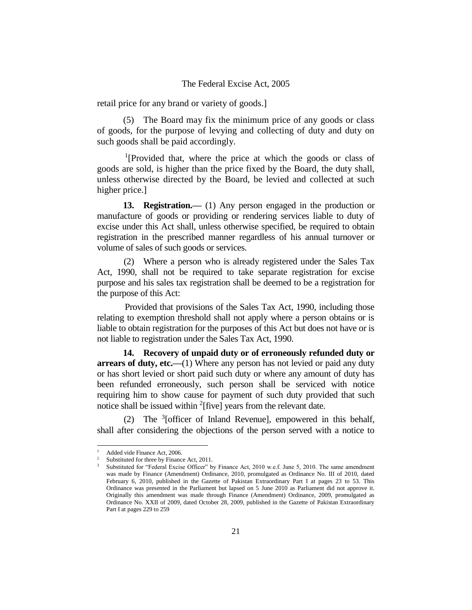retail price for any brand or variety of goods.]

(5) The Board may fix the minimum price of any goods or class of goods, for the purpose of levying and collecting of duty and duty on such goods shall be paid accordingly.

<sup>1</sup>[Provided that, where the price at which the goods or class of goods are sold, is higher than the price fixed by the Board, the duty shall, unless otherwise directed by the Board, be levied and collected at such higher price.]

**13. Registration.—** (1) Any person engaged in the production or manufacture of goods or providing or rendering services liable to duty of excise under this Act shall, unless otherwise specified, be required to obtain registration in the prescribed manner regardless of his annual turnover or volume of sales of such goods or services.

(2) Where a person who is already registered under the Sales Tax Act, 1990, shall not be required to take separate registration for excise purpose and his sales tax registration shall be deemed to be a registration for the purpose of this Act:

Provided that provisions of the Sales Tax Act, 1990, including those relating to exemption threshold shall not apply where a person obtains or is liable to obtain registration for the purposes of this Act but does not have or is not liable to registration under the Sales Tax Act, 1990.

**14. Recovery of unpaid duty or of erroneously refunded duty or arrears of duty, etc.—(1)** Where any person has not levied or paid any duty or has short levied or short paid such duty or where any amount of duty has been refunded erroneously, such person shall be serviced with notice requiring him to show cause for payment of such duty provided that such notice shall be issued within <sup>2</sup>[five] years from the relevant date.

(2) The <sup>3</sup>[officer of Inland Revenue], empowered in this behalf, shall after considering the objections of the person served with a notice to

 $\frac{1}{2}$  Added vide Finance Act, 2006.

Substituted for three by Finance Act, 2011.

<sup>3</sup> Substituted for "Federal Excise Officer" by Finance Act, 2010 w.e.f. June 5, 2010. The same amendment was made by Finance (Amendment) Ordinance, 2010, promulgated as Ordinance No. III of 2010, dated February 6, 2010, published in the Gazette of Pakistan Extraordinary Part I at pages 23 to 53. This Ordinance was presented in the Parliament but lapsed on 5 June 2010 as Parliament did not approve it. Originally this amendment was made through Finance (Amendment) Ordinance, 2009, promulgated as Ordinance No. XXII of 2009, dated October 28, 2009, published in the Gazette of Pakistan Extraordinary Part I at pages 229 to 259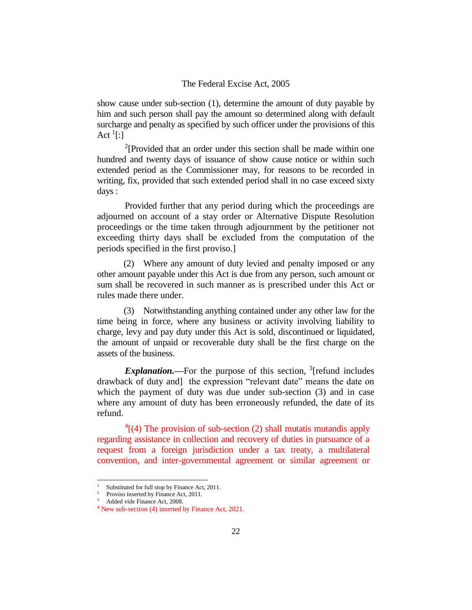show cause under sub-section (1), determine the amount of duty payable by him and such person shall pay the amount so determined along with default surcharge and penalty as specified by such officer under the provisions of this Act  $\frac{1}{2}$ :

<sup>2</sup>[Provided that an order under this section shall be made within one hundred and twenty days of issuance of show cause notice or within such extended period as the Commissioner may, for reasons to be recorded in writing, fix, provided that such extended period shall in no case exceed sixty days :

Provided further that any period during which the proceedings are adjourned on account of a stay order or Alternative Dispute Resolution proceedings or the time taken through adjournment by the petitioner not exceeding thirty days shall be excluded from the computation of the periods specified in the first proviso.]

(2) Where any amount of duty levied and penalty imposed or any other amount payable under this Act is due from any person, such amount or sum shall be recovered in such manner as is prescribed under this Act or rules made there under.

(3) Notwithstanding anything contained under any other law for the time being in force, where any business or activity involving liability to charge, levy and pay duty under this Act is sold, discontinued or liquidated, the amount of unpaid or recoverable duty shall be the first charge on the assets of the business.

*Explanation*.—For the purpose of this section, <sup>3</sup>[refund includes drawback of duty and] the expression "relevant date" means the date on which the payment of duty was due under sub-section (3) and in case where any amount of duty has been erroneously refunded, the date of its refund.

 $4(4)$  The provision of sub-section (2) shall mutatis mutandis apply regarding assistance in collection and recovery of duties in pursuance of a request from a foreign jurisdiction under a tax treaty, a multilateral convention, and inter-governmental agreement or similar agreement or

Substituted for full stop by Finance Act, 2011.

<sup>&</sup>lt;sup>2</sup> Proviso inserted by Finance Act, 2011.

<sup>3</sup> Added vide Finance Act, 2008.

<sup>4</sup> New sub-section (4) inserted by Finance Act, 2021.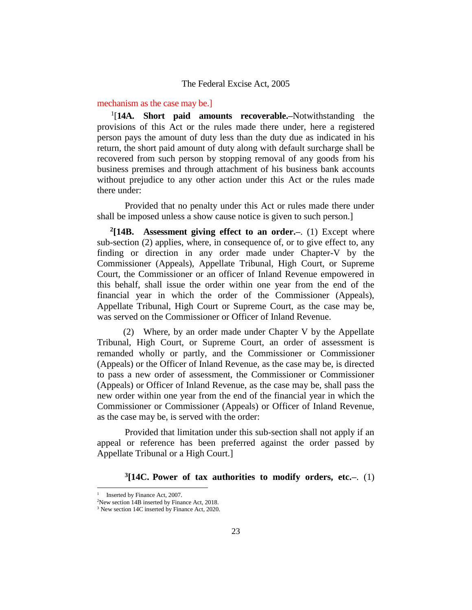#### mechanism as the case may be.]

1 [**14A. Short paid amounts recoverable.–**Notwithstanding the provisions of this Act or the rules made there under, here a registered person pays the amount of duty less than the duty due as indicated in his return, the short paid amount of duty along with default surcharge shall be recovered from such person by stopping removal of any goods from his business premises and through attachment of his business bank accounts without prejudice to any other action under this Act or the rules made there under:

Provided that no penalty under this Act or rules made there under shall be imposed unless a show cause notice is given to such person.]

**2 [14B. Assessment giving effect to an order.–**. (1) Except where sub-section (2) applies, where, in consequence of, or to give effect to, any finding or direction in any order made under Chapter-V by the Commissioner (Appeals), Appellate Tribunal, High Court, or Supreme Court, the Commissioner or an officer of Inland Revenue empowered in this behalf, shall issue the order within one year from the end of the financial year in which the order of the Commissioner (Appeals), Appellate Tribunal, High Court or Supreme Court, as the case may be, was served on the Commissioner or Officer of Inland Revenue.

(2) Where, by an order made under Chapter V by the Appellate Tribunal, High Court, or Supreme Court, an order of assessment is remanded wholly or partly, and the Commissioner or Commissioner (Appeals) or the Officer of Inland Revenue, as the case may be, is directed to pass a new order of assessment, the Commissioner or Commissioner (Appeals) or Officer of Inland Revenue, as the case may be, shall pass the new order within one year from the end of the financial year in which the Commissioner or Commissioner (Appeals) or Officer of Inland Revenue, as the case may be, is served with the order:

Provided that limitation under this sub-section shall not apply if an appeal or reference has been preferred against the order passed by Appellate Tribunal or a High Court.]

**3 [14C. Power of tax authorities to modify orders, etc.–**. (1)

<sup>1</sup> Inserted by Finance Act, 2007.

<sup>&</sup>lt;sup>2</sup>New section 14B inserted by Finance Act, 2018.

<sup>&</sup>lt;sup>3</sup> New section 14C inserted by Finance Act, 2020.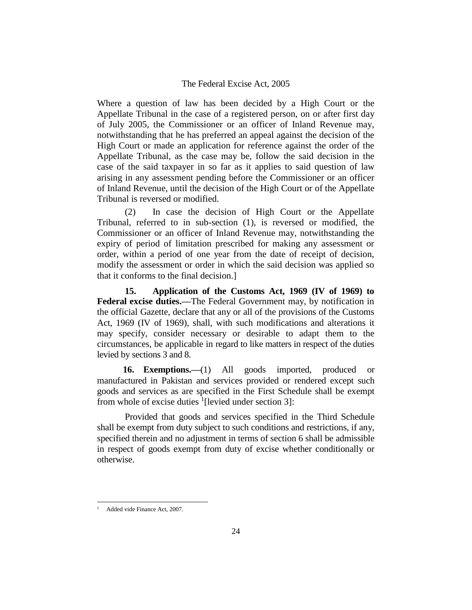Where a question of law has been decided by a High Court or the Appellate Tribunal in the case of a registered person, on or after first day of July 2005, the Commissioner or an officer of Inland Revenue may, notwithstanding that he has preferred an appeal against the decision of the High Court or made an application for reference against the order of the Appellate Tribunal, as the case may be, follow the said decision in the case of the said taxpayer in so far as it applies to said question of law arising in any assessment pending before the Commissioner or an officer of Inland Revenue, until the decision of the High Court or of the Appellate Tribunal is reversed or modified.

(2) In case the decision of High Court or the Appellate Tribunal, referred to in sub-section (1), is reversed or modified, the Commissioner or an officer of Inland Revenue may, notwithstanding the expiry of period of limitation prescribed for making any assessment or order, within a period of one year from the date of receipt of decision, modify the assessment or order in which the said decision was applied so that it conforms to the final decision.]

**15. Application of the Customs Act, 1969 (IV of 1969) to Federal excise duties.—**The Federal Government may, by notification in the official Gazette, declare that any or all of the provisions of the Customs Act, 1969 (IV of 1969), shall, with such modifications and alterations it may specify, consider necessary or desirable to adapt them to the circumstances, be applicable in regard to like matters in respect of the duties levied by sections 3 and 8.

**16. Exemptions.—**(1) All goods imported, produced or manufactured in Pakistan and services provided or rendered except such goods and services as are specified in the First Schedule shall be exempt from whole of excise duties  $\frac{1}{2}$ [levied under section 3]:

Provided that goods and services specified in the Third Schedule shall be exempt from duty subject to such conditions and restrictions, if any, specified therein and no adjustment in terms of section 6 shall be admissible in respect of goods exempt from duty of excise whether conditionally or otherwise.

Added vide Finance Act, 2007.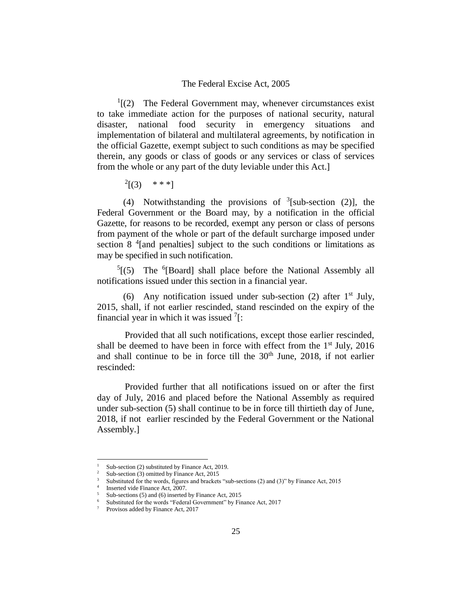$<sup>1</sup>$ [(2) The Federal Government may, whenever circumstances exist</sup> to take immediate action for the purposes of national security, natural disaster, national food security in emergency situations and implementation of bilateral and multilateral agreements, by notification in the official Gazette, exempt subject to such conditions as may be specified therein, any goods or class of goods or any services or class of services from the whole or any part of the duty leviable under this Act.]

 $^{2}[(3)$  \*\*\*]

(4) Notwithstanding the provisions of  $3$ [sub-section (2)], the Federal Government or the Board may, by a notification in the official Gazette, for reasons to be recorded, exempt any person or class of persons from payment of the whole or part of the default surcharge imposed under section 8<sup>4</sup>[and penalties] subject to the such conditions or limitations as may be specified in such notification.

 $5(5)$  The <sup>6</sup>[Board] shall place before the National Assembly all notifications issued under this section in a financial year.

(6) Any notification issued under sub-section (2) after  $1<sup>st</sup>$  July, 2015, shall, if not earlier rescinded, stand rescinded on the expiry of the financial year in which it was issued  $7$ :

Provided that all such notifications, except those earlier rescinded, shall be deemed to have been in force with effect from the  $1<sup>st</sup>$  July, 2016 and shall continue to be in force till the  $30<sup>th</sup>$  June, 2018, if not earlier rescinded:

Provided further that all notifications issued on or after the first day of July, 2016 and placed before the National Assembly as required under sub-section (5) shall continue to be in force till thirtieth day of June, 2018, if not earlier rescinded by the Federal Government or the National Assembly.]

Sub-section (2) substituted by Finance Act, 2019.

Sub-section (3) omitted by Finance Act, 2015

<sup>3</sup> Substituted for the words, figures and brackets "sub-sections (2) and (3)" by Finance Act, 2015

<sup>4</sup> Inserted vide Finance Act, 2007.

<sup>5</sup> Sub-sections (5) and (6) inserted by Finance Act, 2015

Substituted for the words "Federal Government" by Finance Act, 2017

<sup>7</sup> Provisos added by Finance Act, 2017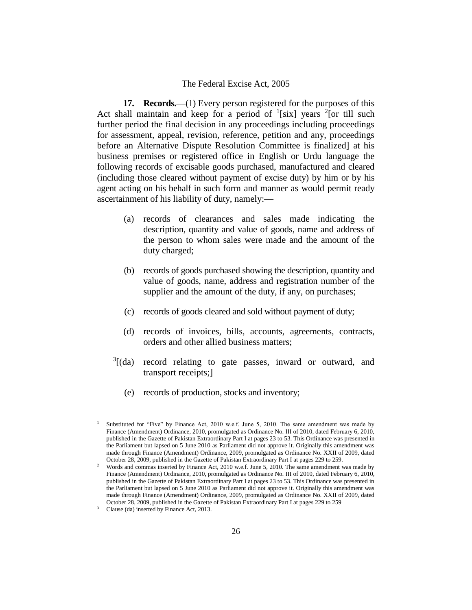**17. Records.—**(1) Every person registered for the purposes of this Act shall maintain and keep for a period of  $\frac{1}{s}$ [six] years  $\frac{2}{s}$ [or till such further period the final decision in any proceedings including proceedings for assessment, appeal, revision, reference, petition and any, proceedings before an Alternative Dispute Resolution Committee is finalized] at his business premises or registered office in English or Urdu language the following records of excisable goods purchased, manufactured and cleared (including those cleared without payment of excise duty) by him or by his agent acting on his behalf in such form and manner as would permit ready ascertainment of his liability of duty, namely:—

- (a) records of clearances and sales made indicating the description, quantity and value of goods, name and address of the person to whom sales were made and the amount of the duty charged;
- (b) records of goods purchased showing the description, quantity and value of goods, name, address and registration number of the supplier and the amount of the duty, if any, on purchases;
- (c) records of goods cleared and sold without payment of duty;
- (d) records of invoices, bills, accounts, agreements, contracts, orders and other allied business matters;
- $3$ [(da) record relating to gate passes, inward or outward, and transport receipts;]
	- (e) records of production, stocks and inventory;

<sup>1</sup> Substituted for "Five" by Finance Act, 2010 w.e.f. June 5, 2010. The same amendment was made by Finance (Amendment) Ordinance, 2010, promulgated as Ordinance No. III of 2010, dated February 6, 2010, published in the Gazette of Pakistan Extraordinary Part I at pages 23 to 53. This Ordinance was presented in the Parliament but lapsed on 5 June 2010 as Parliament did not approve it. Originally this amendment was made through Finance (Amendment) Ordinance, 2009, promulgated as Ordinance No. XXII of 2009, dated October 28, 2009, published in the Gazette of Pakistan Extraordinary Part I at pages 229 to 259.

<sup>2</sup> Words and commas inserted by Finance Act, 2010 w.e.f. June 5, 2010. The same amendment was made by Finance (Amendment) Ordinance, 2010, promulgated as Ordinance No. III of 2010, dated February 6, 2010, published in the Gazette of Pakistan Extraordinary Part I at pages 23 to 53. This Ordinance was presented in the Parliament but lapsed on 5 June 2010 as Parliament did not approve it. Originally this amendment was made through Finance (Amendment) Ordinance, 2009, promulgated as Ordinance No. XXII of 2009, dated October 28, 2009, published in the Gazette of Pakistan Extraordinary Part I at pages 229 to 259

<sup>3</sup> Clause (da) inserted by Finance Act, 2013.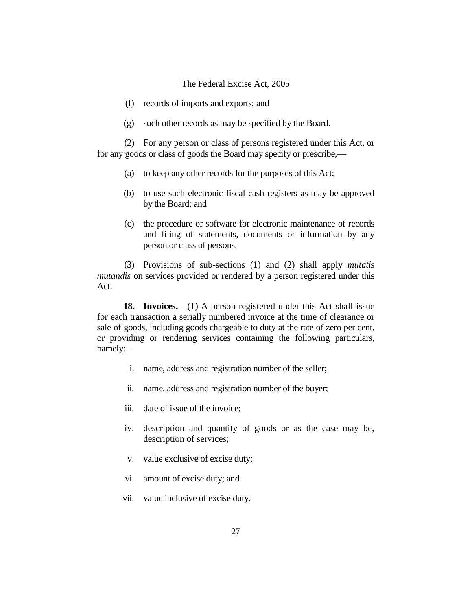- (f) records of imports and exports; and
- (g) such other records as may be specified by the Board.

(2) For any person or class of persons registered under this Act, or for any goods or class of goods the Board may specify or prescribe,—

- (a) to keep any other records for the purposes of this Act;
- (b) to use such electronic fiscal cash registers as may be approved by the Board; and
- (c) the procedure or software for electronic maintenance of records and filing of statements, documents or information by any person or class of persons.

(3) Provisions of sub-sections (1) and (2) shall apply *mutatis mutandis* on services provided or rendered by a person registered under this Act.

**18. Invoices.**—(1) A person registered under this Act shall issue for each transaction a serially numbered invoice at the time of clearance or sale of goods, including goods chargeable to duty at the rate of zero per cent, or providing or rendering services containing the following particulars, namely:–

- i. name, address and registration number of the seller;
- ii. name, address and registration number of the buyer;
- iii. date of issue of the invoice;
- iv. description and quantity of goods or as the case may be, description of services;
- v. value exclusive of excise duty;
- vi. amount of excise duty; and
- vii. value inclusive of excise duty.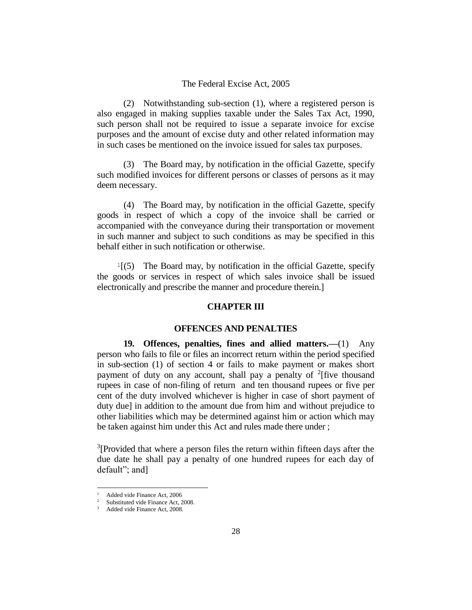(2) Notwithstanding sub-section (1), where a registered person is also engaged in making supplies taxable under the Sales Tax Act, 1990, such person shall not be required to issue a separate invoice for excise purposes and the amount of excise duty and other related information may in such cases be mentioned on the invoice issued for sales tax purposes.

(3) The Board may, by notification in the official Gazette, specify such modified invoices for different persons or classes of persons as it may deem necessary.

(4) The Board may, by notification in the official Gazette, specify goods in respect of which a copy of the invoice shall be carried or accompanied with the conveyance during their transportation or movement in such manner and subject to such conditions as may be specified in this behalf either in such notification or otherwise.

 $1(5)$  The Board may, by notification in the official Gazette, specify the goods or services in respect of which sales invoice shall be issued electronically and prescribe the manner and procedure therein.]

#### **CHAPTER III**

#### **OFFENCES AND PENALTIES**

**19. Offences, penalties, fines and allied matters.—**(1) Any person who fails to file or files an incorrect return within the period specified in sub-section (1) of section 4 or fails to make payment or makes short payment of duty on any account, shall pay a penalty of  $2$ [five thousand rupees in case of non-filing of return and ten thousand rupees or five per cent of the duty involved whichever is higher in case of short payment of duty due] in addition to the amount due from him and without prejudice to other liabilities which may be determined against him or action which may be taken against him under this Act and rules made there under ;

 $3$ [Provided that where a person files the return within fifteen days after the due date he shall pay a penalty of one hundred rupees for each day of default"; and]

Added vide Finance Act, 2006

Substituted vide Finance Act, 2008.

Added vide Finance Act, 2008.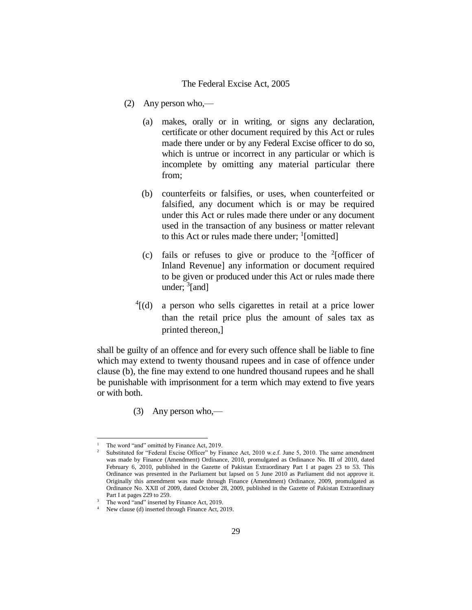- (2) Any person who,—
	- (a) makes, orally or in writing, or signs any declaration, certificate or other document required by this Act or rules made there under or by any Federal Excise officer to do so, which is untrue or incorrect in any particular or which is incomplete by omitting any material particular there from;
	- (b) counterfeits or falsifies, or uses, when counterfeited or falsified, any document which is or may be required under this Act or rules made there under or any document used in the transaction of any business or matter relevant to this Act or rules made there under; <sup>1</sup>[omitted]
	- (c) fails or refuses to give or produce to the  $2$ [officer of Inland Revenue] any information or document required to be given or produced under this Act or rules made there under; <sup>3</sup>[and]
	- $^{4}$ [(d) a person who sells cigarettes in retail at a price lower than the retail price plus the amount of sales tax as printed thereon,]

shall be guilty of an offence and for every such offence shall be liable to fine which may extend to twenty thousand rupees and in case of offence under clause (b), the fine may extend to one hundred thousand rupees and he shall be punishable with imprisonment for a term which may extend to five years or with both.

(3) Any person who,—

The word "and" omitted by Finance Act, 2019.

<sup>2</sup> Substituted for "Federal Excise Officer" by Finance Act, 2010 w.e.f. June 5, 2010. The same amendment was made by Finance (Amendment) Ordinance, 2010, promulgated as Ordinance No. III of 2010, dated February 6, 2010, published in the Gazette of Pakistan Extraordinary Part I at pages 23 to 53. This Ordinance was presented in the Parliament but lapsed on 5 June 2010 as Parliament did not approve it. Originally this amendment was made through Finance (Amendment) Ordinance, 2009, promulgated as Ordinance No. XXII of 2009, dated October 28, 2009, published in the Gazette of Pakistan Extraordinary Part I at pages 229 to 259.

<sup>&</sup>lt;sup>3</sup> The word "and" inserted by Finance Act, 2019.

<sup>4</sup> New clause (d) inserted through Finance Act, 2019.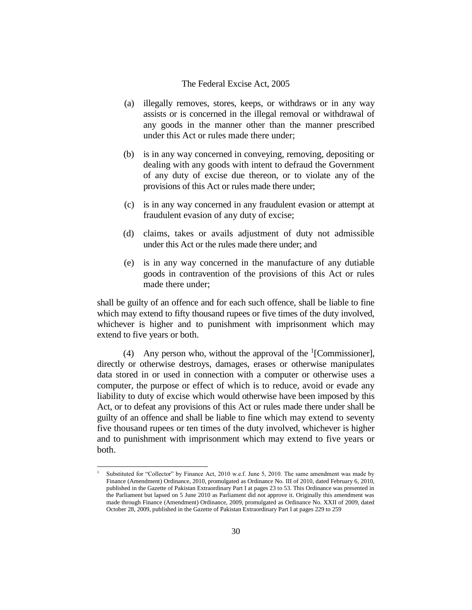- (a) illegally removes, stores, keeps, or withdraws or in any way assists or is concerned in the illegal removal or withdrawal of any goods in the manner other than the manner prescribed under this Act or rules made there under;
- (b) is in any way concerned in conveying, removing, depositing or dealing with any goods with intent to defraud the Government of any duty of excise due thereon, or to violate any of the provisions of this Act or rules made there under;
- (c) is in any way concerned in any fraudulent evasion or attempt at fraudulent evasion of any duty of excise;
- (d) claims, takes or avails adjustment of duty not admissible under this Act or the rules made there under; and
- (e) is in any way concerned in the manufacture of any dutiable goods in contravention of the provisions of this Act or rules made there under;

shall be guilty of an offence and for each such offence, shall be liable to fine which may extend to fifty thousand rupees or five times of the duty involved, whichever is higher and to punishment with imprisonment which may extend to five years or both.

(4) Any person who, without the approval of the  ${}^{1}$ [Commissioner], directly or otherwise destroys, damages, erases or otherwise manipulates data stored in or used in connection with a computer or otherwise uses a computer, the purpose or effect of which is to reduce, avoid or evade any liability to duty of excise which would otherwise have been imposed by this Act, or to defeat any provisions of this Act or rules made there under shall be guilty of an offence and shall be liable to fine which may extend to seventy five thousand rupees or ten times of the duty involved, whichever is higher and to punishment with imprisonment which may extend to five years or both.

Substituted for "Collector" by Finance Act, 2010 w.e.f. June 5, 2010. The same amendment was made by Finance (Amendment) Ordinance, 2010, promulgated as Ordinance No. III of 2010, dated February 6, 2010, published in the Gazette of Pakistan Extraordinary Part I at pages 23 to 53. This Ordinance was presented in the Parliament but lapsed on 5 June 2010 as Parliament did not approve it. Originally this amendment was made through Finance (Amendment) Ordinance, 2009, promulgated as Ordinance No. XXII of 2009, dated October 28, 2009, published in the Gazette of Pakistan Extraordinary Part I at pages 229 to 259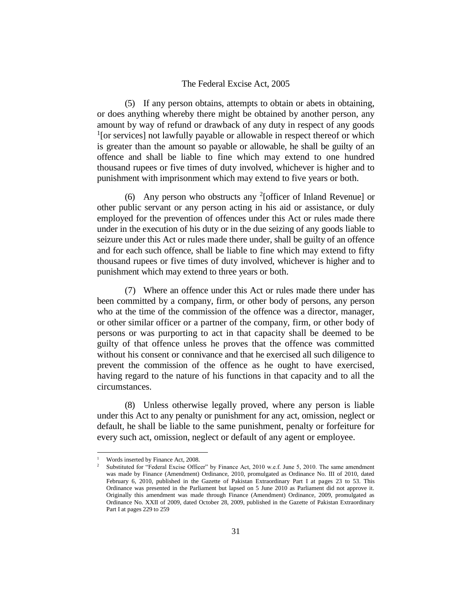(5) If any person obtains, attempts to obtain or abets in obtaining, or does anything whereby there might be obtained by another person, any amount by way of refund or drawback of any duty in respect of any goods <sup>1</sup>[or services] not lawfully payable or allowable in respect thereof or which is greater than the amount so payable or allowable, he shall be guilty of an offence and shall be liable to fine which may extend to one hundred thousand rupees or five times of duty involved, whichever is higher and to punishment with imprisonment which may extend to five years or both.

(6) Any person who obstructs any <sup>2</sup>[officer of Inland Revenue] or other public servant or any person acting in his aid or assistance, or duly employed for the prevention of offences under this Act or rules made there under in the execution of his duty or in the due seizing of any goods liable to seizure under this Act or rules made there under, shall be guilty of an offence and for each such offence, shall be liable to fine which may extend to fifty thousand rupees or five times of duty involved, whichever is higher and to punishment which may extend to three years or both.

(7) Where an offence under this Act or rules made there under has been committed by a company, firm, or other body of persons, any person who at the time of the commission of the offence was a director, manager, or other similar officer or a partner of the company, firm, or other body of persons or was purporting to act in that capacity shall be deemed to be guilty of that offence unless he proves that the offence was committed without his consent or connivance and that he exercised all such diligence to prevent the commission of the offence as he ought to have exercised, having regard to the nature of his functions in that capacity and to all the circumstances.

(8) Unless otherwise legally proved, where any person is liable under this Act to any penalty or punishment for any act, omission, neglect or default, he shall be liable to the same punishment, penalty or forfeiture for every such act, omission, neglect or default of any agent or employee.

Words inserted by Finance Act, 2008.

<sup>2</sup> Substituted for "Federal Excise Officer" by Finance Act, 2010 w.e.f. June 5, 2010. The same amendment was made by Finance (Amendment) Ordinance, 2010, promulgated as Ordinance No. III of 2010, dated February 6, 2010, published in the Gazette of Pakistan Extraordinary Part I at pages 23 to 53. This Ordinance was presented in the Parliament but lapsed on 5 June 2010 as Parliament did not approve it. Originally this amendment was made through Finance (Amendment) Ordinance, 2009, promulgated as Ordinance No. XXII of 2009, dated October 28, 2009, published in the Gazette of Pakistan Extraordinary Part I at pages 229 to 259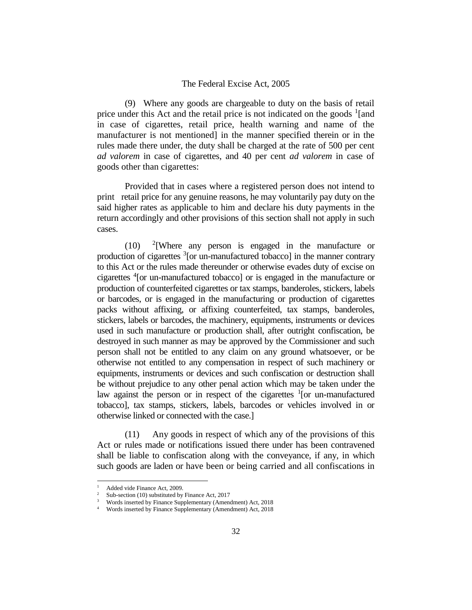(9) Where any goods are chargeable to duty on the basis of retail price under this Act and the retail price is not indicated on the goods  $\frac{1}{2}$  [and in case of cigarettes, retail price, health warning and name of the manufacturer is not mentioned] in the manner specified therein or in the rules made there under, the duty shall be charged at the rate of 500 per cent *ad valorem* in case of cigarettes, and 40 per cent *ad valorem* in case of goods other than cigarettes:

Provided that in cases where a registered person does not intend to print retail price for any genuine reasons, he may voluntarily pay duty on the said higher rates as applicable to him and declare his duty payments in the return accordingly and other provisions of this section shall not apply in such cases.

 $(10)$  $2$ [Where any person is engaged in the manufacture or production of cigarettes <sup>3</sup>[or un-manufactured tobacco] in the manner contrary to this Act or the rules made thereunder or otherwise evades duty of excise on cigarettes <sup>4</sup> [or un-manufactured tobacco] or is engaged in the manufacture or production of counterfeited cigarettes or tax stamps, banderoles, stickers, labels or barcodes, or is engaged in the manufacturing or production of cigarettes packs without affixing, or affixing counterfeited, tax stamps, banderoles, stickers, labels or barcodes, the machinery, equipments, instruments or devices used in such manufacture or production shall, after outright confiscation, be destroyed in such manner as may be approved by the Commissioner and such person shall not be entitled to any claim on any ground whatsoever, or be otherwise not entitled to any compensation in respect of such machinery or equipments, instruments or devices and such confiscation or destruction shall be without prejudice to any other penal action which may be taken under the law against the person or in respect of the cigarettes  $1$ [or un-manufactured tobacco], tax stamps, stickers, labels, barcodes or vehicles involved in or otherwise linked or connected with the case.]

(11) Any goods in respect of which any of the provisions of this Act or rules made or notifications issued there under has been contravened shall be liable to confiscation along with the conveyance, if any, in which such goods are laden or have been or being carried and all confiscations in

Added vide Finance Act, 2009.

Sub-section (10) substituted by Finance Act, 2017

<sup>3</sup> Words inserted by Finance Supplementary (Amendment) Act, 2018

Words inserted by Finance Supplementary (Amendment) Act, 2018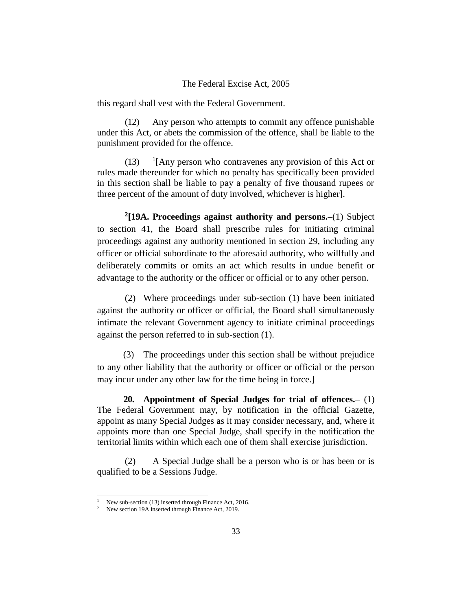this regard shall vest with the Federal Government.

(12) Any person who attempts to commit any offence punishable under this Act, or abets the commission of the offence, shall be liable to the punishment provided for the offence.

 $(13)$  $\frac{1}{2}$ [Any person who contravenes any provision of this Act or rules made thereunder for which no penalty has specifically been provided in this section shall be liable to pay a penalty of five thousand rupees or three percent of the amount of duty involved, whichever is higher].

**2 [19A. Proceedings against authority and persons.–**(1) Subject to section 41, the Board shall prescribe rules for initiating criminal proceedings against any authority mentioned in section 29, including any officer or official subordinate to the aforesaid authority, who willfully and deliberately commits or omits an act which results in undue benefit or advantage to the authority or the officer or official or to any other person.

(2) Where proceedings under sub-section (1) have been initiated against the authority or officer or official, the Board shall simultaneously intimate the relevant Government agency to initiate criminal proceedings against the person referred to in sub-section (1).

(3) The proceedings under this section shall be without prejudice to any other liability that the authority or officer or official or the person may incur under any other law for the time being in force.]

**20. Appointment of Special Judges for trial of offences.–** (1) The Federal Government may, by notification in the official Gazette, appoint as many Special Judges as it may consider necessary, and, where it appoints more than one Special Judge, shall specify in the notification the territorial limits within which each one of them shall exercise jurisdiction.

(2) A Special Judge shall be a person who is or has been or is qualified to be a Sessions Judge.

New sub-section (13) inserted through Finance Act, 2016.

New section 19A inserted through Finance Act, 2019.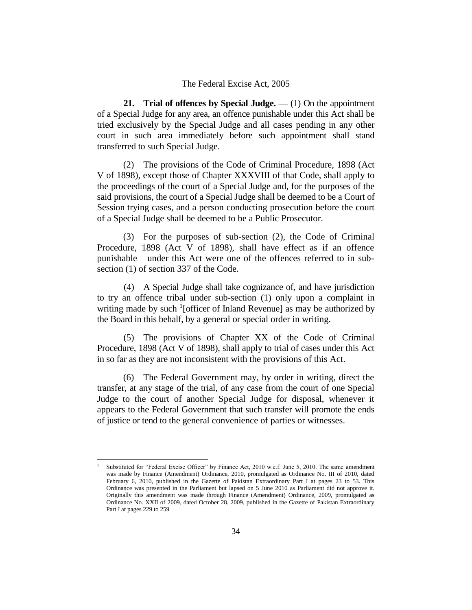**21. Trial of offences by Special Judge. —** (1) On the appointment of a Special Judge for any area, an offence punishable under this Act shall be tried exclusively by the Special Judge and all cases pending in any other court in such area immediately before such appointment shall stand transferred to such Special Judge.

(2) The provisions of the Code of Criminal Procedure, 1898 (Act V of 1898), except those of Chapter XXXVIII of that Code, shall apply to the proceedings of the court of a Special Judge and, for the purposes of the said provisions, the court of a Special Judge shall be deemed to be a Court of Session trying cases, and a person conducting prosecution before the court of a Special Judge shall be deemed to be a Public Prosecutor.

(3) For the purposes of sub-section (2), the Code of Criminal Procedure, 1898 (Act V of 1898), shall have effect as if an offence punishable under this Act were one of the offences referred to in subsection (1) of section 337 of the Code.

(4) A Special Judge shall take cognizance of, and have jurisdiction to try an offence tribal under sub-section (1) only upon a complaint in writing made by such <sup>1</sup>[officer of Inland Revenue] as may be authorized by the Board in this behalf, by a general or special order in writing.

(5) The provisions of Chapter XX of the Code of Criminal Procedure, 1898 (Act V of 1898), shall apply to trial of cases under this Act in so far as they are not inconsistent with the provisions of this Act.

(6) The Federal Government may, by order in writing, direct the transfer, at any stage of the trial, of any case from the court of one Special Judge to the court of another Special Judge for disposal, whenever it appears to the Federal Government that such transfer will promote the ends of justice or tend to the general convenience of parties or witnesses.

Substituted for "Federal Excise Officer" by Finance Act, 2010 w.e.f. June 5, 2010. The same amendment was made by Finance (Amendment) Ordinance, 2010, promulgated as Ordinance No. III of 2010, dated February 6, 2010, published in the Gazette of Pakistan Extraordinary Part I at pages 23 to 53. This Ordinance was presented in the Parliament but lapsed on 5 June 2010 as Parliament did not approve it. Originally this amendment was made through Finance (Amendment) Ordinance, 2009, promulgated as Ordinance No. XXII of 2009, dated October 28, 2009, published in the Gazette of Pakistan Extraordinary Part I at pages 229 to 259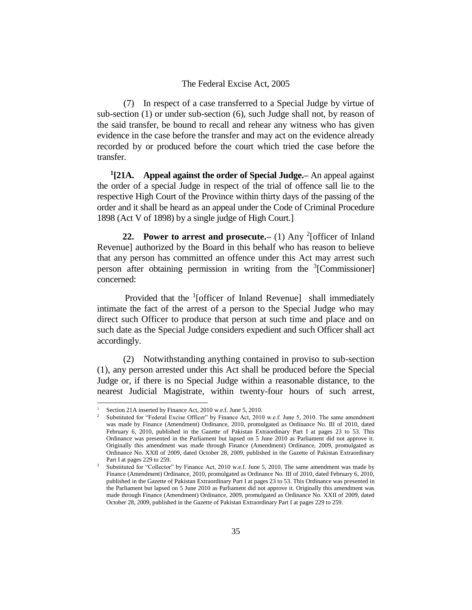(7) In respect of a case transferred to a Special Judge by virtue of sub-section (1) or under sub-section (6), such Judge shall not, by reason of the said transfer, be bound to recall and rehear any witness who has given evidence in the case before the transfer and may act on the evidence already recorded by or produced before the court which tried the case before the transfer.

**1 [21A. Appeal against the order of Special Judge.–** An appeal against the order of a special Judge in respect of the trial of offence sall lie to the respective High Court of the Province within thirty days of the passing of the order and it shall be heard as an appeal under the Code of Criminal Procedure 1898 (Act V of 1898) by a single judge of High Court.]

**22.** Power to arrest and prosecute.  $- (1)$  Any <sup>2</sup> [officer of Inland Revenue] authorized by the Board in this behalf who has reason to believe that any person has committed an offence under this Act may arrest such person after obtaining permission in writing from the <sup>3</sup>[Commissioner] concerned:

Provided that the <sup>1</sup>[officer of Inland Revenue] shall immediately intimate the fact of the arrest of a person to the Special Judge who may direct such Officer to produce that person at such time and place and on such date as the Special Judge considers expedient and such Officer shall act accordingly.

(2) Notwithstanding anything contained in proviso to sub-section (1), any person arrested under this Act shall be produced before the Special Judge or, if there is no Special Judge within a reasonable distance, to the nearest Judicial Magistrate, within twenty-four hours of such arrest,

Section 21A inserted by Finance Act, 2010 w.e.f. June 5, 2010.

<sup>2</sup> Substituted for "Federal Excise Officer" by Finance Act, 2010 w.e.f. June 5, 2010. The same amendment was made by Finance (Amendment) Ordinance, 2010, promulgated as Ordinance No. III of 2010, dated February 6, 2010, published in the Gazette of Pakistan Extraordinary Part I at pages 23 to 53. This Ordinance was presented in the Parliament but lapsed on 5 June 2010 as Parliament did not approve it. Originally this amendment was made through Finance (Amendment) Ordinance, 2009, promulgated as Ordinance No. XXII of 2009, dated October 28, 2009, published in the Gazette of Pakistan Extraordinary Part I at pages 229 to 259.

<sup>3</sup> Substituted for "Collector" by Finance Act, 2010 w.e.f. June 5, 2010. The same amendment was made by Finance (Amendment) Ordinance, 2010, promulgated as Ordinance No. III of 2010, dated February 6, 2010, published in the Gazette of Pakistan Extraordinary Part I at pages 23 to 53. This Ordinance was presented in the Parliament but lapsed on 5 June 2010 as Parliament did not approve it. Originally this amendment was made through Finance (Amendment) Ordinance, 2009, promulgated as Ordinance No. XXII of 2009, dated October 28, 2009, published in the Gazette of Pakistan Extraordinary Part I at pages 229 to 259.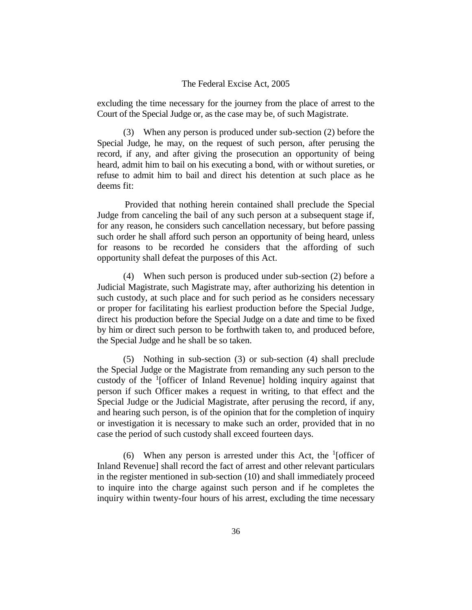excluding the time necessary for the journey from the place of arrest to the Court of the Special Judge or, as the case may be, of such Magistrate.

(3) When any person is produced under sub-section (2) before the Special Judge, he may, on the request of such person, after perusing the record, if any, and after giving the prosecution an opportunity of being heard, admit him to bail on his executing a bond, with or without sureties, or refuse to admit him to bail and direct his detention at such place as he deems fit:

Provided that nothing herein contained shall preclude the Special Judge from canceling the bail of any such person at a subsequent stage if, for any reason, he considers such cancellation necessary, but before passing such order he shall afford such person an opportunity of being heard, unless for reasons to be recorded he considers that the affording of such opportunity shall defeat the purposes of this Act.

(4) When such person is produced under sub-section (2) before a Judicial Magistrate, such Magistrate may, after authorizing his detention in such custody, at such place and for such period as he considers necessary or proper for facilitating his earliest production before the Special Judge, direct his production before the Special Judge on a date and time to be fixed by him or direct such person to be forthwith taken to, and produced before, the Special Judge and he shall be so taken.

(5) Nothing in sub-section (3) or sub-section (4) shall preclude the Special Judge or the Magistrate from remanding any such person to the custody of the  $\frac{1}{2}$  [officer of Inland Revenue] holding inquiry against that person if such Officer makes a request in writing, to that effect and the Special Judge or the Judicial Magistrate, after perusing the record, if any, and hearing such person, is of the opinion that for the completion of inquiry or investigation it is necessary to make such an order, provided that in no case the period of such custody shall exceed fourteen days.

(6) When any person is arrested under this Act, the  $\frac{1}{1}$  [officer of Inland Revenue] shall record the fact of arrest and other relevant particulars in the register mentioned in sub-section (10) and shall immediately proceed to inquire into the charge against such person and if he completes the inquiry within twenty-four hours of his arrest, excluding the time necessary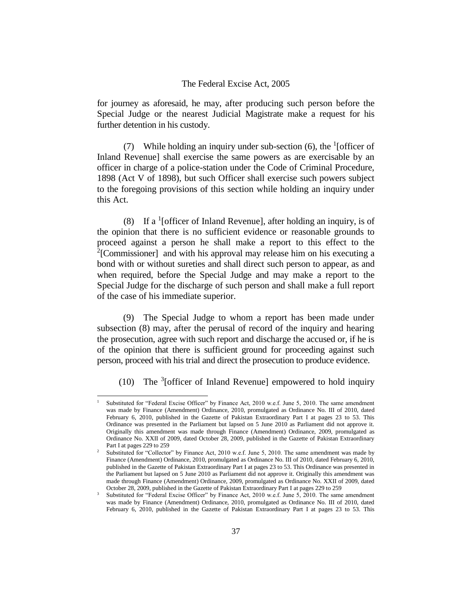for journey as aforesaid, he may, after producing such person before the Special Judge or the nearest Judicial Magistrate make a request for his further detention in his custody.

(7) While holding an inquiry under sub-section  $(6)$ , the <sup>1</sup>[officer of Inland Revenue] shall exercise the same powers as are exercisable by an officer in charge of a police-station under the Code of Criminal Procedure, 1898 (Act V of 1898), but such Officer shall exercise such powers subject to the foregoing provisions of this section while holding an inquiry under this Act.

(8) If a <sup>1</sup>[officer of Inland Revenue], after holding an inquiry, is of the opinion that there is no sufficient evidence or reasonable grounds to proceed against a person he shall make a report to this effect to the <sup>2</sup>[Commissioner] and with his approval may release him on his executing a bond with or without sureties and shall direct such person to appear, as and when required, before the Special Judge and may make a report to the Special Judge for the discharge of such person and shall make a full report of the case of his immediate superior.

(9) The Special Judge to whom a report has been made under subsection (8) may, after the perusal of record of the inquiry and hearing the prosecution, agree with such report and discharge the accused or, if he is of the opinion that there is sufficient ground for proceeding against such person, proceed with his trial and direct the prosecution to produce evidence.

(10) The  $3$ [officer of Inland Revenue] empowered to hold inquiry

<sup>1</sup> Substituted for "Federal Excise Officer" by Finance Act, 2010 w.e.f. June 5, 2010. The same amendment was made by Finance (Amendment) Ordinance, 2010, promulgated as Ordinance No. III of 2010, dated February 6, 2010, published in the Gazette of Pakistan Extraordinary Part I at pages 23 to 53. This Ordinance was presented in the Parliament but lapsed on 5 June 2010 as Parliament did not approve it. Originally this amendment was made through Finance (Amendment) Ordinance, 2009, promulgated as Ordinance No. XXII of 2009, dated October 28, 2009, published in the Gazette of Pakistan Extraordinary Part I at pages 229 to 259

<sup>2</sup> Substituted for "Collector" by Finance Act, 2010 w.e.f. June 5, 2010. The same amendment was made by Finance (Amendment) Ordinance, 2010, promulgated as Ordinance No. III of 2010, dated February 6, 2010, published in the Gazette of Pakistan Extraordinary Part I at pages 23 to 53. This Ordinance was presented in the Parliament but lapsed on 5 June 2010 as Parliament did not approve it. Originally this amendment was made through Finance (Amendment) Ordinance, 2009, promulgated as Ordinance No. XXII of 2009, dated October 28, 2009, published in the Gazette of Pakistan Extraordinary Part I at pages 229 to 259

Substituted for "Federal Excise Officer" by Finance Act, 2010 w.e.f. June 5, 2010. The same amendment was made by Finance (Amendment) Ordinance, 2010, promulgated as Ordinance No. III of 2010, dated February 6, 2010, published in the Gazette of Pakistan Extraordinary Part I at pages 23 to 53. This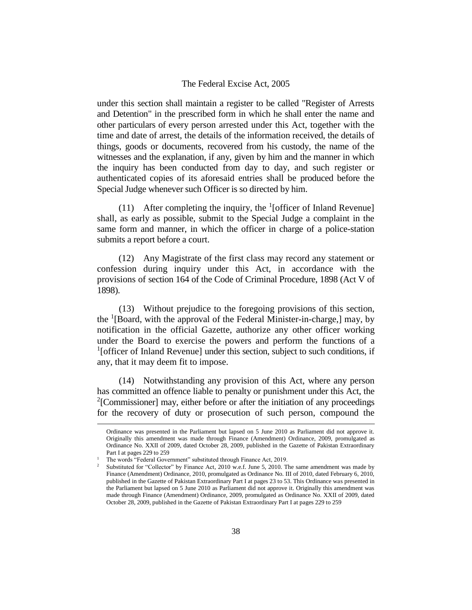under this section shall maintain a register to be called "Register of Arrests and Detention" in the prescribed form in which he shall enter the name and other particulars of every person arrested under this Act, together with the time and date of arrest, the details of the information received, the details of things, goods or documents, recovered from his custody, the name of the witnesses and the explanation, if any, given by him and the manner in which the inquiry has been conducted from day to day, and such register or authenticated copies of its aforesaid entries shall be produced before the Special Judge whenever such Officer is so directed by him.

(11) After completing the inquiry, the  $<sup>1</sup>$ [officer of Inland Revenue]</sup> shall, as early as possible, submit to the Special Judge a complaint in the same form and manner, in which the officer in charge of a police-station submits a report before a court.

(12) Any Magistrate of the first class may record any statement or confession during inquiry under this Act, in accordance with the provisions of section 164 of the Code of Criminal Procedure, 1898 (Act V of 1898).

(13) Without prejudice to the foregoing provisions of this section, the <sup>1</sup>[Board, with the approval of the Federal Minister-in-charge,] may, by notification in the official Gazette, authorize any other officer working under the Board to exercise the powers and perform the functions of a <sup>1</sup>[officer of Inland Revenue] under this section, subject to such conditions, if any, that it may deem fit to impose.

(14) Notwithstanding any provision of this Act, where any person has committed an offence liable to penalty or punishment under this Act, the <sup>2</sup>[Commissioner] may, either before or after the initiation of any proceedings for the recovery of duty or prosecution of such person, compound the

Ordinance was presented in the Parliament but lapsed on 5 June 2010 as Parliament did not approve it. Originally this amendment was made through Finance (Amendment) Ordinance, 2009, promulgated as Ordinance No. XXII of 2009, dated October 28, 2009, published in the Gazette of Pakistan Extraordinary Part I at pages 229 to 259

<sup>1</sup> The words "Federal Government" substituted through Finance Act, 2019.

<sup>2</sup> Substituted for "Collector" by Finance Act, 2010 w.e.f. June 5, 2010. The same amendment was made by Finance (Amendment) Ordinance, 2010, promulgated as Ordinance No. III of 2010, dated February 6, 2010, published in the Gazette of Pakistan Extraordinary Part I at pages 23 to 53. This Ordinance was presented in the Parliament but lapsed on 5 June 2010 as Parliament did not approve it. Originally this amendment was made through Finance (Amendment) Ordinance, 2009, promulgated as Ordinance No. XXII of 2009, dated October 28, 2009, published in the Gazette of Pakistan Extraordinary Part I at pages 229 to 259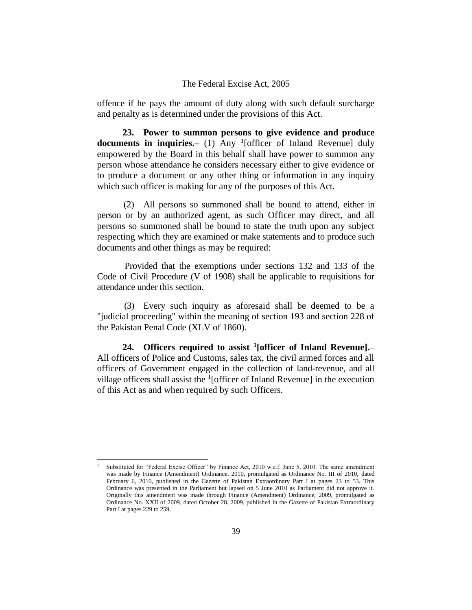offence if he pays the amount of duty along with such default surcharge and penalty as is determined under the provisions of this Act.

**23. Power to summon persons to give evidence and produce documents in inquiries.**— (1) Any <sup>1</sup>[officer of Inland Revenue] duly empowered by the Board in this behalf shall have power to summon any person whose attendance he considers necessary either to give evidence or to produce a document or any other thing or information in any inquiry which such officer is making for any of the purposes of this Act.

(2) All persons so summoned shall be bound to attend, either in person or by an authorized agent, as such Officer may direct, and all persons so summoned shall be bound to state the truth upon any subject respecting which they are examined or make statements and to produce such documents and other things as may be required:

Provided that the exemptions under sections 132 and 133 of the Code of Civil Procedure (V of 1908) shall be applicable to requisitions for attendance under this section.

(3) Every such inquiry as aforesaid shall be deemed to be a "judicial proceeding" within the meaning of section 193 and section 228 of the Pakistan Penal Code (XLV of 1860).

**24. Officers required to assist <sup>1</sup> [officer of Inland Revenue].–** All officers of Police and Customs, sales tax, the civil armed forces and all officers of Government engaged in the collection of land-revenue, and all village officers shall assist the  $<sup>1</sup>$  [officer of Inland Revenue] in the execution</sup> of this Act as and when required by such Officers.

<sup>1</sup> Substituted for "Federal Excise Officer" by Finance Act, 2010 w.e.f. June 5, 2010. The same amendment was made by Finance (Amendment) Ordinance, 2010, promulgated as Ordinance No. III of 2010, dated February 6, 2010, published in the Gazette of Pakistan Extraordinary Part I at pages 23 to 53. This Ordinance was presented in the Parliament but lapsed on 5 June 2010 as Parliament did not approve it. Originally this amendment was made through Finance (Amendment) Ordinance, 2009, promulgated as Ordinance No. XXII of 2009, dated October 28, 2009, published in the Gazette of Pakistan Extraordinary Part I at pages 229 to 259.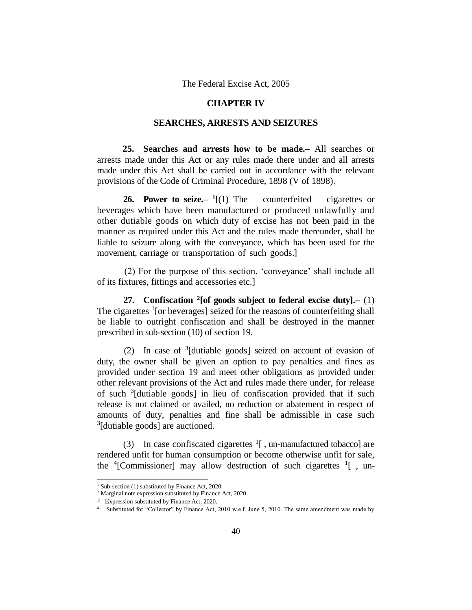## **CHAPTER IV**

## **SEARCHES, ARRESTS AND SEIZURES**

**25. Searches and arrests how to be made.–** All searches or arrests made under this Act or any rules made there under and all arrests made under this Act shall be carried out in accordance with the relevant provisions of the Code of Criminal Procedure, 1898 (V of 1898).

**26. Power to seize.– 1** counterfeited cigarettes or beverages which have been manufactured or produced unlawfully and other dutiable goods on which duty of excise has not been paid in the manner as required under this Act and the rules made thereunder, shall be liable to seizure along with the conveyance, which has been used for the movement, carriage or transportation of such goods.]

(2) For the purpose of this section, 'conveyance' shall include all of its fixtures, fittings and accessories etc.]

**27. Confiscation <sup>2</sup> [of goods subject to federal excise duty].–** (1) The cigarettes <sup>1</sup>[or beverages] seized for the reasons of counterfeiting shall be liable to outright confiscation and shall be destroyed in the manner prescribed in sub-section (10) of section 19.

(2) In case of <sup>3</sup> [dutiable goods] seized on account of evasion of duty, the owner shall be given an option to pay penalties and fines as provided under section 19 and meet other obligations as provided under other relevant provisions of the Act and rules made there under, for release of such <sup>3</sup> [dutiable goods] in lieu of confiscation provided that if such release is not claimed or availed, no reduction or abatement in respect of amounts of duty, penalties and fine shall be admissible in case such <sup>3</sup>[dutiable goods] are auctioned.

(3) In case confiscated cigarettes  $\frac{1}{1}$ , un-manufactured tobacco] are rendered unfit for human consumption or become otherwise unfit for sale, the  ${}^{4}$ [Commissioner] may allow destruction of such cigarettes  ${}^{1}$ [, un-

<sup>&</sup>lt;sup>1</sup> Sub-section (1) substituted by Finance Act, 2020.

<sup>2</sup> Marginal note expression substituted by Finance Act, 2020.

<sup>3</sup> Expression substituted by Finance Act, 2020.

<sup>4</sup> Substituted for "Collector" by Finance Act, 2010 w.e.f. June 5, 2010. The same amendment was made by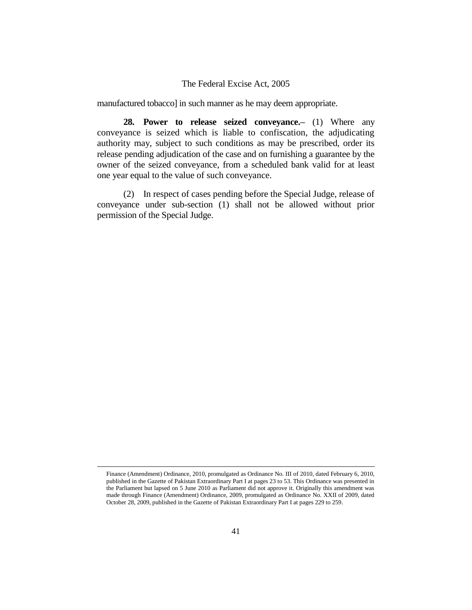manufactured tobacco] in such manner as he may deem appropriate.

**28. Power to release seized conveyance.–** (1) Where any conveyance is seized which is liable to confiscation, the adjudicating authority may, subject to such conditions as may be prescribed, order its release pending adjudication of the case and on furnishing a guarantee by the owner of the seized conveyance, from a scheduled bank valid for at least one year equal to the value of such conveyance.

(2) In respect of cases pending before the Special Judge, release of conveyance under sub-section (1) shall not be allowed without prior permission of the Special Judge.

Finance (Amendment) Ordinance, 2010, promulgated as Ordinance No. III of 2010, dated February 6, 2010, published in the Gazette of Pakistan Extraordinary Part I at pages 23 to 53. This Ordinance was presented in the Parliament but lapsed on 5 June 2010 as Parliament did not approve it. Originally this amendment was made through Finance (Amendment) Ordinance, 2009, promulgated as Ordinance No. XXII of 2009, dated October 28, 2009, published in the Gazette of Pakistan Extraordinary Part I at pages 229 to 259.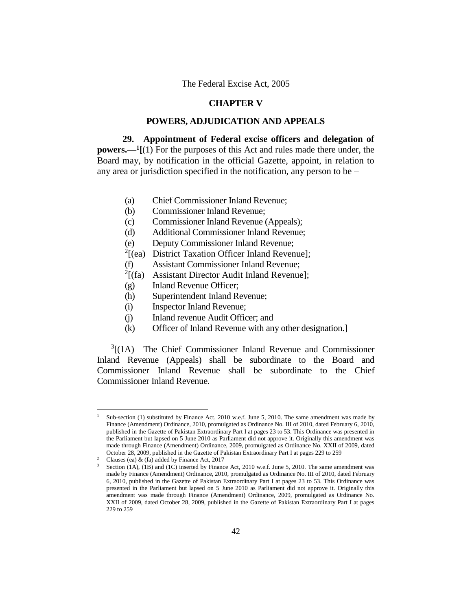## **CHAPTER V**

## **POWERS, ADJUDICATION AND APPEALS**

**29. Appointment of Federal excise officers and delegation of powers.—<sup>1</sup> [**(1) For the purposes of this Act and rules made there under, the Board may, by notification in the official Gazette, appoint, in relation to any area or jurisdiction specified in the notification, any person to be –

- (a) Chief Commissioner Inland Revenue;
- (b) Commissioner Inland Revenue;
- (c) Commissioner Inland Revenue (Appeals);
- (d) Additional Commissioner Inland Revenue;
- (e) Deputy Commissioner Inland Revenue;
- $2$ [(ea) District Taxation Officer Inland Revenue];
- (f) Assistant Commissioner Inland Revenue;
- $2[(fa)$  Assistant Director Audit Inland Revenue];
- (g) Inland Revenue Officer;
- (h) Superintendent Inland Revenue;
- (i) Inspector Inland Revenue;
- (j) Inland revenue Audit Officer; and
- (k) Officer of Inland Revenue with any other designation.]

 $3[(1A)$  The Chief Commissioner Inland Revenue and Commissioner Inland Revenue (Appeals) shall be subordinate to the Board and Commissioner Inland Revenue shall be subordinate to the Chief Commissioner Inland Revenue.

Sub-section (1) substituted by Finance Act, 2010 w.e.f. June 5, 2010. The same amendment was made by Finance (Amendment) Ordinance, 2010, promulgated as Ordinance No. III of 2010, dated February 6, 2010, published in the Gazette of Pakistan Extraordinary Part I at pages 23 to 53. This Ordinance was presented in the Parliament but lapsed on 5 June 2010 as Parliament did not approve it. Originally this amendment was made through Finance (Amendment) Ordinance, 2009, promulgated as Ordinance No. XXII of 2009, dated October 28, 2009, published in the Gazette of Pakistan Extraordinary Part I at pages 229 to 259

<sup>&</sup>lt;sup>2</sup> Clauses (ea)  $\&$  (fa) added by Finance Act, 2017

Section (1A), (1B) and (1C) inserted by Finance Act, 2010 w.e.f. June 5, 2010. The same amendment was made by Finance (Amendment) Ordinance, 2010, promulgated as Ordinance No. III of 2010, dated February 6, 2010, published in the Gazette of Pakistan Extraordinary Part I at pages 23 to 53. This Ordinance was presented in the Parliament but lapsed on 5 June 2010 as Parliament did not approve it. Originally this amendment was made through Finance (Amendment) Ordinance, 2009, promulgated as Ordinance No. XXII of 2009, dated October 28, 2009, published in the Gazette of Pakistan Extraordinary Part I at pages 229 to 259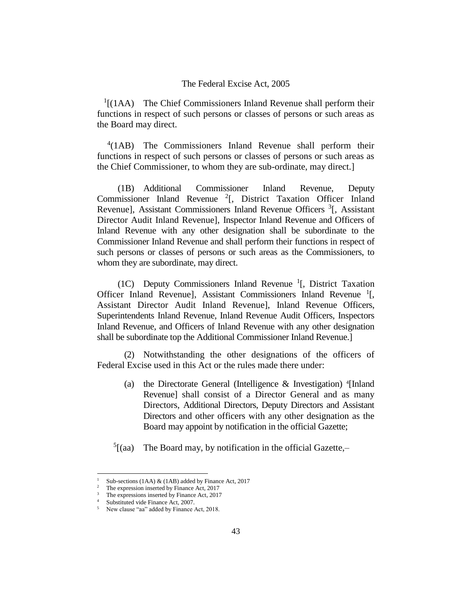$<sup>1</sup>$ [(1AA) The Chief Commissioners Inland Revenue shall perform their</sup> functions in respect of such persons or classes of persons or such areas as the Board may direct.

4 (1AB) The Commissioners Inland Revenue shall perform their functions in respect of such persons or classes of persons or such areas as the Chief Commissioner, to whom they are sub-ordinate, may direct.]

(1B) Additional Commissioner Inland Revenue, Deputy Commissioner Inland Revenue<sup>2</sup>[, District Taxation Officer Inland Revenue], Assistant Commissioners Inland Revenue Officers <sup>3</sup>[, Assistant Director Audit Inland Revenue], Inspector Inland Revenue and Officers of Inland Revenue with any other designation shall be subordinate to the Commissioner Inland Revenue and shall perform their functions in respect of such persons or classes of persons or such areas as the Commissioners, to whom they are subordinate, may direct.

(1C) Deputy Commissioners Inland Revenue<sup>1</sup>[, District Taxation Officer Inland Revenue], Assistant Commissioners Inland Revenue<sup>1</sup>[, Assistant Director Audit Inland Revenue], Inland Revenue Officers, Superintendents Inland Revenue, Inland Revenue Audit Officers, Inspectors Inland Revenue, and Officers of Inland Revenue with any other designation shall be subordinate top the Additional Commissioner Inland Revenue.]

(2) Notwithstanding the other designations of the officers of Federal Excise used in this Act or the rules made there under:

- (a) the Directorate General (Intelligence & Investigation) <sup>4</sup> [Inland Revenue] shall consist of a Director General and as many Directors, Additional Directors, Deputy Directors and Assistant Directors and other officers with any other designation as the Board may appoint by notification in the official Gazette;
- $5$ [(aa) The Board may, by notification in the official Gazette, $-$

<sup>&</sup>lt;sup>1</sup> Sub-sections (1AA)  $\&$  (1AB) added by Finance Act, 2017<br><sup>2</sup> The expression inserted by Finance Act, 2017

The expression inserted by Finance Act, 2017

<sup>&</sup>lt;sup>3</sup> The expressions inserted by Finance Act, 2017

<sup>&</sup>lt;sup>4</sup> Substituted vide Finance Act, 2007.

<sup>5</sup> New clause "aa" added by Finance Act, 2018.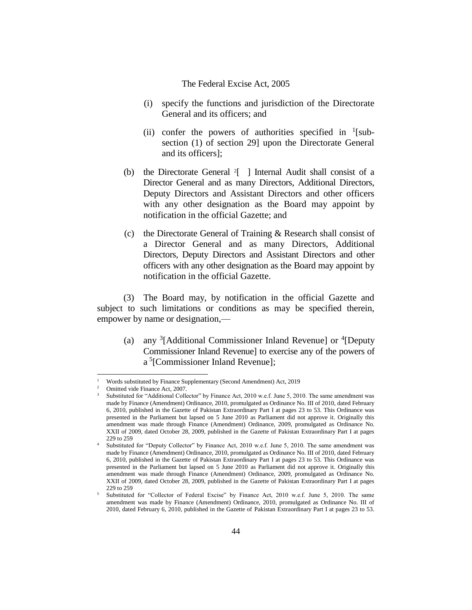- (i) specify the functions and jurisdiction of the Directorate General and its officers; and
- (ii) confer the powers of authorities specified in  $\frac{1}{2}$ [subsection (1) of section 29] upon the Directorate General and its officers];
- (b) the Directorate General <sup>2</sup>[ ] Internal Audit shall consist of a Director General and as many Directors, Additional Directors, Deputy Directors and Assistant Directors and other officers with any other designation as the Board may appoint by notification in the official Gazette; and
- (c) the Directorate General of Training & Research shall consist of a Director General and as many Directors, Additional Directors, Deputy Directors and Assistant Directors and other officers with any other designation as the Board may appoint by notification in the official Gazette.

(3) The Board may, by notification in the official Gazette and subject to such limitations or conditions as may be specified therein, empower by name or designation,—

(a) any  ${}^{3}$ [Additional Commissioner Inland Revenue] or  ${}^{4}$ [Deputy Commissioner Inland Revenue] to exercise any of the powers of a<sup>5</sup>[Commissioner Inland Revenue];

j.

<sup>&</sup>lt;sup>1</sup> Words substituted by Finance Supplementary (Second Amendment) Act, 2019<br><sup>2</sup> Omitted vide Finance Act, 2007

<sup>2</sup> Omitted vide Finance Act, 2007.

Substituted for "Additional Collector" by Finance Act, 2010 w.e.f. June 5, 2010. The same amendment was made by Finance (Amendment) Ordinance, 2010, promulgated as Ordinance No. III of 2010, dated February 6, 2010, published in the Gazette of Pakistan Extraordinary Part I at pages 23 to 53. This Ordinance was presented in the Parliament but lapsed on 5 June 2010 as Parliament did not approve it. Originally this amendment was made through Finance (Amendment) Ordinance, 2009, promulgated as Ordinance No. XXII of 2009, dated October 28, 2009, published in the Gazette of Pakistan Extraordinary Part I at pages 229 to 259

Substituted for "Deputy Collector" by Finance Act, 2010 w.e.f. June 5, 2010. The same amendment was made by Finance (Amendment) Ordinance, 2010, promulgated as Ordinance No. III of 2010, dated February 6, 2010, published in the Gazette of Pakistan Extraordinary Part I at pages 23 to 53. This Ordinance was presented in the Parliament but lapsed on 5 June 2010 as Parliament did not approve it. Originally this amendment was made through Finance (Amendment) Ordinance, 2009, promulgated as Ordinance No. XXII of 2009, dated October 28, 2009, published in the Gazette of Pakistan Extraordinary Part I at pages 229 to 259

<sup>5</sup> Substituted for "Collector of Federal Excise" by Finance Act, 2010 w.e.f. June 5, 2010. The same amendment was made by Finance (Amendment) Ordinance, 2010, promulgated as Ordinance No. III of 2010, dated February 6, 2010, published in the Gazette of Pakistan Extraordinary Part I at pages 23 to 53.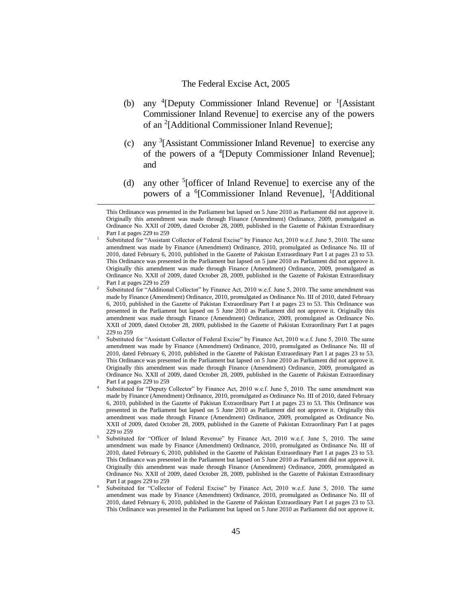- (b) any  ${}^{4}$ [Deputy Commissioner Inland Revenue] or  ${}^{1}$ [Assistant Commissioner Inland Revenue] to exercise any of the powers of an <sup>2</sup>[Additional Commissioner Inland Revenue];
- (c) any <sup>3</sup> [Assistant Commissioner Inland Revenue] to exercise any of the powers of a <sup>4</sup>[Deputy Commissioner Inland Revenue]; and
- (d) any other  ${}^{5}$ [officer of Inland Revenue] to exercise any of the powers of a <sup>6</sup>[Commissioner Inland Revenue], <sup>1</sup>[Additional

This Ordinance was presented in the Parliament but lapsed on 5 June 2010 as Parliament did not approve it. Originally this amendment was made through Finance (Amendment) Ordinance, 2009, promulgated as Ordinance No. XXII of 2009, dated October 28, 2009, published in the Gazette of Pakistan Extraordinary Part I at pages 229 to 259

Substituted for "Assistant Collector of Federal Excise" by Finance Act, 2010 w.e.f. June 5, 2010. The same amendment was made by Finance (Amendment) Ordinance, 2010, promulgated as Ordinance No. III of 2010, dated February 6, 2010, published in the Gazette of Pakistan Extraordinary Part I at pages 23 to 53. This Ordinance was presented in the Parliament but lapsed on 5 june 2010 as Parliament did not approve it. Originally this amendment was made through Finance (Amendment) Ordinance, 2009, promulgated as Ordinance No. XXII of 2009, dated October 28, 2009, published in the Gazette of Pakistan Extraordinary Part I at pages 229 to 259

<sup>2</sup> Substituted for "Additional Collector" by Finance Act, 2010 w.e.f. June 5, 2010. The same amendment was made by Finance (Amendment) Ordinance, 2010, promulgated as Ordinance No. III of 2010, dated February 6, 2010, published in the Gazette of Pakistan Extraordinary Part I at pages 23 to 53. This Ordinance was presented in the Parliament but lapsed on 5 June 2010 as Parliament did not approve it. Originally this amendment was made through Finance (Amendment) Ordinance, 2009, promulgated as Ordinance No. XXII of 2009, dated October 28, 2009, published in the Gazette of Pakistan Extraordinary Part I at pages 229 to 259

<sup>3</sup> Substituted for "Assistant Collector of Federal Excise" by Finance Act, 2010 w.e.f. June 5, 2010. The same amendment was made by Finance (Amendment) Ordinance, 2010, promulgated as Ordinance No. III of 2010, dated February 6, 2010, published in the Gazette of Pakistan Extraordinary Part I at pages 23 to 53. This Ordinance was presented in the Parliament but lapsed on 5 June 2010 as Parliament did not approve it. Originally this amendment was made through Finance (Amendment) Ordinance, 2009, promulgated as Ordinance No. XXII of 2009, dated October 28, 2009, published in the Gazette of Pakistan Extraordinary Part I at pages 229 to 259

Substituted for "Deputy Collector" by Finance Act, 2010 w.e.f. June 5, 2010. The same amendment was made by Finance (Amendment) Ordinance, 2010, promulgated as Ordinance No. III of 2010, dated February 6, 2010, published in the Gazette of Pakistan Extraordinary Part I at pages 23 to 53. This Ordinance was presented in the Parliament but lapsed on 5 June 2010 as Parliament did not approve it. Originally this amendment was made through Finance (Amendment) Ordinance, 2009, promulgated as Ordinance No. XXII of 2009, dated October 28, 2009, published in the Gazette of Pakistan Extraordinary Part I at pages 229 to 259

<sup>5</sup> Substituted for "Officer of Inland Revenue" by Finance Act, 2010 w.e.f. June 5, 2010. The same amendment was made by Finance (Amendment) Ordinance, 2010, promulgated as Ordinance No. III of 2010, dated February 6, 2010, published in the Gazette of Pakistan Extraordinary Part I at pages 23 to 53. This Ordinance was presented in the Parliament but lapsed on 5 June 2010 as Parliament did not approve it. Originally this amendment was made through Finance (Amendment) Ordinance, 2009, promulgated as Ordinance No. XXII of 2009, dated October 28, 2009, published in the Gazette of Pakistan Extraordinary Part I at pages 229 to 259

<sup>6</sup> Substituted for "Collector of Federal Excise" by Finance Act, 2010 w.e.f. June 5, 2010. The same amendment was made by Finance (Amendment) Ordinance, 2010, promulgated as Ordinance No. III of 2010, dated February 6, 2010, published in the Gazette of Pakistan Extraordinary Part I at pages 23 to 53. This Ordinance was presented in the Parliament but lapsed on 5 June 2010 as Parliament did not approve it.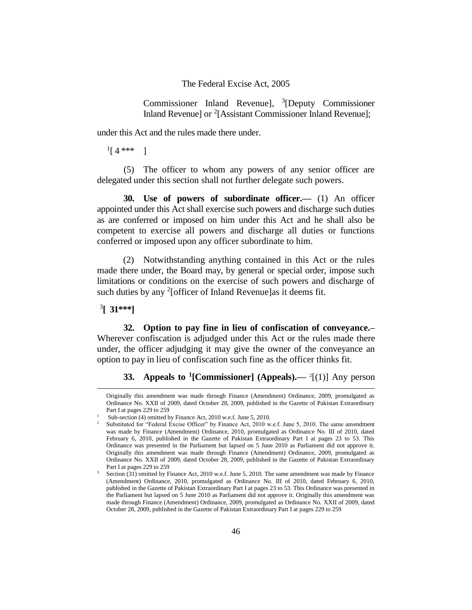Commissioner Inland Revenue], 3 [Deputy Commissioner Inland Revenue] or <sup>2</sup>[Assistant Commissioner Inland Revenue];

under this Act and the rules made there under.

 $^{1}[4***]$ 

(5) The officer to whom any powers of any senior officer are delegated under this section shall not further delegate such powers.

**30. Use of powers of subordinate officer.—** (1) An officer appointed under this Act shall exercise such powers and discharge such duties as are conferred or imposed on him under this Act and he shall also be competent to exercise all powers and discharge all duties or functions conferred or imposed upon any officer subordinate to him.

(2) Notwithstanding anything contained in this Act or the rules made there under, the Board may, by general or special order, impose such limitations or conditions on the exercise of such powers and discharge of such duties by any  $2$ [officer of Inland Revenue]as it deems fit.

3 **[ 31\*\*\*]**

÷,

**32. Option to pay fine in lieu of confiscation of conveyance.–** Wherever confiscation is adjudged under this Act or the rules made there under, the officer adjudging it may give the owner of the conveyance an option to pay in lieu of confiscation such fine as the officer thinks fit.

**33. Appeals to <sup>1</sup> [Commissioner] (Appeals).—** <sup>2</sup> [(1)] Any person

Originally this amendment was made through Finance (Amendment) Ordinance, 2009, promulgated as Ordinance No. XXII of 2009, dated October 28, 2009, published in the Gazette of Pakistan Extraordinary Part I at pages 229 to 259

<sup>1</sup> Sub-section (4) omitted by Finance Act, 2010 w.e.f. June 5, 2010.

<sup>&</sup>lt;sup>2</sup> Substituted for "Federal Excise Officer" by Finance Act, 2010 w.e.f. June 5, 2010. The same amendment was made by Finance (Amendment) Ordinance, 2010, promulgated as Ordinance No. III of 2010, dated February 6, 2010, published in the Gazette of Pakistan Extraordinary Part I at pages 23 to 53. This Ordinance was presented in the Parliament but lapsed on 5 June 2010 as Parliament did not approve it. Originally this amendment was made through Finance (Amendment) Ordinance, 2009, promulgated as Ordinance No. XXII of 2009, dated October 28, 2009, published in the Gazette of Pakistan Extraordinary Part I at pages 229 to 259

<sup>&</sup>lt;sup>3</sup> Section (31) omitted by Finance Act, 2010 w.e.f. June 5, 2010. The same amendment was made by Finance (Amendment) Ordinance, 2010, promulgated as Ordinance No. III of 2010, dated February 6, 2010, published in the Gazette of Pakistan Extraordinary Part I at pages 23 to 53. This Ordinance was presented in the Parliament but lapsed on 5 June 2010 as Parliament did not approve it. Originally this amendment was made through Finance (Amendment) Ordinance, 2009, promulgated as Ordinance No. XXII of 2009, dated October 28, 2009, published in the Gazette of Pakistan Extraordinary Part I at pages 229 to 259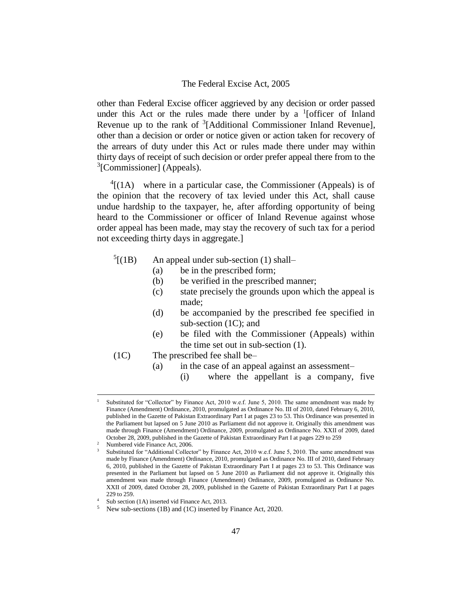other than Federal Excise officer aggrieved by any decision or order passed under this Act or the rules made there under by a  $<sup>1</sup>$  [officer of Inland</sup> Revenue up to the rank of  $3$ [Additional Commissioner Inland Revenue], other than a decision or order or notice given or action taken for recovery of the arrears of duty under this Act or rules made there under may within thirty days of receipt of such decision or order prefer appeal there from to the <sup>3</sup>[Commissioner] (Appeals).

 $^{4}$ [(1A) where in a particular case, the Commissioner (Appeals) is of the opinion that the recovery of tax levied under this Act, shall cause undue hardship to the taxpayer, he, after affording opportunity of being heard to the Commissioner or officer of Inland Revenue against whose order appeal has been made, may stay the recovery of such tax for a period not exceeding thirty days in aggregate.]

- $^{5}$ [(1B) An appeal under sub-section  $(1)$  shall–
	- (a) be in the prescribed form;
	- (b) be verified in the prescribed manner;
	- (c) state precisely the grounds upon which the appeal is made;
	- (d) be accompanied by the prescribed fee specified in sub-section (1C); and
	- (e) be filed with the Commissioner (Appeals) within the time set out in sub-section (1).
- (1C) The prescribed fee shall be–
	- (a) in the case of an appeal against an assessment–
		- (i) where the appellant is a company, five

Substituted for "Collector" by Finance Act, 2010 w.e.f. June 5, 2010. The same amendment was made by Finance (Amendment) Ordinance, 2010, promulgated as Ordinance No. III of 2010, dated February 6, 2010, published in the Gazette of Pakistan Extraordinary Part I at pages 23 to 53. This Ordinance was presented in the Parliament but lapsed on 5 June 2010 as Parliament did not approve it. Originally this amendment was made through Finance (Amendment) Ordinance, 2009, promulgated as Ordinance No. XXII of 2009, dated October 28, 2009, published in the Gazette of Pakistan Extraordinary Part I at pages 229 to 259

<sup>2</sup> Numbered vide Finance Act, 2006.

Substituted for "Additional Collector" by Finance Act, 2010 w.e.f. June 5, 2010. The same amendment was made by Finance (Amendment) Ordinance, 2010, promulgated as Ordinance No. III of 2010, dated February 6, 2010, published in the Gazette of Pakistan Extraordinary Part I at pages 23 to 53. This Ordinance was presented in the Parliament but lapsed on 5 June 2010 as Parliament did not approve it. Originally this amendment was made through Finance (Amendment) Ordinance, 2009, promulgated as Ordinance No. XXII of 2009, dated October 28, 2009, published in the Gazette of Pakistan Extraordinary Part I at pages 229 to 259.

Sub section (1A) inserted vid Finance Act, 2013.

<sup>&</sup>lt;sup>5</sup> New sub-sections (1B) and (1C) inserted by Finance Act, 2020.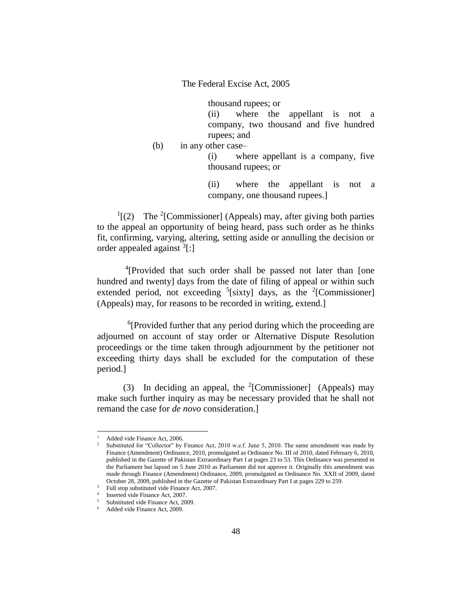thousand rupees; or

(ii) where the appellant is not a company, two thousand and five hundred rupees; and

(b) in any other case–

(i) where appellant is a company, five thousand rupees; or

(ii) where the appellant is not a company, one thousand rupees.]

 $\rm{^{1}}[(2)$  The <sup>2</sup>[Commissioner] (Appeals) may, after giving both parties to the appeal an opportunity of being heard, pass such order as he thinks fit, confirming, varying, altering, setting aside or annulling the decision or order appealed against <sup>3</sup>[:]

<sup>4</sup>[Provided that such order shall be passed not later than [one hundred and twenty] days from the date of filing of appeal or within such extended period, not exceeding  $5$ [sixty] days, as the  $2$ [Commissioner] (Appeals) may, for reasons to be recorded in writing, extend.]

<sup>6</sup>[Provided further that any period during which the proceeding are adjourned on account of stay order or Alternative Dispute Resolution proceedings or the time taken through adjournment by the petitioner not exceeding thirty days shall be excluded for the computation of these period.]

(3) In deciding an appeal, the  $2$ [Commissioner] (Appeals) may make such further inquiry as may be necessary provided that he shall not remand the case for *de novo* consideration.]

Added vide Finance Act, 2006.

<sup>&</sup>lt;sup>2</sup> Substituted for "Collector" by Finance Act, 2010 w.e.f. June 5, 2010. The same amendment was made by Finance (Amendment) Ordinance, 2010, promulgated as Ordinance No. III of 2010, dated February 6, 2010, published in the Gazette of Pakistan Extraordinary Part I at pages 23 to 53. This Ordinance was presented in the Parliament but lapsed on 5 June 2010 as Parliament did not approve it. Originally this amendment was made through Finance (Amendment) Ordinance, 2009, promulgated as Ordinance No. XXII of 2009, dated October 28, 2009, published in the Gazette of Pakistan Extraordinary Part I at pages 229 to 259.

<sup>&</sup>lt;sup>3</sup> Full stop substituted vide Finance Act, 2007.

<sup>4</sup> Inserted vide Finance Act, 2007.

<sup>&</sup>lt;sup>5</sup> Substituted vide Finance Act, 2009.

<sup>6</sup> Added vide Finance Act, 2009.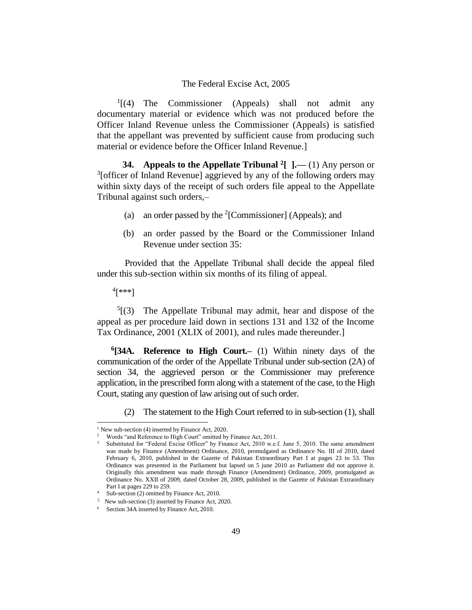$<sup>1</sup>$ [(4) The Commissioner (Appeals) shall not admit any</sup> documentary material or evidence which was not produced before the Officer Inland Revenue unless the Commissioner (Appeals) is satisfied that the appellant was prevented by sufficient cause from producing such material or evidence before the Officer Inland Revenue.]

**34. Appeals to the Appellate Tribunal <sup>2</sup> [ ].––** (1) Any person or  $3$ [officer of Inland Revenue] aggrieved by any of the following orders may within sixty days of the receipt of such orders file appeal to the Appellate Tribunal against such orders,–

- (a) an order passed by the  $2$ [Commissioner] (Appeals); and
- (b) an order passed by the Board or the Commissioner Inland Revenue under section 35:

Provided that the Appellate Tribunal shall decide the appeal filed under this sub-section within six months of its filing of appeal.

4 [\*\*\*]

j.

 $5(3)$  The Appellate Tribunal may admit, hear and dispose of the appeal as per procedure laid down in sections 131 and 132 of the Income Tax Ordinance, 2001 (XLIX of 2001), and rules made thereunder.]

**6 [34A. Reference to High Court.–** (1) Within ninety days of the communication of the order of the Appellate Tribunal under sub-section (2A) of section 34, the aggrieved person or the Commissioner may preference application, in the prescribed form along with a statement of the case, to the High Court, stating any question of law arising out of such order.

(2) The statement to the High Court referred to in sub-section (1), shall

<sup>&</sup>lt;sup>1</sup> New sub-section (4) inserted by Finance Act, 2020.

<sup>2</sup> Words "and Reference to High Court" omitted by Finance Act, 2011.

Substituted for "Federal Excise Officer" by Finance Act, 2010 w.e.f. June 5, 2010. The same amendment was made by Finance (Amendment) Ordinance, 2010, promulgated as Ordinance No. III of 2010, dated February 6, 2010, published in the Gazette of Pakistan Extraordinary Part I at pages 23 to 53. This Ordinance was presented in the Parliament but lapsed on 5 june 2010 as Parliament did not approve it. Originally this amendment was made through Finance (Amendment) Ordinance, 2009, promulgated as Ordinance No. XXII of 2009, dated October 28, 2009, published in the Gazette of Pakistan Extraordinary Part I at pages 229 to 259.

<sup>&</sup>lt;sup>4</sup> Sub-section (2) omitted by Finance Act, 2010.

<sup>5</sup> New sub-section (3) inserted by Finance Act, 2020.

<sup>&</sup>lt;sup>6</sup> Section 34A inserted by Finance Act, 2010.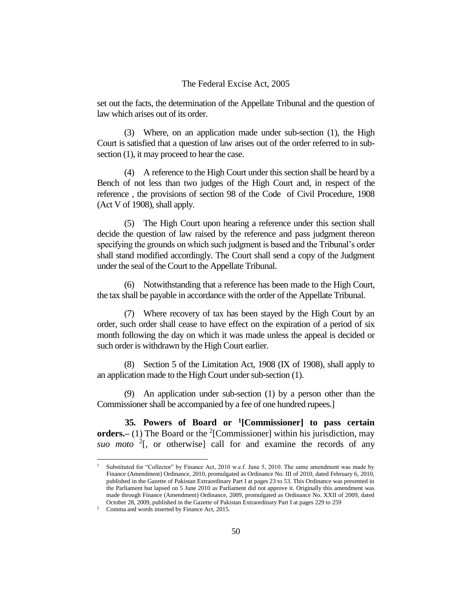set out the facts, the determination of the Appellate Tribunal and the question of law which arises out of its order.

(3) Where, on an application made under sub-section (1), the High Court is satisfied that a question of law arises out of the order referred to in subsection (1), it may proceed to hear the case.

(4) A reference to the High Court under this section shall be heard by a Bench of not less than two judges of the High Court and, in respect of the reference , the provisions of section 98 of the Code of Civil Procedure, 1908 (Act V of 1908), shall apply.

(5) The High Court upon hearing a reference under this section shall decide the question of law raised by the reference and pass judgment thereon specifying the grounds on which such judgment is based and the Tribunal's order shall stand modified accordingly. The Court shall send a copy of the Judgment under the seal of the Court to the Appellate Tribunal.

(6) Notwithstanding that a reference has been made to the High Court, the tax shall be payable in accordance with the order of the Appellate Tribunal.

(7) Where recovery of tax has been stayed by the High Court by an order, such order shall cease to have effect on the expiration of a period of six month following the day on which it was made unless the appeal is decided or such order is withdrawn by the High Court earlier.

(8) Section 5 of the Limitation Act, 1908 (IX of 1908), shall apply to an application made to the High Court under sub-section (1).

(9) An application under sub-section (1) by a person other than the Commissioner shall be accompanied by a fee of one hundred rupees.]

**35. Powers of Board or <sup>1</sup> [Commissioner] to pass certain orders.** (1) The Board or the <sup>2</sup>[Commissioner] within his jurisdiction, may *suo moto*  $2$ [, or otherwise] call for and examine the records of any

Substituted for "Collector" by Finance Act, 2010 w.e.f. June 5, 2010. The same amendment was made by Finance (Amendment) Ordinance, 2010, promulgated as Ordinance No. III of 2010, dated February 6, 2010, published in the Gazette of Pakistan Extraordinary Part I at pages 23 to 53. This Ordinance was presented in the Parliament but lapsed on 5 June 2010 as Parliament did not approve it. Originally this amendment was made through Finance (Amendment) Ordinance, 2009, promulgated as Ordinance No. XXII of 2009, dated October 28, 2009, published in the Gazette of Pakistan Extraordinary Part I at pages 229 to 259

<sup>&</sup>lt;sup>2</sup> Comma and words inserted by Finance Act, 2015.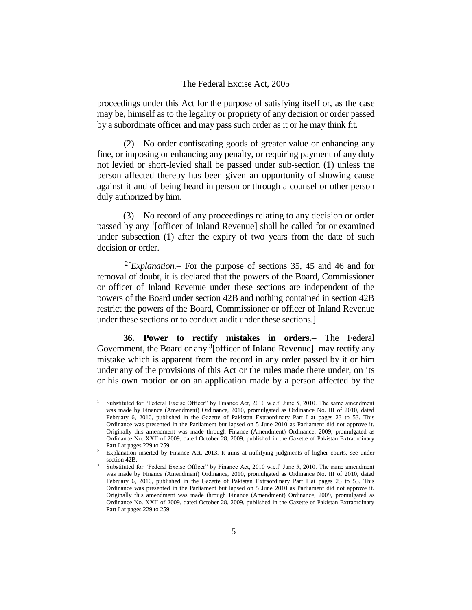proceedings under this Act for the purpose of satisfying itself or, as the case may be, himself as to the legality or propriety of any decision or order passed by a subordinate officer and may pass such order as it or he may think fit.

(2) No order confiscating goods of greater value or enhancing any fine, or imposing or enhancing any penalty, or requiring payment of any duty not levied or short-levied shall be passed under sub-section (1) unless the person affected thereby has been given an opportunity of showing cause against it and of being heard in person or through a counsel or other person duly authorized by him.

(3) No record of any proceedings relating to any decision or order passed by any <sup>1</sup>[officer of Inland Revenue] shall be called for or examined under subsection (1) after the expiry of two years from the date of such decision or order.

 $2$ <sup>2</sup>[*Explanation.*– For the purpose of sections 35, 45 and 46 and for removal of doubt, it is declared that the powers of the Board, Commissioner or officer of Inland Revenue under these sections are independent of the powers of the Board under section 42B and nothing contained in section 42B restrict the powers of the Board, Commissioner or officer of Inland Revenue under these sections or to conduct audit under these sections.]

**36. Power to rectify mistakes in orders.–** The Federal Government, the Board or any <sup>3</sup>[officer of Inland Revenue] may rectify any mistake which is apparent from the record in any order passed by it or him under any of the provisions of this Act or the rules made there under, on its or his own motion or on an application made by a person affected by the

Substituted for "Federal Excise Officer" by Finance Act, 2010 w.e.f. June 5, 2010. The same amendment was made by Finance (Amendment) Ordinance, 2010, promulgated as Ordinance No. III of 2010, dated February 6, 2010, published in the Gazette of Pakistan Extraordinary Part I at pages 23 to 53. This Ordinance was presented in the Parliament but lapsed on 5 June 2010 as Parliament did not approve it. Originally this amendment was made through Finance (Amendment) Ordinance, 2009, promulgated as Ordinance No. XXII of 2009, dated October 28, 2009, published in the Gazette of Pakistan Extraordinary Part I at pages 229 to 259

<sup>&</sup>lt;sup>2</sup> Explanation inserted by Finance Act, 2013. It aims at nullifying judgments of higher courts, see under section 42B.

<sup>3</sup> Substituted for "Federal Excise Officer" by Finance Act, 2010 w.e.f. June 5, 2010. The same amendment was made by Finance (Amendment) Ordinance, 2010, promulgated as Ordinance No. III of 2010, dated February 6, 2010, published in the Gazette of Pakistan Extraordinary Part I at pages 23 to 53. This Ordinance was presented in the Parliament but lapsed on 5 June 2010 as Parliament did not approve it. Originally this amendment was made through Finance (Amendment) Ordinance, 2009, promulgated as Ordinance No. XXII of 2009, dated October 28, 2009, published in the Gazette of Pakistan Extraordinary Part I at pages 229 to 259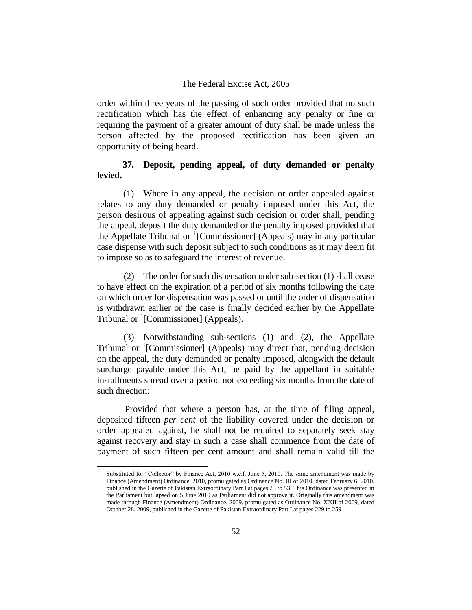order within three years of the passing of such order provided that no such rectification which has the effect of enhancing any penalty or fine or requiring the payment of a greater amount of duty shall be made unless the person affected by the proposed rectification has been given an opportunity of being heard.

## **37. Deposit, pending appeal, of duty demanded or penalty levied.–**

(1) Where in any appeal, the decision or order appealed against relates to any duty demanded or penalty imposed under this Act, the person desirous of appealing against such decision or order shall, pending the appeal, deposit the duty demanded or the penalty imposed provided that the Appellate Tribunal or  ${}^{1}$ [Commissioner] (Appeals) may in any particular case dispense with such deposit subject to such conditions as it may deem fit to impose so as to safeguard the interest of revenue.

(2) The order for such dispensation under sub-section (1) shall cease to have effect on the expiration of a period of six months following the date on which order for dispensation was passed or until the order of dispensation is withdrawn earlier or the case is finally decided earlier by the Appellate Tribunal or <sup>1</sup>[Commissioner] (Appeals).

(3) Notwithstanding sub-sections (1) and (2), the Appellate Tribunal or <sup>1</sup>[Commissioner] (Appeals) may direct that, pending decision on the appeal, the duty demanded or penalty imposed, alongwith the default surcharge payable under this Act, be paid by the appellant in suitable installments spread over a period not exceeding six months from the date of such direction:

Provided that where a person has, at the time of filing appeal, deposited fifteen *per cent* of the liability covered under the decision or order appealed against, he shall not be required to separately seek stay against recovery and stay in such a case shall commence from the date of payment of such fifteen per cent amount and shall remain valid till the

Substituted for "Collector" by Finance Act, 2010 w.e.f. June 5, 2010. The same amendment was made by Finance (Amendment) Ordinance, 2010, promulgated as Ordinance No. III of 2010, dated February 6, 2010, published in the Gazette of Pakistan Extraordinary Part I at pages 23 to 53. This Ordinance was presented in the Parliament but lapsed on 5 June 2010 as Parliament did not approve it. Originally this amendment was made through Finance (Amendment) Ordinance, 2009, promulgated as Ordinance No. XXII of 2009, dated October 28, 2009, published in the Gazette of Pakistan Extraordinary Part I at pages 229 to 259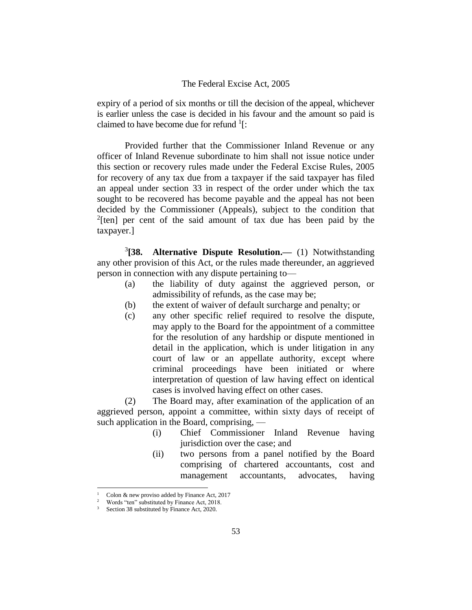expiry of a period of six months or till the decision of the appeal, whichever is earlier unless the case is decided in his favour and the amount so paid is claimed to have become due for refund  $1$ [:

Provided further that the Commissioner Inland Revenue or any officer of Inland Revenue subordinate to him shall not issue notice under this section or recovery rules made under the Federal Excise Rules, 2005 for recovery of any tax due from a taxpayer if the said taxpayer has filed an appeal under section 33 in respect of the order under which the tax sought to be recovered has become payable and the appeal has not been decided by the Commissioner (Appeals), subject to the condition that  $2$ [ten] per cent of the said amount of tax due has been paid by the taxpayer.]

 $3$ [38. **[38. Alternative Dispute Resolution.—** (1) Notwithstanding any other provision of this Act, or the rules made thereunder, an aggrieved person in connection with any dispute pertaining to—

- (a) the liability of duty against the aggrieved person, or admissibility of refunds, as the case may be;
- (b) the extent of waiver of default surcharge and penalty; or
- (c) any other specific relief required to resolve the dispute, may apply to the Board for the appointment of a committee for the resolution of any hardship or dispute mentioned in detail in the application, which is under litigation in any court of law or an appellate authority, except where criminal proceedings have been initiated or where interpretation of question of law having effect on identical cases is involved having effect on other cases.

(2) The Board may, after examination of the application of an aggrieved person, appoint a committee, within sixty days of receipt of such application in the Board, comprising, —

- (i) Chief Commissioner Inland Revenue having jurisdiction over the case; and
- (ii) two persons from a panel notified by the Board comprising of chartered accountants, cost and management accountants, advocates, having

Colon & new proviso added by Finance Act, 2017

Words "ten" substituted by Finance Act, 2018.

Section 38 substituted by Finance Act, 2020.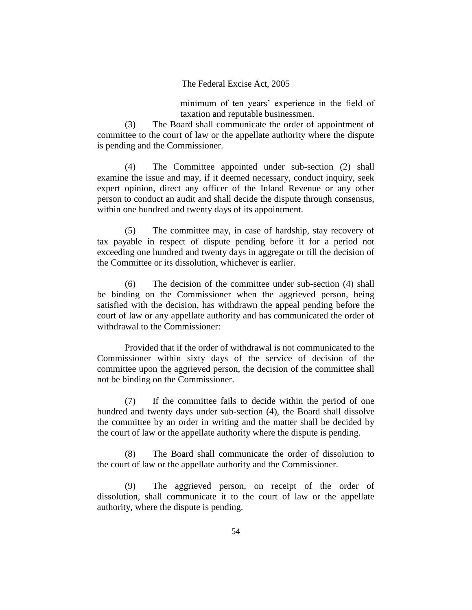minimum of ten years' experience in the field of taxation and reputable businessmen.

(3) The Board shall communicate the order of appointment of committee to the court of law or the appellate authority where the dispute is pending and the Commissioner.

(4) The Committee appointed under sub-section (2) shall examine the issue and may, if it deemed necessary, conduct inquiry, seek expert opinion, direct any officer of the Inland Revenue or any other person to conduct an audit and shall decide the dispute through consensus, within one hundred and twenty days of its appointment.

(5) The committee may, in case of hardship, stay recovery of tax payable in respect of dispute pending before it for a period not exceeding one hundred and twenty days in aggregate or till the decision of the Committee or its dissolution, whichever is earlier.

(6) The decision of the committee under sub-section (4) shall be binding on the Commissioner when the aggrieved person, being satisfied with the decision, has withdrawn the appeal pending before the court of law or any appellate authority and has communicated the order of withdrawal to the Commissioner:

Provided that if the order of withdrawal is not communicated to the Commissioner within sixty days of the service of decision of the committee upon the aggrieved person, the decision of the committee shall not be binding on the Commissioner.

(7) If the committee fails to decide within the period of one hundred and twenty days under sub-section (4), the Board shall dissolve the committee by an order in writing and the matter shall be decided by the court of law or the appellate authority where the dispute is pending.

(8) The Board shall communicate the order of dissolution to the court of law or the appellate authority and the Commissioner.

(9) The aggrieved person, on receipt of the order of dissolution, shall communicate it to the court of law or the appellate authority, where the dispute is pending.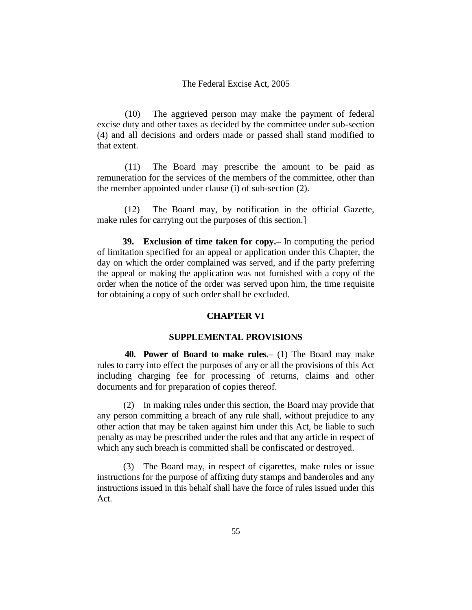(10) The aggrieved person may make the payment of federal excise duty and other taxes as decided by the committee under sub-section (4) and all decisions and orders made or passed shall stand modified to that extent.

(11) The Board may prescribe the amount to be paid as remuneration for the services of the members of the committee, other than the member appointed under clause (i) of sub-section (2).

(12) The Board may, by notification in the official Gazette, make rules for carrying out the purposes of this section.]

**39. Exclusion of time taken for copy.–** In computing the period of limitation specified for an appeal or application under this Chapter, the day on which the order complained was served, and if the party preferring the appeal or making the application was not furnished with a copy of the order when the notice of the order was served upon him, the time requisite for obtaining a copy of such order shall be excluded.

### **CHAPTER VI**

#### **SUPPLEMENTAL PROVISIONS**

**40. Power of Board to make rules.–** (1) The Board may make rules to carry into effect the purposes of any or all the provisions of this Act including charging fee for processing of returns, claims and other documents and for preparation of copies thereof.

(2) In making rules under this section, the Board may provide that any person committing a breach of any rule shall, without prejudice to any other action that may be taken against him under this Act, be liable to such penalty as may be prescribed under the rules and that any article in respect of which any such breach is committed shall be confiscated or destroyed.

(3) The Board may, in respect of cigarettes, make rules or issue instructions for the purpose of affixing duty stamps and banderoles and any instructions issued in this behalf shall have the force of rules issued under this Act.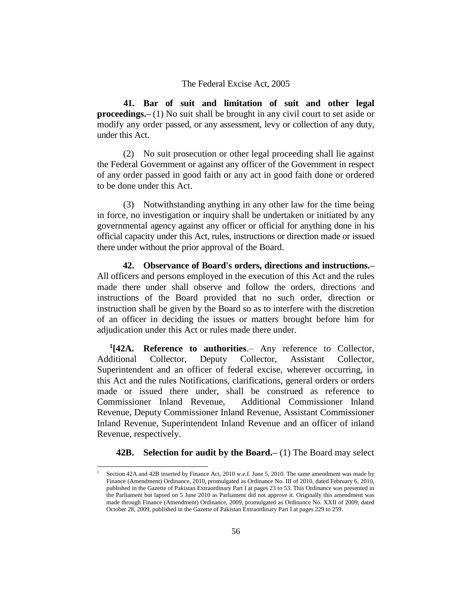**41. Bar of suit and limitation of suit and other legal proceedings.–** (1) No suit shall be brought in any civil court to set aside or modify any order passed, or any assessment, levy or collection of any duty, under this Act.

(2) No suit prosecution or other legal proceeding shall lie against the Federal Government or against any officer of the Government in respect of any order passed in good faith or any act in good faith done or ordered to be done under this Act.

(3) Notwithstanding anything in any other law for the time being in force, no investigation or inquiry shall be undertaken or initiated by any governmental agency against any officer or official for anything done in his official capacity under this Act, rules, instructions or direction made or issued there under without the prior approval of the Board.

**42. Observance of Board's orders, directions and instructions.–** All officers and persons employed in the execution of this Act and the rules made there under shall observe and follow the orders, directions and instructions of the Board provided that no such order, direction or instruction shall be given by the Board so as to interfere with the discretion of an officer in deciding the issues or matters brought before him for adjudication under this Act or rules made there under.

**1 [42A. Reference to authorities**.– Any reference to Collector, Additional Collector, Deputy Collector, Assistant Collector, Superintendent and an officer of federal excise, wherever occurring, in this Act and the rules Notifications, clarifications, general orders or orders made or issued there under, shall be construed as reference to Commissioner Inland Revenue, Additional Commissioner Inland Revenue, Deputy Commissioner Inland Revenue, Assistant Commissioner Inland Revenue, Superintendent Inland Revenue and an officer of inland Revenue, respectively.

**42B. Selection for audit by the Board.–** (1) The Board may select

Section 42A and 42B inserted by Finance Act, 2010 w.e.f. June 5, 2010. The same amendment was made by Finance (Amendment) Ordinance, 2010, promulgated as Ordinance No. III of 2010, dated February 6, 2010, published in the Gazette of Pakistan Extraordinary Part I at pages 23 to 53. This Ordinance was presented in the Parliament but lapsed on 5 June 2010 as Parliament did not approve it. Originally this amendment was made through Finance (Amendment) Ordinance, 2009, promulgated as Ordinance No. XXII of 2009, dated October 28, 2009, published in the Gazette of Pakistan Extraordinary Part I at pages 229 to 259.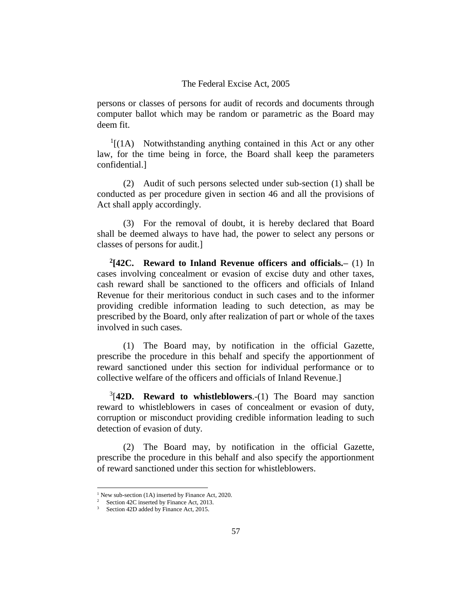persons or classes of persons for audit of records and documents through computer ballot which may be random or parametric as the Board may deem fit.

 $<sup>1</sup>$ [(1A) Notwithstanding anything contained in this Act or any other</sup> law, for the time being in force, the Board shall keep the parameters confidential.]

(2) Audit of such persons selected under sub-section (1) shall be conducted as per procedure given in section 46 and all the provisions of Act shall apply accordingly.

(3) For the removal of doubt, it is hereby declared that Board shall be deemed always to have had, the power to select any persons or classes of persons for audit.]

**2 [42C. Reward to Inland Revenue officers and officials.–** (1) In cases involving concealment or evasion of excise duty and other taxes, cash reward shall be sanctioned to the officers and officials of Inland Revenue for their meritorious conduct in such cases and to the informer providing credible information leading to such detection, as may be prescribed by the Board, only after realization of part or whole of the taxes involved in such cases.

(1) The Board may, by notification in the official Gazette, prescribe the procedure in this behalf and specify the apportionment of reward sanctioned under this section for individual performance or to collective welfare of the officers and officials of Inland Revenue.]

3 [**42D. Reward to whistleblowers**.-(1) The Board may sanction reward to whistleblowers in cases of concealment or evasion of duty, corruption or misconduct providing credible information leading to such detection of evasion of duty.

(2) The Board may, by notification in the official Gazette, prescribe the procedure in this behalf and also specify the apportionment of reward sanctioned under this section for whistleblowers.

<sup>&</sup>lt;sup>1</sup> New sub-section (1A) inserted by Finance Act, 2020.

<sup>&</sup>lt;sup>2</sup> Section 42C inserted by Finance Act, 2013.

<sup>&</sup>lt;sup>3</sup> Section 42D added by Finance Act, 2015.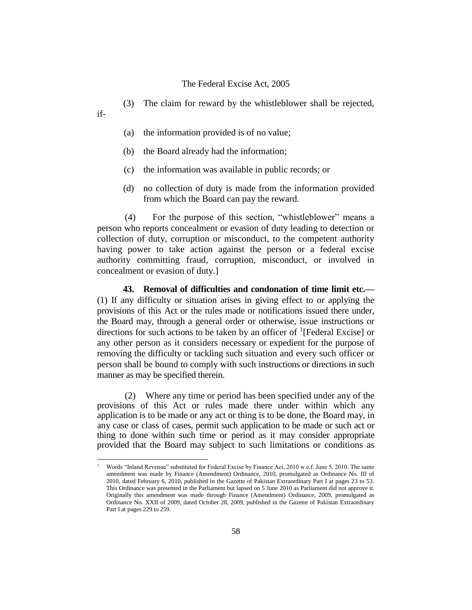- (3) The claim for reward by the whistleblower shall be rejected,
- if-

J.

- (a) the information provided is of no value;
- (b) the Board already had the information;
- (c) the information was available in public records; or
- (d) no collection of duty is made from the information provided from which the Board can pay the reward.

(4) For the purpose of this section, "whistleblower" means a person who reports concealment or evasion of duty leading to detection or collection of duty, corruption or misconduct, to the competent authority having power to take action against the person or a federal excise authority committing fraud, corruption, misconduct, or involved in concealment or evasion of duty.]

**43. Removal of difficulties and condonation of time limit etc.—** (1) If any difficulty or situation arises in giving effect to or applying the provisions of this Act or the rules made or notifications issued there under, the Board may, through a general order or otherwise, issue instructions or directions for such actions to be taken by an officer of  $\frac{1}{1}$ [Federal Excise] or any other person as it considers necessary or expedient for the purpose of removing the difficulty or tackling such situation and every such officer or person shall be bound to comply with such instructions or directions in such manner as may be specified therein.

(2) Where any time or period has been specified under any of the provisions of this Act or rules made there under within which any application is to be made or any act or thing is to be done, the Board may, in any case or class of cases, permit such application to be made or such act or thing to done within such time or period as it may consider appropriate provided that the Board may subject to such limitations or conditions as

<sup>1</sup> Words "Inland Revenue" substituted for Federal Excise by Finance Act, 2010 w.e.f. June 5, 2010. The same amendment was made by Finance (Amendment) Ordinance, 2010, promulgated as Ordinance No. III of 2010, dated February 6, 2010, published in the Gazette of Pakistan Extraordinary Part I at pages 23 to 53. This Ordinance was presented in the Parliament but lapsed on 5 June 2010 as Parliament did not approve it. Originally this amendment was made through Finance (Amendment) Ordinance, 2009, promulgated as Ordinance No. XXII of 2009, dated October 28, 2009, published in the Gazette of Pakistan Extraordinary Part I at pages 229 to 259.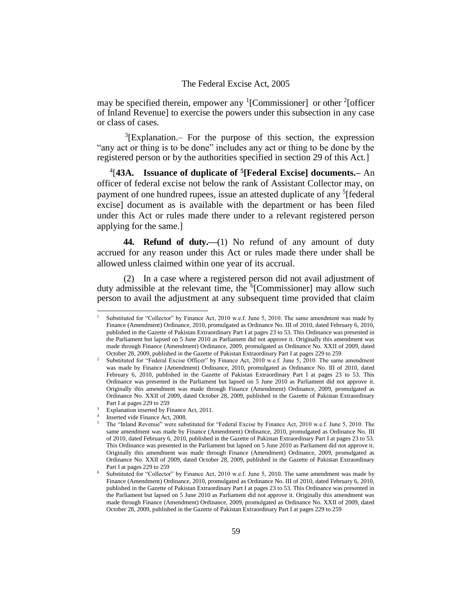may be specified therein, empower any  ${}^{1}$ [Commissioner] or other  ${}^{2}$ [officer of Inland Revenue] to exercise the powers under this subsection in any case or class of cases.

 ${}^{3}$ [Explanation.– For the purpose of this section, the expression "any act or thing is to be done" includes any act or thing to be done by the registered person or by the authorities specified in section 29 of this Act.]

4 [**43A. Issuance of duplicate of <sup>5</sup> [Federal Excise] documents.–** An officer of federal excise not below the rank of Assistant Collector may, on payment of one hundred rupees, issue an attested duplicate of any <sup>5</sup>[federal excise] document as is available with the department or has been filed under this Act or rules made there under to a relevant registered person applying for the same.]

**44. Refund of duty.—**(1) No refund of any amount of duty accrued for any reason under this Act or rules made there under shall be allowed unless claimed within one year of its accrual.

(2) In a case where a registered person did not avail adjustment of duty admissible at the relevant time, the  $6$ [Commissioner] may allow such person to avail the adjustment at any subsequent time provided that claim

Substituted for "Collector" by Finance Act, 2010 w.e.f. June 5, 2010. The same amendment was made by Finance (Amendment) Ordinance, 2010, promulgated as Ordinance No. III of 2010, dated February 6, 2010, published in the Gazette of Pakistan Extraordinary Part I at pages 23 to 53. This Ordinance was presented in the Parliament but lapsed on 5 June 2010 as Parliament did not approve it. Originally this amendment was made through Finance (Amendment) Ordinance, 2009, promulgated as Ordinance No. XXII of 2009, dated October 28, 2009, published in the Gazette of Pakistan Extraordinary Part I at pages 229 to 259

<sup>&</sup>lt;sup>2</sup> Substituted for "Federal Excise Officer" by Finance Act, 2010 w.e.f. June 5, 2010. The same amendment was made by Finance (Amendment) Ordinance, 2010, promulgated as Ordinance No. III of 2010, dated February 6, 2010, published in the Gazette of Pakistan Extraordinary Part I at pages 23 to 53. This Ordinance was presented in the Parliament but lapsed on 5 June 2010 as Parliament did not approve it. Originally this amendment was made through Finance (Amendment) Ordinance, 2009, promulgated as Ordinance No. XXII of 2009, dated October 28, 2009, published in the Gazette of Pakistan Extraordinary Part I at pages 229 to 259

<sup>&</sup>lt;sup>3</sup> Explanation inserted by Finance Act, 2011.

<sup>4</sup> Inserted vide Finance Act, 2008.

<sup>&</sup>lt;sup>5</sup> The "Inland Revenue" were substituted for "Federal Excise by Finance Act, 2010 w.e.f. June 5, 2010. The same amendment was made by Finance (Amendment) Ordinance, 2010, promulgated as Ordinance No. III of 2010, dated February 6, 2010, published in the Gazette of Pakistan Extraordinary Part I at pages 23 to 53. This Ordinance was presented in the Parliament but lapsed on 5 June 2010 as Parliament did not approve it. Originally this amendment was made through Finance (Amendment) Ordinance, 2009, promulgated as Ordinance No. XXII of 2009, dated October 28, 2009, published in the Gazette of Pakistan Extraordinary Part I at pages 229 to 259

<sup>6</sup> Substituted for "Collector" by Finance Act, 2010 w.e.f. June 5, 2010. The same amendment was made by Finance (Amendment) Ordinance, 2010, promulgated as Ordinance No. III of 2010, dated February 6, 2010, published in the Gazette of Pakistan Extraordinary Part I at pages 23 to 53. This Ordinance was presented in the Parliament but lapsed on 5 June 2010 as Parliament did not approve it. Originally this amendment was made through Finance (Amendment) Ordinance, 2009, promulgated as Ordinance No. XXII of 2009, dated October 28, 2009, published in the Gazette of Pakistan Extraordinary Part I at pages 229 to 259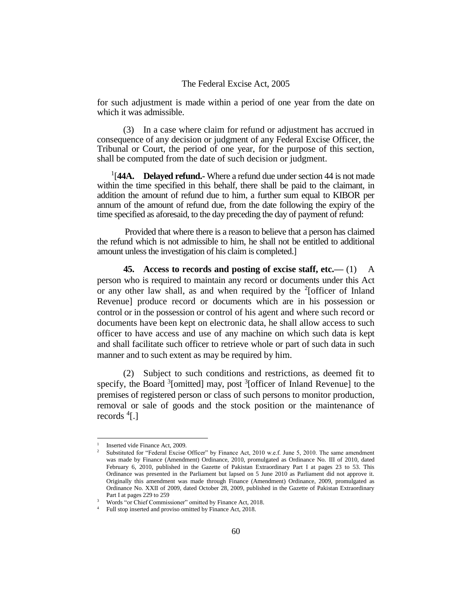for such adjustment is made within a period of one year from the date on which it was admissible.

(3) In a case where claim for refund or adjustment has accrued in consequence of any decision or judgment of any Federal Excise Officer, the Tribunal or Court, the period of one year, for the purpose of this section, shall be computed from the date of such decision or judgment.

<sup>1</sup>[44A. Delayed refund.- Where a refund due under section 44 is not made within the time specified in this behalf, there shall be paid to the claimant, in addition the amount of refund due to him, a further sum equal to KIBOR per annum of the amount of refund due, from the date following the expiry of the time specified as aforesaid, to the day preceding the day of payment of refund:

Provided that where there is a reason to believe that a person has claimed the refund which is not admissible to him, he shall not be entitled to additional amount unless the investigation of his claim is completed.]

**45. Access to records and posting of excise staff, etc.—** (1) A person who is required to maintain any record or documents under this Act or any other law shall, as and when required by the  $2$ [officer of Inland Revenue] produce record or documents which are in his possession or control or in the possession or control of his agent and where such record or documents have been kept on electronic data, he shall allow access to such officer to have access and use of any machine on which such data is kept and shall facilitate such officer to retrieve whole or part of such data in such manner and to such extent as may be required by him.

(2) Subject to such conditions and restrictions, as deemed fit to specify, the Board <sup>3</sup>[omitted] may, post <sup>3</sup>[officer of Inland Revenue] to the premises of registered person or class of such persons to monitor production, removal or sale of goods and the stock position or the maintenance of records <sup>4</sup>[.]

<sup>1</sup> Inserted vide Finance Act, 2009.

<sup>2</sup> Substituted for "Federal Excise Officer" by Finance Act, 2010 w.e.f. June 5, 2010. The same amendment was made by Finance (Amendment) Ordinance, 2010, promulgated as Ordinance No. III of 2010, dated February 6, 2010, published in the Gazette of Pakistan Extraordinary Part I at pages 23 to 53. This Ordinance was presented in the Parliament but lapsed on 5 June 2010 as Parliament did not approve it. Originally this amendment was made through Finance (Amendment) Ordinance, 2009, promulgated as Ordinance No. XXII of 2009, dated October 28, 2009, published in the Gazette of Pakistan Extraordinary Part I at pages 229 to 259

 $\frac{3}{4}$  Words "or Chief Commissioner" omitted by Finance Act, 2018.

Full stop inserted and proviso omitted by Finance Act, 2018.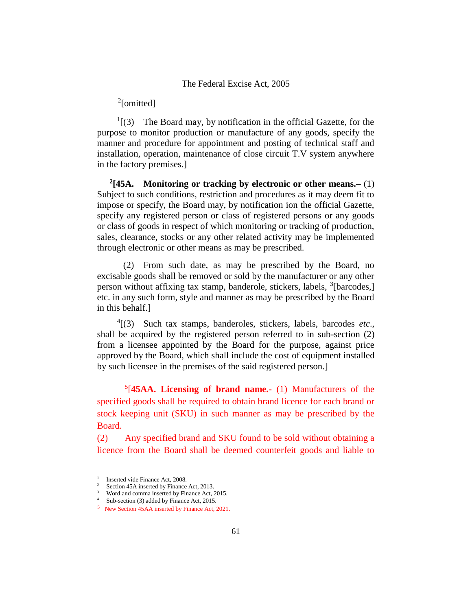# <sup>2</sup>[omitted]

 $<sup>1</sup>$ [(3) The Board may, by notification in the official Gazette, for the</sup> purpose to monitor production or manufacture of any goods, specify the manner and procedure for appointment and posting of technical staff and installation, operation, maintenance of close circuit T.V system anywhere in the factory premises.]

**2 [45A. Monitoring or tracking by electronic or other means.–** (1) Subject to such conditions, restriction and procedures as it may deem fit to impose or specify, the Board may, by notification ion the official Gazette, specify any registered person or class of registered persons or any goods or class of goods in respect of which monitoring or tracking of production, sales, clearance, stocks or any other related activity may be implemented through electronic or other means as may be prescribed.

(2) From such date, as may be prescribed by the Board, no excisable goods shall be removed or sold by the manufacturer or any other person without affixing tax stamp, banderole, stickers, labels, <sup>3</sup>[barcodes,] etc. in any such form, style and manner as may be prescribed by the Board in this behalf.]

4 [(3) Such tax stamps, banderoles, stickers, labels, barcodes *etc*., shall be acquired by the registered person referred to in sub-section (2) from a licensee appointed by the Board for the purpose, against price approved by the Board, which shall include the cost of equipment installed by such licensee in the premises of the said registered person.]

5 [**45AA. Licensing of brand name.-** (1) Manufacturers of the specified goods shall be required to obtain brand licence for each brand or stock keeping unit (SKU) in such manner as may be prescribed by the Board.

(2) Any specified brand and SKU found to be sold without obtaining a licence from the Board shall be deemed counterfeit goods and liable to

j.

<sup>1</sup> Inserted vide Finance Act, 2008.

<sup>&</sup>lt;sup>2</sup> Section 45A inserted by Finance Act, 2013.

<sup>3</sup> Word and comma inserted by Finance Act, 2015. Sub-section (3) added by Finance Act, 2015.

<sup>5</sup> New Section 45AA inserted by Finance Act, 2021.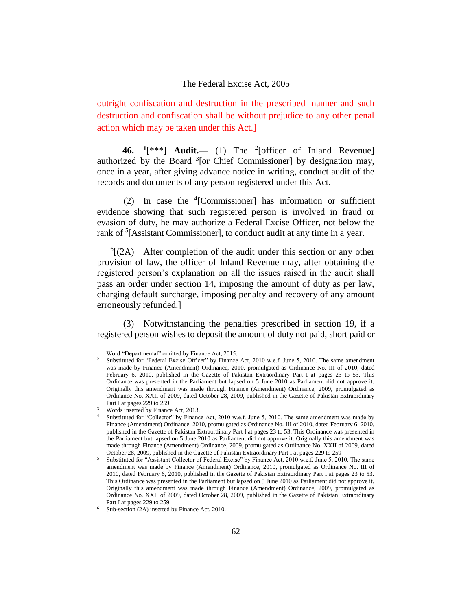outright confiscation and destruction in the prescribed manner and such destruction and confiscation shall be without prejudice to any other penal action which may be taken under this Act.]

**46. <sup>1</sup>** [\*\*\*] **Audit.—** (1) The <sup>2</sup> [officer of Inland Revenue] authorized by the Board  $3$ [or Chief Commissioner] by designation may, once in a year, after giving advance notice in writing, conduct audit of the records and documents of any person registered under this Act.

(2) In case the <sup>4</sup> [Commissioner] has information or sufficient evidence showing that such registered person is involved in fraud or evasion of duty, he may authorize a Federal Excise Officer, not below the rank of <sup>5</sup>[Assistant Commissioner], to conduct audit at any time in a year.

 ${}^{6}$ [(2A) After completion of the audit under this section or any other provision of law, the officer of Inland Revenue may, after obtaining the registered person's explanation on all the issues raised in the audit shall pass an order under section 14, imposing the amount of duty as per law, charging default surcharge, imposing penalty and recovery of any amount erroneously refunded.]

(3) Notwithstanding the penalties prescribed in section 19, if a registered person wishes to deposit the amount of duty not paid, short paid or

Word "Departmental" omitted by Finance Act, 2015.

<sup>2</sup> Substituted for "Federal Excise Officer" by Finance Act, 2010 w.e.f. June 5, 2010. The same amendment was made by Finance (Amendment) Ordinance, 2010, promulgated as Ordinance No. III of 2010, dated February 6, 2010, published in the Gazette of Pakistan Extraordinary Part I at pages 23 to 53. This Ordinance was presented in the Parliament but lapsed on 5 June 2010 as Parliament did not approve it. Originally this amendment was made through Finance (Amendment) Ordinance, 2009, promulgated as Ordinance No. XXII of 2009, dated October 28, 2009, published in the Gazette of Pakistan Extraordinary Part I at pages 229 to 259.

<sup>&</sup>lt;sup>3</sup> Words inserted by Finance Act, 2013.

Substituted for "Collector" by Finance Act, 2010 w.e.f. June 5, 2010. The same amendment was made by Finance (Amendment) Ordinance, 2010, promulgated as Ordinance No. III of 2010, dated February 6, 2010, published in the Gazette of Pakistan Extraordinary Part I at pages 23 to 53. This Ordinance was presented in the Parliament but lapsed on 5 June 2010 as Parliament did not approve it. Originally this amendment was made through Finance (Amendment) Ordinance, 2009, promulgated as Ordinance No. XXII of 2009, dated October 28, 2009, published in the Gazette of Pakistan Extraordinary Part I at pages 229 to 259

<sup>5</sup> Substituted for "Assistant Collector of Federal Excise" by Finance Act, 2010 w.e.f. June 5, 2010. The same amendment was made by Finance (Amendment) Ordinance, 2010, promulgated as Ordinance No. III of 2010, dated February 6, 2010, published in the Gazette of Pakistan Extraordinary Part I at pages 23 to 53. This Ordinance was presented in the Parliament but lapsed on 5 June 2010 as Parliament did not approve it. Originally this amendment was made through Finance (Amendment) Ordinance, 2009, promulgated as Ordinance No. XXII of 2009, dated October 28, 2009, published in the Gazette of Pakistan Extraordinary Part I at pages 229 to 259

Sub-section (2A) inserted by Finance Act, 2010.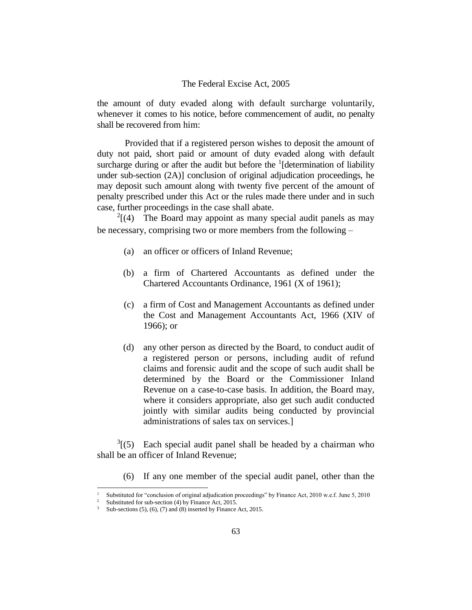the amount of duty evaded along with default surcharge voluntarily, whenever it comes to his notice, before commencement of audit, no penalty shall be recovered from him:

Provided that if a registered person wishes to deposit the amount of duty not paid, short paid or amount of duty evaded along with default surcharge during or after the audit but before the  $\frac{1}{1}$  [determination of liability under sub-section (2A)] conclusion of original adjudication proceedings, he may deposit such amount along with twenty five percent of the amount of penalty prescribed under this Act or the rules made there under and in such case, further proceedings in the case shall abate.

 $2[(4)$  The Board may appoint as many special audit panels as may be necessary, comprising two or more members from the following –

- (a) an officer or officers of Inland Revenue;
- (b) a firm of Chartered Accountants as defined under the Chartered Accountants Ordinance, 1961 (X of 1961);
- (c) a firm of Cost and Management Accountants as defined under the Cost and Management Accountants Act, 1966 (XIV of 1966); or
- (d) any other person as directed by the Board, to conduct audit of a registered person or persons, including audit of refund claims and forensic audit and the scope of such audit shall be determined by the Board or the Commissioner Inland Revenue on a case-to-case basis. In addition, the Board may, where it considers appropriate, also get such audit conducted jointly with similar audits being conducted by provincial administrations of sales tax on services.]

 $3(5)$  Each special audit panel shall be headed by a chairman who shall be an officer of Inland Revenue;

(6) If any one member of the special audit panel, other than the

Substituted for "conclusion of original adjudication proceedings" by Finance Act, 2010 w.e.f. June 5, 2010

Substituted for sub-section (4) by Finance Act, 2015.

Sub-sections  $(5)$ ,  $(6)$ ,  $(7)$  and  $(8)$  inserted by Finance Act, 2015.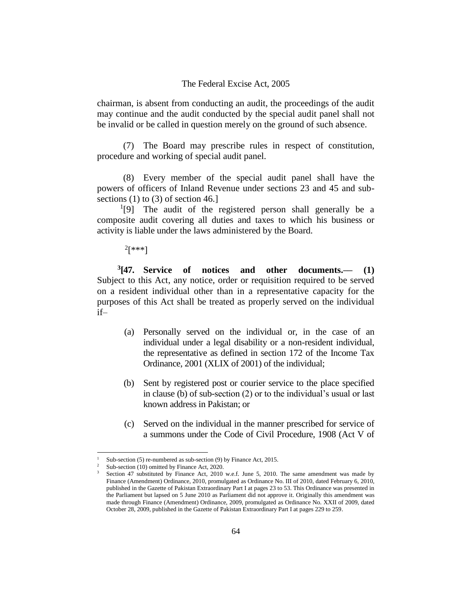chairman, is absent from conducting an audit, the proceedings of the audit may continue and the audit conducted by the special audit panel shall not be invalid or be called in question merely on the ground of such absence.

(7) The Board may prescribe rules in respect of constitution, procedure and working of special audit panel.

(8) Every member of the special audit panel shall have the powers of officers of Inland Revenue under sections 23 and 45 and subsections  $(1)$  to  $(3)$  of section 46.]

<sup>1</sup>[9] The audit of the registered person shall generally be a composite audit covering all duties and taxes to which his business or activity is liable under the laws administered by the Board.

 $^{2}$ [\*\*\*]

**3 [47. Service of notices and other documents.–– (1)** Subject to this Act, any notice, order or requisition required to be served on a resident individual other than in a representative capacity for the purposes of this Act shall be treated as properly served on the individual if–

- (a) Personally served on the individual or, in the case of an individual under a legal disability or a non-resident individual, the representative as defined in section 172 of the Income Tax Ordinance, 2001 (XLIX of 2001) of the individual;
- (b) Sent by registered post or courier service to the place specified in clause (b) of sub-section (2) or to the individual's usual or last known address in Pakistan; or
- (c) Served on the individual in the manner prescribed for service of a summons under the Code of Civil Procedure, 1908 (Act V of

Sub-section (5) re-numbered as sub-section (9) by Finance Act, 2015.

<sup>&</sup>lt;sup>2</sup> Sub-section (10) omitted by Finance Act, 2020.

Section 47 substituted by Finance Act, 2010 w.e.f. June 5, 2010. The same amendment was made by Finance (Amendment) Ordinance, 2010, promulgated as Ordinance No. III of 2010, dated February 6, 2010, published in the Gazette of Pakistan Extraordinary Part I at pages 23 to 53. This Ordinance was presented in the Parliament but lapsed on 5 June 2010 as Parliament did not approve it. Originally this amendment was made through Finance (Amendment) Ordinance, 2009, promulgated as Ordinance No. XXII of 2009, dated October 28, 2009, published in the Gazette of Pakistan Extraordinary Part I at pages 229 to 259.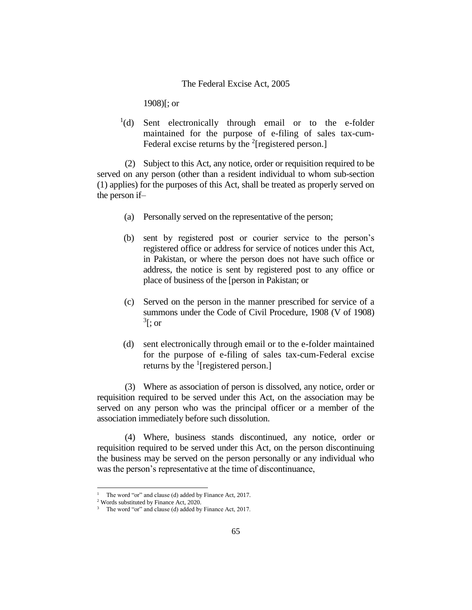1908)[; or

<sup>1</sup>(d) Sent electronically through email or to the e-folder maintained for the purpose of e-filing of sales tax-cum-Federal excise returns by the  $2$ [registered person.]

(2) Subject to this Act, any notice, order or requisition required to be served on any person (other than a resident individual to whom sub-section (1) applies) for the purposes of this Act, shall be treated as properly served on the person if–

- (a) Personally served on the representative of the person;
- (b) sent by registered post or courier service to the person's registered office or address for service of notices under this Act, in Pakistan, or where the person does not have such office or address, the notice is sent by registered post to any office or place of business of the [person in Pakistan; or
- (c) Served on the person in the manner prescribed for service of a summons under the Code of Civil Procedure, 1908 (V of 1908)  $\mathrm{^{3}[}; \mathrm{or}$
- (d) sent electronically through email or to the e-folder maintained for the purpose of e-filing of sales tax-cum-Federal excise returns by the  $\frac{1}{2}$  [registered person.]

(3) Where as association of person is dissolved, any notice, order or requisition required to be served under this Act, on the association may be served on any person who was the principal officer or a member of the association immediately before such dissolution.

(4) Where, business stands discontinued, any notice, order or requisition required to be served under this Act, on the person discontinuing the business may be served on the person personally or any individual who was the person's representative at the time of discontinuance,

<sup>&</sup>lt;sup>1</sup> The word "or" and clause (d) added by Finance Act, 2017.

<sup>2</sup> Words substituted by Finance Act, 2020.

The word "or" and clause (d) added by Finance Act, 2017.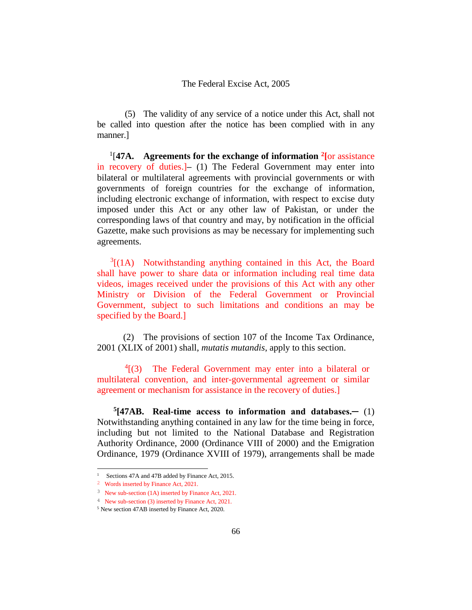(5) The validity of any service of a notice under this Act, shall not be called into question after the notice has been complied with in any manner.]

1 [**47A. Agreements for the exchange of information <sup>2</sup> [**or assistance in recovery of duties.]**–** (1) The Federal Government may enter into bilateral or multilateral agreements with provincial governments or with governments of foreign countries for the exchange of information, including electronic exchange of information, with respect to excise duty imposed under this Act or any other law of Pakistan, or under the corresponding laws of that country and may, by notification in the official Gazette, make such provisions as may be necessary for implementing such agreements.

 $3[(1A)$  Notwithstanding anything contained in this Act, the Board shall have power to share data or information including real time data videos, images received under the provisions of this Act with any other Ministry or Division of the Federal Government or Provincial Government, subject to such limitations and conditions an may be specified by the Board.]

(2) The provisions of section 107 of the Income Tax Ordinance, 2001 (XLIX of 2001) shall, *mutatis mutandis*, apply to this section.

4 [(3) The Federal Government may enter into a bilateral or multilateral convention, and inter-governmental agreement or similar agreement or mechanism for assistance in the recovery of duties.]

**5 [47AB. Real-time access to information and databases.─** (1) Notwithstanding anything contained in any law for the time being in force, including but not limited to the National Database and Registration Authority Ordinance, 2000 (Ordinance VIII of 2000) and the Emigration Ordinance, 1979 (Ordinance XVIII of 1979), arrangements shall be made

Sections 47A and 47B added by Finance Act, 2015.

<sup>2</sup> Words inserted by Finance Act, 2021.

<sup>3</sup> New sub-section (1A) inserted by Finance Act, 2021.

<sup>4</sup> New sub-section (3) inserted by Finance Act, 2021.

<sup>5</sup> New section 47AB inserted by Finance Act, 2020.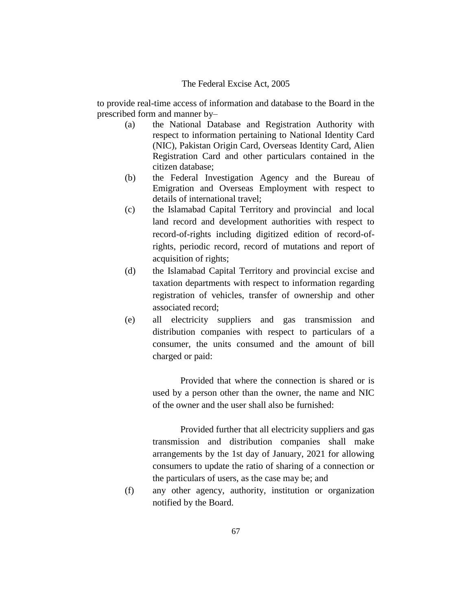to provide real-time access of information and database to the Board in the prescribed form and manner by–

- (a) the National Database and Registration Authority with respect to information pertaining to National Identity Card (NIC), Pakistan Origin Card, Overseas Identity Card, Alien Registration Card and other particulars contained in the citizen database;
- (b) the Federal Investigation Agency and the Bureau of Emigration and Overseas Employment with respect to details of international travel;
- (c) the Islamabad Capital Territory and provincial and local land record and development authorities with respect to record-of-rights including digitized edition of record-ofrights, periodic record, record of mutations and report of acquisition of rights;
- (d) the Islamabad Capital Territory and provincial excise and taxation departments with respect to information regarding registration of vehicles, transfer of ownership and other associated record;
- (e) all electricity suppliers and gas transmission and distribution companies with respect to particulars of a consumer, the units consumed and the amount of bill charged or paid:

Provided that where the connection is shared or is used by a person other than the owner, the name and NIC of the owner and the user shall also be furnished:

Provided further that all electricity suppliers and gas transmission and distribution companies shall make arrangements by the 1st day of January, 2021 for allowing consumers to update the ratio of sharing of a connection or the particulars of users, as the case may be; and

(f) any other agency, authority, institution or organization notified by the Board.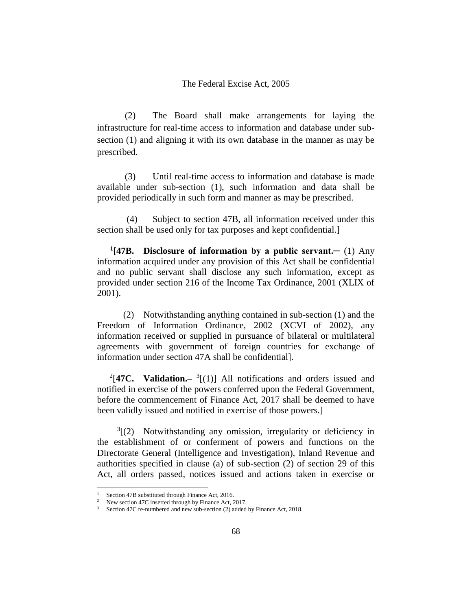(2) The Board shall make arrangements for laying the infrastructure for real-time access to information and database under subsection (1) and aligning it with its own database in the manner as may be prescribed.

(3) Until real-time access to information and database is made available under sub-section (1), such information and data shall be provided periodically in such form and manner as may be prescribed.

(4) Subject to section 47B, all information received under this section shall be used only for tax purposes and kept confidential.]

**1 [47B. Disclosure of information by a public servant.─** (1) Any information acquired under any provision of this Act shall be confidential and no public servant shall disclose any such information, except as provided under section 216 of the Income Tax Ordinance, 2001 (XLIX of 2001).

(2) Notwithstanding anything contained in sub-section (1) and the Freedom of Information Ordinance, 2002 (XCVI of 2002), any information received or supplied in pursuance of bilateral or multilateral agreements with government of foreign countries for exchange of information under section 47A shall be confidential].

<sup>2</sup>[47C. Validation.– $3[(1)]$  All notifications and orders issued and notified in exercise of the powers conferred upon the Federal Government, before the commencement of Finance Act, 2017 shall be deemed to have been validly issued and notified in exercise of those powers.]

 $3(2)$  Notwithstanding any omission, irregularity or deficiency in the establishment of or conferment of powers and functions on the Directorate General (Intelligence and Investigation), Inland Revenue and authorities specified in clause (a) of sub-section (2) of section 29 of this Act, all orders passed, notices issued and actions taken in exercise or

Section 47B substituted through Finance Act, 2016.

New section 47C inserted through by Finance Act, 2017.

Section 47C re-numbered and new sub-section (2) added by Finance Act, 2018.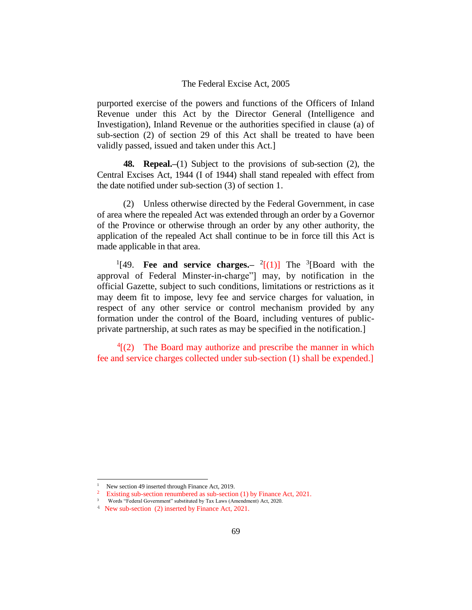purported exercise of the powers and functions of the Officers of Inland Revenue under this Act by the Director General (Intelligence and Investigation), Inland Revenue or the authorities specified in clause (a) of sub-section (2) of section 29 of this Act shall be treated to have been validly passed, issued and taken under this Act.]

**48. Repeal.–**(1) Subject to the provisions of sub-section (2), the Central Excises Act, 1944 (I of 1944) shall stand repealed with effect from the date notified under sub-section (3) of section 1.

(2) Unless otherwise directed by the Federal Government, in case of area where the repealed Act was extended through an order by a Governor of the Province or otherwise through an order by any other authority, the application of the repealed Act shall continue to be in force till this Act is made applicable in that area.

<sup>1</sup>[49. **Fee and service charges.**-  $\frac{2}{(1)}$  The <sup>3</sup>[Board with the approval of Federal Minster-in-charge"] may, by notification in the official Gazette, subject to such conditions, limitations or restrictions as it may deem fit to impose, levy fee and service charges for valuation, in respect of any other service or control mechanism provided by any formation under the control of the Board, including ventures of publicprivate partnership, at such rates as may be specified in the notification.]

 $4(2)$  The Board may authorize and prescribe the manner in which fee and service charges collected under sub-section (1) shall be expended.]

New section 49 inserted through Finance Act, 2019.

<sup>&</sup>lt;sup>2</sup> Existing sub-section renumbered as sub-section (1) by Finance Act, 2021.

<sup>3</sup> Words "Federal Government" substituted by Tax Laws (Amendment) Act, 2020.

<sup>4</sup> New sub-section (2) inserted by Finance Act, 2021.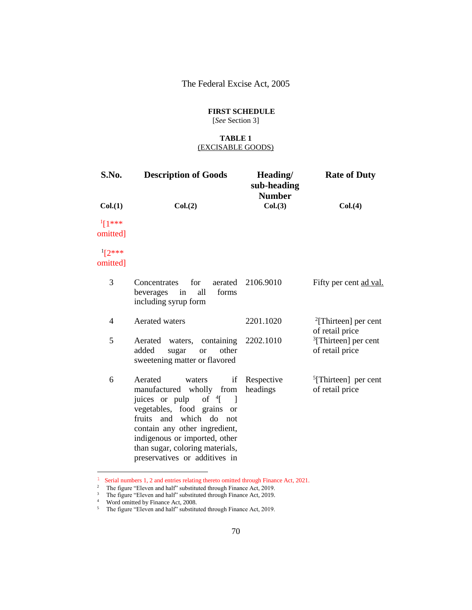## **FIRST SCHEDULE**

[*See* Section 3]

#### **TABLE 1** (EXCISABLE GOODS)

| S.No.                 | <b>Description of Goods</b>                                                                                                                                                                                                                                                                              | Heading/<br>sub-heading<br><b>Number</b> | <b>Rate of Duty</b>                           |
|-----------------------|----------------------------------------------------------------------------------------------------------------------------------------------------------------------------------------------------------------------------------------------------------------------------------------------------------|------------------------------------------|-----------------------------------------------|
| Col.(1)               | Col.(2)                                                                                                                                                                                                                                                                                                  | Col.(3)                                  | Col. (4)                                      |
| $1[1***]$<br>omitted] |                                                                                                                                                                                                                                                                                                          |                                          |                                               |
| $12***$<br>omitted]   |                                                                                                                                                                                                                                                                                                          |                                          |                                               |
| 3                     | for<br>aerated<br>Concentrates<br>all<br>forms<br>beverages<br>in<br>including syrup form                                                                                                                                                                                                                | 2106.9010                                | Fifty per cent ad val.                        |
| 4                     | <b>Aerated</b> waters                                                                                                                                                                                                                                                                                    | 2201.1020                                | $^{2}$ [Thirteen] per cent<br>of retail price |
| 5                     | waters, containing<br>Aerated<br>added<br>other<br>sugar<br><b>or</b><br>sweetening matter or flavored                                                                                                                                                                                                   | 2202.1010                                | $3$ [Thirteen] per cent<br>of retail price    |
| 6                     | Aerated<br>if<br>waters<br>manufactured wholly from<br>of $\frac{4}{1}$ 1<br>juices or pulp<br>vegetables, food grains<br><sub>or</sub><br>fruits and which do not<br>contain any other ingredient,<br>indigenous or imported, other<br>than sugar, coloring materials,<br>preservatives or additives in | Respective<br>headings                   | $[Thirteen]$ per cent<br>of retail price      |

 $^{\rm 1}$  Serial numbers 1, 2 and entries relating thereto omitted through Finance Act, 2021.

j.

<sup>&</sup>lt;sup>2</sup> The figure "Eleven and half" substituted through Finance Act, 2019.

 $3$  The figure "Eleven and half" substituted through Finance Act, 2019.

<sup>&</sup>lt;sup>4</sup> Word omitted by Finance Act, 2008.

 $5$  The figure "Eleven and half" substituted through Finance Act, 2019.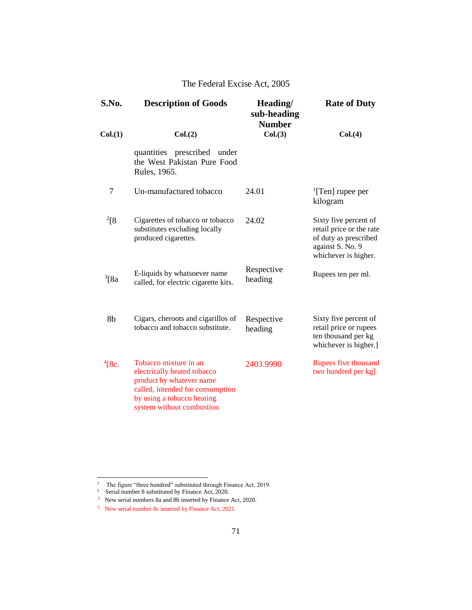| S.No.       | <b>Description of Goods</b>                                                                                                                                                     | Heading/<br>sub-heading<br><b>Number</b> | <b>Rate of Duty</b>                                                                                                    |
|-------------|---------------------------------------------------------------------------------------------------------------------------------------------------------------------------------|------------------------------------------|------------------------------------------------------------------------------------------------------------------------|
| Col.(1)     | Col.(2)                                                                                                                                                                         | Col.(3)                                  | Col. (4)                                                                                                               |
|             | quantities prescribed under<br>the West Pakistan Pure Food<br>Rules, 1965.                                                                                                      |                                          |                                                                                                                        |
| 7           | Un-manufactured tobacco                                                                                                                                                         | 24.01                                    | $\rm{^{1}[Ten]}$ rupee per<br>kilogram                                                                                 |
| $^{2}[8]$   | Cigarettes of tobacco or tobacco<br>substitutes excluding locally<br>produced cigarettes.                                                                                       | 24.02                                    | Sixty five percent of<br>retail price or the rate<br>of duty as prescribed<br>against S. No. 9<br>whichever is higher. |
| $3$ [8a     | E-liquids by whatsoever name<br>called, for electric cigarette kits.                                                                                                            | Respective<br>heading                    | Rupees ten per ml.                                                                                                     |
| 8b          | Cigars, cheroots and cigarillos of<br>tobacco and tobacco substitute.                                                                                                           | Respective<br>heading                    | Sixty five percent of<br>retail price or rupees<br>ten thousand per kg<br>whichever is higher.]                        |
| $^{4}$ [8c. | Tobacco mixture in an<br>electrically heated tobacco<br>product by whatever name<br>called, intended for consumption<br>by using a tobacco heating<br>system without combustion | 2403.9990                                | Rupees five thousand<br>two hundred per kg]                                                                            |

<sup>&</sup>lt;sup>1</sup> The figure "three hundred" substituted through Finance Act, 2019.<br><sup>2</sup> Serial number 8 substituted by Finance Act, 2020.

<sup>3</sup> New serial numbers 8a and 8b inserted by Finance Act, 2020.

<sup>4</sup> New serial number 8c inserted by Finance Act, 2021.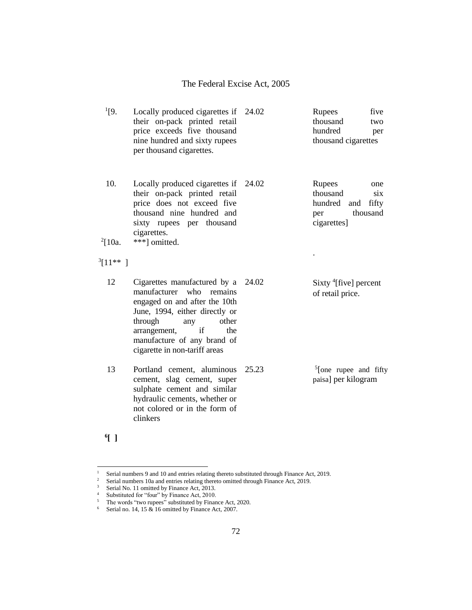| $^{1}[9.$           | Locally produced cigarettes if 24.02<br>their on-pack printed retail<br>price exceeds five thousand<br>nine hundred and sixty rupees<br>per thousand cigarettes.                                                                                          |       | Rupees<br>five<br>thousand<br>two<br>hundred<br>per<br>thousand cigarettes              |
|---------------------|-----------------------------------------------------------------------------------------------------------------------------------------------------------------------------------------------------------------------------------------------------------|-------|-----------------------------------------------------------------------------------------|
| 10.<br>$^{2}$ [10a. | Locally produced cigarettes if<br>their on-pack printed retail<br>price does not exceed five<br>thousand nine hundred and<br>sixty rupees per thousand<br>cigarettes.<br>***] omitted.                                                                    | 24.02 | Rupees<br>one<br>thousand<br>six<br>hundred and fifty<br>thousand<br>per<br>cigarettes] |
|                     |                                                                                                                                                                                                                                                           |       |                                                                                         |
| $3[11**]$           |                                                                                                                                                                                                                                                           |       |                                                                                         |
| 12                  | Cigarettes manufactured by a<br>manufacturer<br>who<br>remains<br>engaged on and after the 10th<br>June, 1994, either directly or<br>through<br>other<br>any<br>if<br>arrangement,<br>the<br>manufacture of any brand of<br>cigarette in non-tariff areas | 24.02 | Sixty $^{4}$ [five] percent<br>of retail price.                                         |
| 13                  | Portland cement, aluminous<br>cement, slag cement, super<br>sulphate cement and similar<br>hydraulic cements, whether or<br>not colored or in the form of<br>clinkers                                                                                     | 25.23 | $5$ [one rupee and fifty<br>paisa] per kilogram                                         |

**6 [ ]**

 $1\,$ <sup>1</sup> Serial numbers 9 and 10 and entries relating thereto substituted through Finance Act, 2019.

<sup>&</sup>lt;sup>2</sup> Serial numbers 10a and entries relating thereto omitted through Finance Act, 2019.

<sup>&</sup>lt;sup>3</sup> Serial No. 11 omitted by Finance Act, 2013.

<sup>&</sup>lt;sup>4</sup> Substituted for "four" by Finance Act, 2010.

 $5$  The words "two rupees" substituted by Finance Act, 2020.

<sup>&</sup>lt;sup>6</sup> Serial no. 14, 15  $&$  16 omitted by Finance Act, 2007.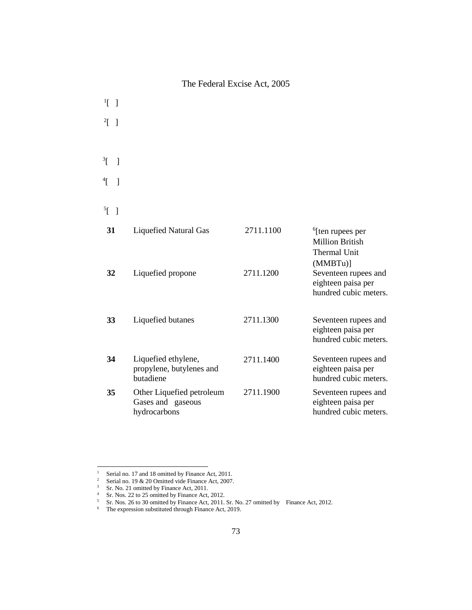$\left[ \begin{array}{c} 1 \end{array} \right]$  $2[$  ] <sup>3</sup>[ ]  $\left[ \begin{array}{c} 4 \end{array} \right]$  $\mathrm{^{5}L}$  ]

| 31<br>32 | <b>Liquefied Natural Gas</b><br>Liquefied propone              | 2711.1100<br>2711.1200 | $6$ [ten rupees per<br>Million British<br>Thermal Unit<br>(MMBTu)<br>Seventeen rupees and<br>eighteen paisa per<br>hundred cubic meters. |
|----------|----------------------------------------------------------------|------------------------|------------------------------------------------------------------------------------------------------------------------------------------|
| 33       | Liquefied butanes                                              | 2711.1300              | Seventeen rupees and<br>eighteen paisa per<br>hundred cubic meters.                                                                      |
| 34       | Liquefied ethylene,<br>propylene, butylenes and<br>butadiene   | 2711.1400              | Seventeen rupees and<br>eighteen paisa per<br>hundred cubic meters.                                                                      |
| 35       | Other Liquefied petroleum<br>Gases and gaseous<br>hydrocarbons | 2711.1900              | Seventeen rupees and<br>eighteen paisa per<br>hundred cubic meters.                                                                      |

 $1\,$ <sup>1</sup> Serial no. 17 and 18 omitted by Finance Act, 2011.<br><sup>2</sup> Serial no. 19 & 20 Omitted vide Finance Act, 2007

Serial no. 19 & 20 Omitted vide Finance Act, 2007.

 $3$  Sr. No. 21 omitted by Finance Act, 2011.

<sup>&</sup>lt;sup>4</sup> Sr. Nos. 22 to 25 omitted by Finance Act, 2012.

<sup>&</sup>lt;sup>5</sup> Sr. Nos. 26 to 30 omitted by Finance Act, 2011. Sr. No. 27 omitted by Finance Act, 2012.

 $6$  The expression substituted through Finance Act, 2019.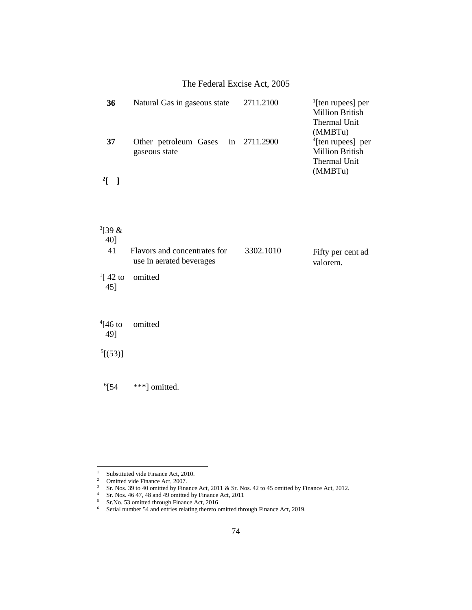|                       | $1.001$ called $1.0001$ req. $2000$                      |           |                                                                                      |
|-----------------------|----------------------------------------------------------|-----------|--------------------------------------------------------------------------------------|
| 36                    | Natural Gas in gaseous state                             | 2711.2100 | $\frac{1}{2}$ [ten rupees] per<br><b>Million British</b><br>Thermal Unit             |
| 37                    | Other petroleum Gases in 2711.2900<br>gaseous state      |           | (MMBTu)<br>$4$ [ten rupees] per<br><b>Million British</b><br>Thermal Unit<br>(MMBTu) |
| $\frac{2}{1}$         |                                                          |           |                                                                                      |
| $^{3}$ [39 &          |                                                          |           |                                                                                      |
| 40]<br>41             | Flavors and concentrates for<br>use in aerated beverages | 3302.1010 | Fifty per cent ad<br>valorem.                                                        |
| $^{1}$ [ 42 to<br>45] | omitted                                                  |           |                                                                                      |
| $^{4}$ [46 to<br>49]  | omitted                                                  |           |                                                                                      |
| $^{5}[(53)]$          |                                                          |           |                                                                                      |

 $^{6}$ [54

\*\*\*] omitted.

 $1\,$ <sup>1</sup> Substituted vide Finance Act, 2010.<br><sup>2</sup> Omitted vide Finance Act, 2007.

Omitted vide Finance Act, 2007.

 $3\quad$  Sr. Nos. 39 to 40 omitted by Finance Act, 2011 & Sr. Nos. 42 to 45 omitted by Finance Act, 2012.

 $4$  Sr. Nos. 46 47, 48 and 49 omitted by Finance Act, 2011

<sup>&</sup>lt;sup>5</sup> Sr.No. 53 omitted through Finance Act, 2016

<sup>&</sup>lt;sup>6</sup> Serial number 54 and entries relating thereto omitted through Finance Act, 2019.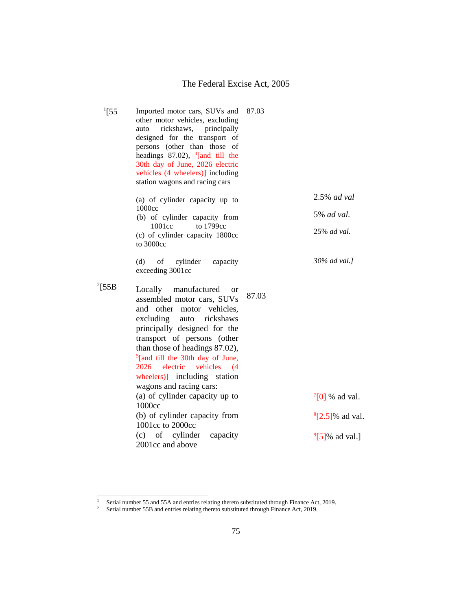| $^{1}[55]$  | Imported motor cars, SUVs and<br>other motor vehicles, excluding<br>rickshaws, principally<br>auto<br>designed for the transport of<br>persons (other than those of<br>headings $87.02$ ), <sup>4</sup> [and till the<br>30th day of June, 2026 electric<br>vehicles (4 wheelers)] including<br>station wagons and racing cars                                            | 87.03 |                       |
|-------------|---------------------------------------------------------------------------------------------------------------------------------------------------------------------------------------------------------------------------------------------------------------------------------------------------------------------------------------------------------------------------|-------|-----------------------|
|             | (a) of cylinder capacity up to<br>1000cc                                                                                                                                                                                                                                                                                                                                  |       | 2.5% ad val           |
|             | (b) of cylinder capacity from<br>to 1799cc<br>1001cc                                                                                                                                                                                                                                                                                                                      |       | 5% ad val.            |
|             | (c) of cylinder capacity 1800cc<br>to 3000cc                                                                                                                                                                                                                                                                                                                              |       | 25% ad val.           |
|             | (d)<br>of<br>cylinder<br>capacity<br>exceeding 3001cc                                                                                                                                                                                                                                                                                                                     |       | 30% ad val.]          |
| $^{2}$ [55B | Locally manufactured<br><sub>or</sub><br>assembled motor cars, SUVs<br>and other motor vehicles,<br>excluding auto<br>rickshaws<br>principally designed for the<br>transport of persons (other<br>than those of headings 87.02),<br>$5$ [and till the 30th day of June,<br>2026<br>electric<br>vehicles<br>(4)<br>wheelers)] including station<br>wagons and racing cars: | 87.03 |                       |
|             | (a) of cylinder capacity up to<br>1000cc                                                                                                                                                                                                                                                                                                                                  |       | $^{7}[0]$ % ad val.   |
|             | (b) of cylinder capacity from<br>1001cc to 2000cc                                                                                                                                                                                                                                                                                                                         |       | $^{8}$ [2.5]% ad val. |
|             | (c) of cylinder<br>capacity<br>2001cc and above                                                                                                                                                                                                                                                                                                                           |       | $^{9}$ [5]% ad val.]  |
|             |                                                                                                                                                                                                                                                                                                                                                                           |       |                       |

j.

<sup>&</sup>lt;sup>1</sup> Serial number 55 and 55A and entries relating thereto substituted through Finance Act, 2019.

<sup>&</sup>lt;sup>2</sup> Serial number 55B and entries relating thereto substituted through Finance Act, 2019.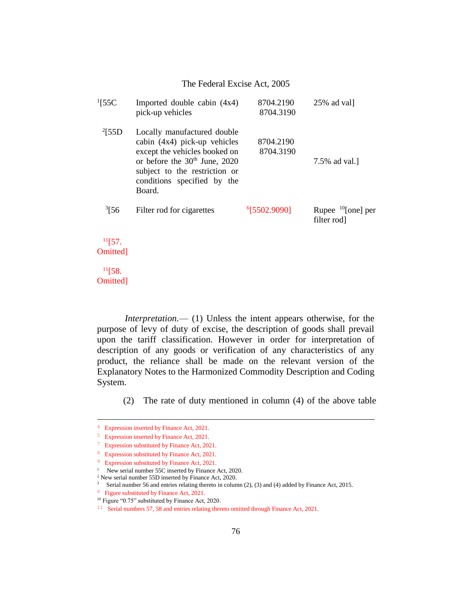| $\frac{1}{55}$ C   | Imported double cabin (4x4)<br>pick-up vehicles                                                                                                                                                                       | 8704.2190<br>8704.3190   | $25\%$ ad val]                        |
|--------------------|-----------------------------------------------------------------------------------------------------------------------------------------------------------------------------------------------------------------------|--------------------------|---------------------------------------|
| $^{2}$ [55D        | Locally manufactured double<br>cabin $(4x4)$ pick-up vehicles<br>except the vehicles booked on<br>or before the 30 <sup>th</sup> June, 2020<br>subject to the restriction or<br>conditions specified by the<br>Board. | 8704.2190<br>8704.3190   | 7.5% ad val.                          |
| $\frac{3}{56}$     | Filter rod for cigarettes                                                                                                                                                                                             | <sup>6</sup> [5502.9090] | Rupee $^{10}$ [one] per<br>filter rod |
| 11[57]<br>Omitted] |                                                                                                                                                                                                                       |                          |                                       |
| $^{11}$ [58.       |                                                                                                                                                                                                                       |                          |                                       |

*Interpretation.*—– (1) Unless the intent appears otherwise, for the purpose of levy of duty of excise, the description of goods shall prevail upon the tariff classification. However in order for interpretation of description of any goods or verification of any characteristics of any product, the reliance shall be made on the relevant version of the Explanatory Notes to the Harmonized Commodity Description and Coding System.

(2) The rate of duty mentioned in column (4) of the above table

Omitted]

J.

<sup>4</sup> Expression inserted by Finance Act, 2021.

<sup>5</sup> Expression inserted by Finance Act, 2021.

<sup>7</sup> Expression substituted by Finance Act, 2021.

<sup>8</sup> Expression substituted by Finance Act, 2021.

<sup>9</sup> Expression substituted by Finance Act, 2021.

<sup>&</sup>lt;sup>1</sup> New serial number 55C inserted by Finance Act, 2020.

<sup>2</sup> New serial number 55D inserted by Finance Act, 2020.

<sup>&</sup>lt;sup>3</sup> Serial number 56 and entries relating thereto in column (2), (3) and (4) added by Finance Act, 2015.

<sup>6</sup> Figure substituted by Finance Act, 2021.

<sup>&</sup>lt;sup>10</sup> Figure "0.75" substituted by Finance Act, 2020.

<sup>&</sup>lt;sup>11</sup> Serial numbers 57, 58 and entries relating thereto omitted through Finance Act, 2021.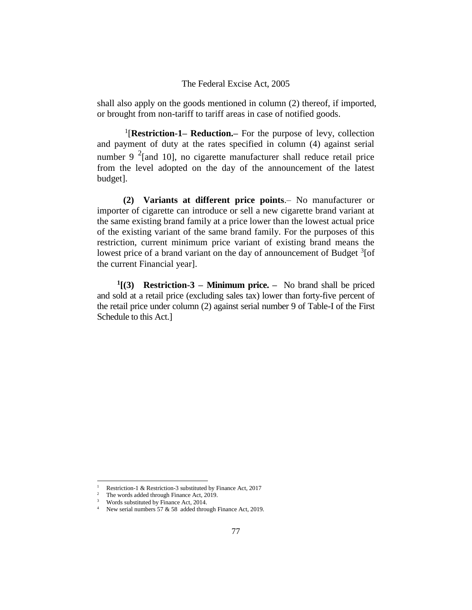shall also apply on the goods mentioned in column (2) thereof, if imported, or brought from non-tariff to tariff areas in case of notified goods.

1 [**Restriction-1– Reduction.–** For the purpose of levy, collection and payment of duty at the rates specified in column (4) against serial number 9  $2$ [and 10], no cigarette manufacturer shall reduce retail price from the level adopted on the day of the announcement of the latest budget].

**(2) Variants at different price points**.– No manufacturer or importer of cigarette can introduce or sell a new cigarette brand variant at the same existing brand family at a price lower than the lowest actual price of the existing variant of the same brand family. For the purposes of this restriction, current minimum price variant of existing brand means the lowest price of a brand variant on the day of announcement of Budget <sup>3</sup>[of the current Financial year].

**1 [(3) Restriction-3 – Minimum price. –** No brand shall be priced and sold at a retail price (excluding sales tax) lower than forty-five percent of the retail price under column (2) against serial number 9 of Table-I of the First Schedule to this Act.]

j.

<sup>1</sup> Restriction-1 & Restriction-3 substituted by Finance Act, 2017

<sup>&</sup>lt;sup>2</sup> The words added through Finance Act, 2019.

<sup>&</sup>lt;sup>3</sup> Words substituted by Finance Act, 2014.

<sup>&</sup>lt;sup>4</sup> New serial numbers 57 & 58 added through Finance Act, 2019.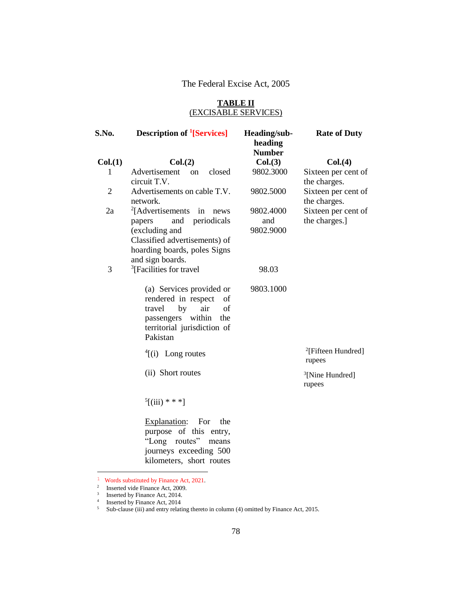#### **TABLE II** (EXCISABLE SERVICES)

| S.No.   | <b>Description of <sup>1</sup>[Services]</b>                                                                                                                                       | Heading/sub-<br>heading<br><b>Number</b> | <b>Rate of Duty</b>                      |
|---------|------------------------------------------------------------------------------------------------------------------------------------------------------------------------------------|------------------------------------------|------------------------------------------|
| Col.(1) | Col.(2)                                                                                                                                                                            | Col.(3)                                  | Col. (4)                                 |
| 1       | Advertisement<br>closed<br><sub>on</sub><br>circuit T.V.                                                                                                                           | 9802.3000                                | Sixteen per cent of<br>the charges.      |
| 2       | Advertisements on cable T.V.<br>network.                                                                                                                                           | 9802.5000                                | Sixteen per cent of<br>the charges.      |
| 2a      | <sup>2</sup> [Advertisements]<br>in<br>news<br>periodicals<br>and<br>papers<br>(excluding and<br>Classified advertisements) of<br>hoarding boards, poles Signs<br>and sign boards. | 9802.4000<br>and<br>9802.9000            | Sixteen per cent of<br>the charges.]     |
| 3       | <sup>3</sup> [Facilities for travel]                                                                                                                                               | 98.03                                    |                                          |
|         | (a) Services provided or<br>rendered in respect<br>of<br>travel<br>by<br>air<br>of<br>within<br>the<br>passengers<br>territorial jurisdiction of<br>Pakistan                       | 9803.1000                                |                                          |
|         | $\frac{4}{i}$ (i) Long routes                                                                                                                                                      |                                          | <sup>2</sup> [Fifteen Hundred]<br>rupees |
|         | (ii) Short routes                                                                                                                                                                  |                                          | <sup>3</sup> [Nine Hundred]<br>rupees    |
|         | $5[(iii)$ * * *]                                                                                                                                                                   |                                          |                                          |
|         | Explanation:<br>For<br>the<br>purpose of this entry,<br>"Long routes"<br>means<br>journeys exceeding 500<br>kilometers, short routes                                               |                                          |                                          |

<sup>1</sup> Words substituted by Finance Act, 2021.

<sup>&</sup>lt;sup>2</sup> Inserted vide Finance Act, 2009.<br><sup>3</sup> Inserted by Finance Act, 2014.

<sup>&</sup>lt;sup>4</sup> Inserted by Finance Act, 2014

 $5$  Sub-clause (iii) and entry relating thereto in column (4) omitted by Finance Act, 2015.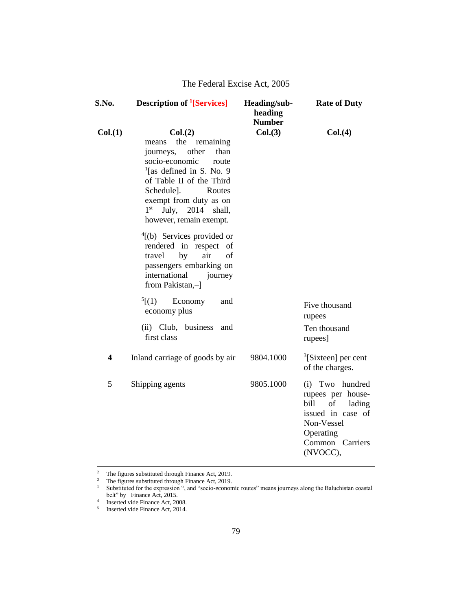| S.No.   | <b>Description of <sup>1</sup>[Services]</b>                                                                                                                                                                                                                                | Heading/sub-<br>heading<br><b>Number</b> | <b>Rate of Duty</b>                                                                                                                         |
|---------|-----------------------------------------------------------------------------------------------------------------------------------------------------------------------------------------------------------------------------------------------------------------------------|------------------------------------------|---------------------------------------------------------------------------------------------------------------------------------------------|
| Col.(1) | Col.(2)<br>means the remaining<br>journeys, other<br>than<br>socio-economic<br>route<br>$\frac{1}{2}$ [as defined in S. No. 9<br>of Table II of the Third<br>Schedule].<br>Routes<br>exempt from duty as on<br>July, 2014 shall,<br>$1^{\rm st}$<br>however, remain exempt. | Col.(3)                                  | Col. (4)                                                                                                                                    |
|         | $\frac{4}{1}$ (b) Services provided or<br>rendered in respect<br>of<br>air<br>travel<br>by<br>of<br>passengers embarking on<br>international<br>journey<br>from Pakistan,-1                                                                                                 |                                          |                                                                                                                                             |
|         | $^{5}$ [(1)<br>Economy<br>and<br>economy plus                                                                                                                                                                                                                               |                                          | Five thousand<br>rupees                                                                                                                     |
|         | (ii) Club, business<br>and<br>first class                                                                                                                                                                                                                                   |                                          | Ten thousand<br>rupees]                                                                                                                     |
| 4       | Inland carriage of goods by air                                                                                                                                                                                                                                             | 9804.1000                                | ${}^{3}$ [Sixteen] per cent<br>of the charges.                                                                                              |
| 5       | Shipping agents                                                                                                                                                                                                                                                             | 9805.1000                                | (i) Two hundred<br>rupees per house-<br>of<br>bill<br>lading<br>issued in case of<br>Non-Vessel<br>Operating<br>Common Carriers<br>(NVOCC), |

 $2^2$  The figures substituted through Finance Act, 2019.

J.

<sup>&</sup>lt;sup>3</sup> The figures substituted through Finance Act, 2019.

<sup>&</sup>lt;sup>1</sup> Substituted for the expression ", and "socio-economic routes" means journeys along the Baluchistan coastal belt" by Finance Act, 2015.<br> $\frac{4}{1}$  Inserted vide Finance Act, 2015.

Inserted vide Finance Act, 2008.

<sup>5</sup> Inserted vide Finance Act, 2014.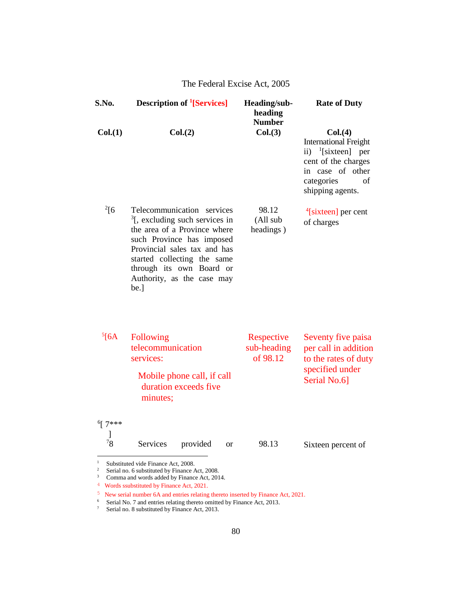| S.No.                   | <b>Description of <sup>1</sup>[Services]</b>                                                                                                                                                                                                                           | Heading/sub-<br>heading<br><b>Number</b> | <b>Rate of Duty</b>                                                                                                                                            |
|-------------------------|------------------------------------------------------------------------------------------------------------------------------------------------------------------------------------------------------------------------------------------------------------------------|------------------------------------------|----------------------------------------------------------------------------------------------------------------------------------------------------------------|
| Col.(1)                 | Col.(2)                                                                                                                                                                                                                                                                | Col.(3)                                  | Col. (4)<br><b>International Freight</b><br>ii) $\frac{1}{2}$ [sixteen] per<br>cent of the charges<br>in case of other<br>categories<br>of<br>shipping agents. |
| $^{2}[6]$               | Telecommunication services<br>$\frac{3}{2}$ , excluding such services in<br>the area of a Province where<br>such Province has imposed<br>Provincial sales tax and has<br>started collecting the same<br>through its own Board or<br>Authority, as the case may<br>be.] | 98.12<br>(All sub<br>headings)           | $\frac{4}{3}$ [sixteen] per cent<br>of charges                                                                                                                 |
| $5$ [6A                 | Following<br>telecommunication<br>services:<br>Mobile phone call, if call<br>duration exceeds five<br>minutes;                                                                                                                                                         | Respective<br>sub-heading<br>of 98.12    | Seventy five paisa<br>per call in addition<br>to the rates of duty<br>specified under<br>Serial No.6]                                                          |
| $6$ [ 7 ***<br>78       | Services<br>provided<br><sub>or</sub>                                                                                                                                                                                                                                  | 98.13                                    | Sixteen percent of                                                                                                                                             |
| $\,1\,$<br>$\,2\,$<br>3 | Substituted vide Finance Act, 2008.<br>Serial no. 6 substituted by Finance Act, 2008.<br>Comma and words added by Finance Act, 2014.                                                                                                                                   |                                          |                                                                                                                                                                |

<sup>&</sup>lt;sup>4</sup> Words ssubstituted by Finance Act, 2021.

<sup>5</sup> New serial number 6A and entries relating thereto inserted by Finance Act, 2021.

<sup>&</sup>lt;sup>6</sup> Serial No. 7 and entries relating thereto omitted by Finance Act, 2013.

<sup>&</sup>lt;sup>7</sup> Serial no. 8 substituted by Finance Act, 2013.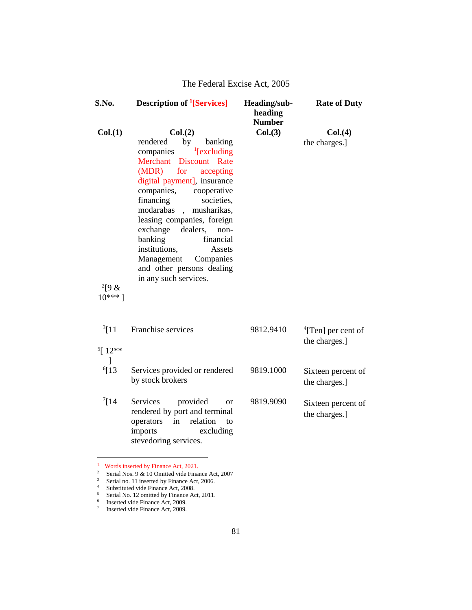| <b>Description of <sup>1</sup>[Services]</b>                                                                                                                                                                                                                                                                                                                                                | Heading/sub-<br>heading<br><b>Number</b> | <b>Rate of Duty</b>                         |
|---------------------------------------------------------------------------------------------------------------------------------------------------------------------------------------------------------------------------------------------------------------------------------------------------------------------------------------------------------------------------------------------|------------------------------------------|---------------------------------------------|
|                                                                                                                                                                                                                                                                                                                                                                                             |                                          | Col. (4)                                    |
| by<br>rendered<br>banking<br>$\frac{1}{2}$ [excluding]<br>companies<br>Merchant Discount Rate<br>(MDR)<br>for<br>accepting<br>digital payment], insurance<br>companies,<br>cooperative<br>financing<br>societies,<br>modarabas<br>, musharikas,<br>leasing companies, foreign<br>exchange<br>dealers,<br>non-<br>banking<br>financial<br>institutions,<br>Assets<br>Management<br>Companies |                                          | the charges.]                               |
| in any such services.                                                                                                                                                                                                                                                                                                                                                                       |                                          |                                             |
| Franchise services                                                                                                                                                                                                                                                                                                                                                                          | 9812.9410                                | $\rm ^4$ [Ten] per cent of<br>the charges.] |
| Services provided or rendered<br>by stock brokers                                                                                                                                                                                                                                                                                                                                           | 9819.1000                                | Sixteen percent of<br>the charges.]         |
| Services<br>provided<br><sub>or</sub><br>rendered by port and terminal<br>operators<br>relation<br>in<br>to<br>excluding<br>imports<br>stevedoring services.                                                                                                                                                                                                                                | 9819.9090                                | Sixteen percent of<br>the charges.]         |
|                                                                                                                                                                                                                                                                                                                                                                                             | Col.(2)<br>and other persons dealing     | Col.(3)                                     |

<sup>1</sup> Words inserted by Finance Act, 2021.

- <sup>2</sup> Serial Nos. 9 & 10 Omitted vide Finance Act, 2007
- <sup>3</sup> Serial no. 11 inserted by Finance Act, 2006.

<sup>&</sup>lt;sup>4</sup> Substituted vide Finance Act, 2008.

<sup>&</sup>lt;sup>5</sup> Serial No. 12 omitted by Finance Act, 2011.

<sup>6</sup> Inserted vide Finance Act, 2009.

<sup>7</sup> Inserted vide Finance Act, 2009.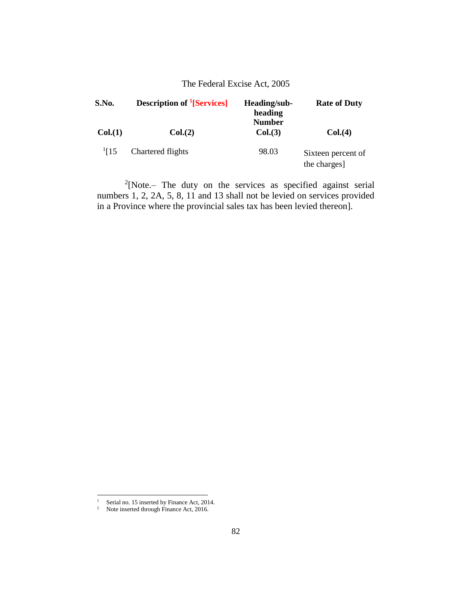| S.No.       | <b>Description of <sup>1</sup>[Services]</b> | Heading/sub-<br>heading<br><b>Number</b> | <b>Rate of Duty</b>                |
|-------------|----------------------------------------------|------------------------------------------|------------------------------------|
| Col.(1)     | Col. (2)                                     | Col.(3)                                  | Col. (4)                           |
| $^{1}$ [15] | Chartered flights                            | 98.03                                    | Sixteen percent of<br>the charges] |

 $2$ [Note.– The duty on the services as specified against serial numbers 1, 2, 2A, 5, 8, 11 and 13 shall not be levied on services provided in a Province where the provincial sales tax has been levied thereon].

j.

<sup>&</sup>lt;sup>1</sup> Serial no. 15 inserted by Finance Act, 2014.

 $2^2$  Note inserted through Finance Act, 2016.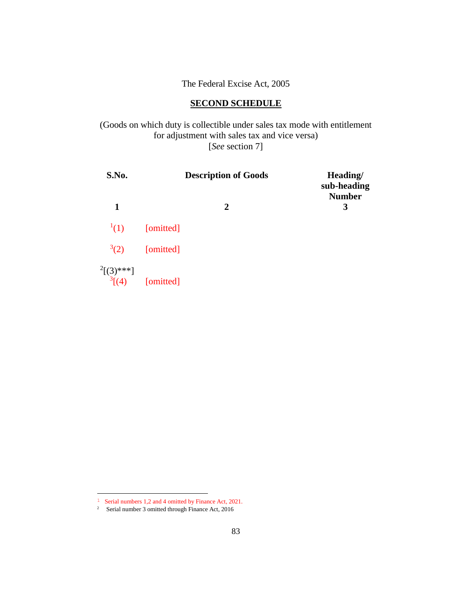# **SECOND SCHEDULE**

(Goods on which duty is collectible under sales tax mode with entitlement for adjustment with sales tax and vice versa) [*See* section 7]

| S.No.          | <b>Description of Goods</b> | Heading/<br>sub-heading<br><b>Number</b> |
|----------------|-----------------------------|------------------------------------------|
| 1              | $\mathbf{2}$                | 3                                        |
| (1)            | [omitted]                   |                                          |
| $^{3}(2)$      | [omitted]                   |                                          |
| $^{2}[(3)***]$ | $\sqrt[3]{(4)}$ [omitted]   |                                          |

<sup>1</sup> Serial numbers 1,2 and 4 omitted by Finance Act, 2021.

<sup>&</sup>lt;sup>2</sup> Serial number 3 omitted through Finance Act, 2016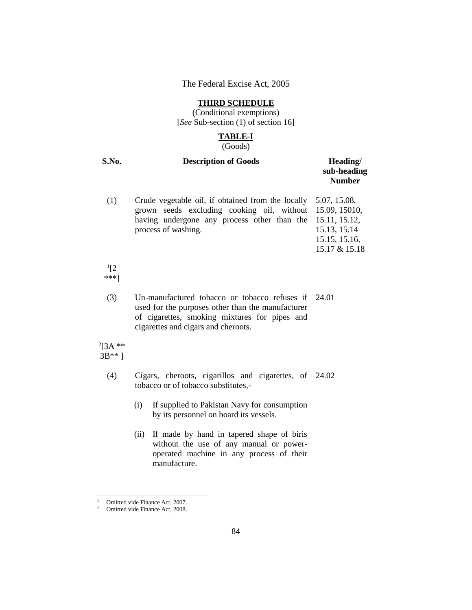#### **THIRD SCHEDULE**

(Conditional exemptions) [*See* Sub-section (1) of section 16]

# **TABLE-I**

(Goods)

| S.No. | <b>Description of Goods</b>                                                                                                                                                                       | Heading/<br>sub-heading<br><b>Number</b>                       |
|-------|---------------------------------------------------------------------------------------------------------------------------------------------------------------------------------------------------|----------------------------------------------------------------|
| (1)   | Crude vegetable oil, if obtained from the locally<br>grown seeds excluding cooking oil, without 15.09, 15010,<br>having undergone any process other than the 15.11, 15.12,<br>process of washing. | 5.07, 15.08,<br>15.13, 15.14<br>15.15, 15.16,<br>15.17 & 15.18 |
|       |                                                                                                                                                                                                   |                                                                |

 $^{1}[2]$ \*\*\*]

> (3) Un-manufactured tobacco or tobacco refuses if 24.01 used for the purposes other than the manufacturer of cigarettes, smoking mixtures for pipes and cigarettes and cigars and cheroots.

 $^{2}[3A***$ 3B\*\* ]

j.

- (4) Cigars, cheroots, cigarillos and cigarettes, of 24.02 tobacco or of tobacco substitutes,-
	- (i) If supplied to Pakistan Navy for consumption by its personnel on board its vessels.
	- (ii) If made by hand in tapered shape of biris without the use of any manual or poweroperated machine in any process of their manufacture.

<sup>&</sup>lt;sup>1</sup> Omitted vide Finance Act, 2007.

<sup>2</sup> Omitted vide Finance Act, 2008.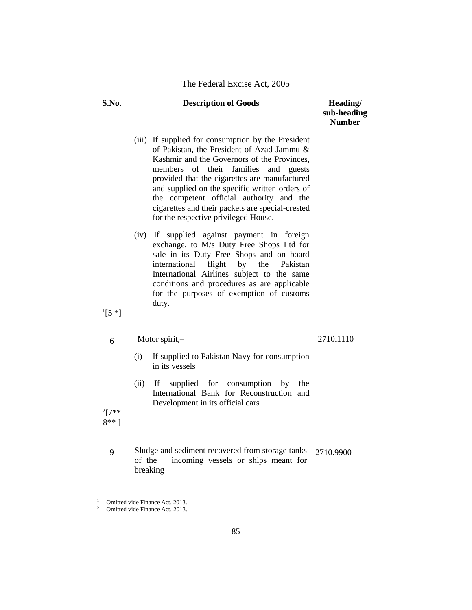# **sub-heading Number**

- (iii) If supplied for consumption by the President of Pakistan, the President of Azad Jammu & Kashmir and the Governors of the Provinces, members of their families and guests provided that the cigarettes are manufactured and supplied on the specific written orders of the competent official authority and the cigarettes and their packets are special-crested for the respective privileged House.
- (iv) If supplied against payment in foreign exchange, to M/s Duty Free Shops Ltd for sale in its Duty Free Shops and on board international flight by the Pakistan International Airlines subject to the same conditions and procedures as are applicable for the purposes of exemption of customs duty.

 $^{1}[5$  \*]

 $6$  Motor spirit,-

2710.1110

- (i) If supplied to Pakistan Navy for consumption in its vessels
- (ii) If supplied for consumption by the International Bank for Reconstruction and Development in its official cars

 $2[7**]$ 8\*\* ]

j.

9 Sludge and sediment recovered from storage tanks<br>of the incoming vessels or ships meant for incoming vessels or ships meant for breaking 2710.9900

Omitted vide Finance Act, 2013.

Omitted vide Finance Act, 2013.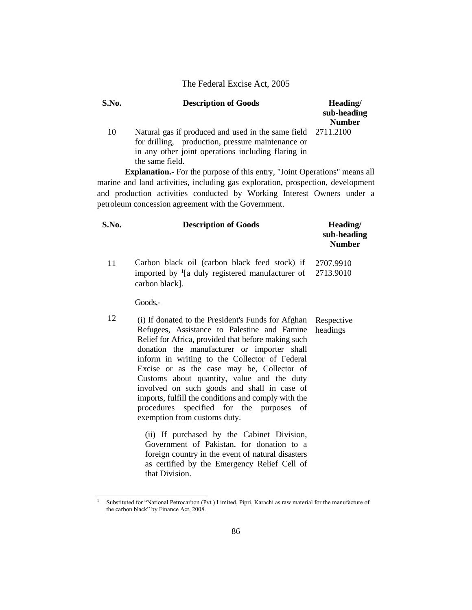| S.No. | <b>Description of Goods</b>                                                                                                                                                                | Heading/<br>sub-heading<br><b>Number</b> |
|-------|--------------------------------------------------------------------------------------------------------------------------------------------------------------------------------------------|------------------------------------------|
| 10    | Natural gas if produced and used in the same field 2711.2100<br>for drilling, production, pressure maintenance or<br>in any other joint operations including flaring in<br>the same field. |                                          |

**Explanation.**- For the purpose of this entry, "Joint Operations" means all marine and land activities, including gas exploration, prospection, development and production activities conducted by Working Interest Owners under a petroleum concession agreement with the Government.

| S.No. | <b>Description of Goods</b>                                                                                                            | Heading/<br>sub-heading<br><b>Number</b> |
|-------|----------------------------------------------------------------------------------------------------------------------------------------|------------------------------------------|
| 11    | Carbon black oil (carbon black feed stock) if<br>imported by $\frac{1}{a}$ duly registered manufacturer of 2713.9010<br>carbon black]. | 2707.9910                                |
|       | Goods.-                                                                                                                                |                                          |
| 12    | (i) If donated to the President's Funds for Afghan                                                                                     | Respective                               |

12 (i) If donated to the President's Funds for Afghan Refugees, Assistance to Palestine and Famine Relief for Africa, provided that before making such donation the manufacturer or importer shall inform in writing to the Collector of Federal Excise or as the case may be, Collector of Customs about quantity, value and the duty involved on such goods and shall in case of imports, fulfill the conditions and comply with the procedures specified for the purposes of exemption from customs duty. headings

> (ii) If purchased by the Cabinet Division, Government of Pakistan, for donation to a foreign country in the event of natural disasters as certified by the Emergency Relief Cell of that Division.

j.

<sup>1</sup> Substituted for "National Petrocarbon (Pvt.) Limited, Pipri, Karachi as raw material for the manufacture of the carbon black" by Finance Act, 2008.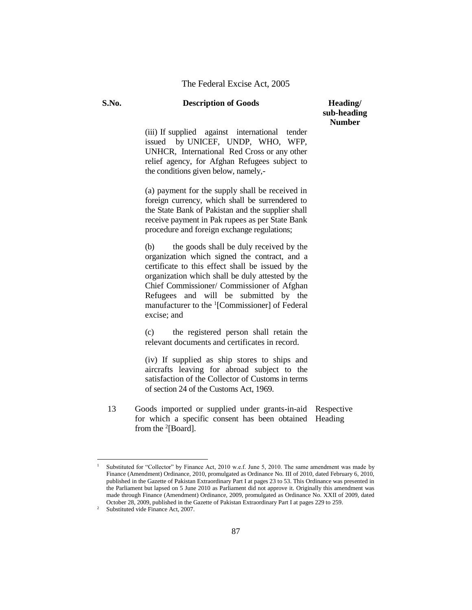# **sub-heading Number**

(iii) If supplied against international tender issued by UNICEF, UNDP, WHO, WFP, UNHCR, International Red Cross or any other relief agency, for Afghan Refugees subject to the conditions given below, namely,-

(a) payment for the supply shall be received in foreign currency, which shall be surrendered to the State Bank of Pakistan and the supplier shall receive payment in Pak rupees as per State Bank procedure and foreign exchange regulations;

(b) the goods shall be duly received by the organization which signed the contract, and a certificate to this effect shall be issued by the organization which shall be duly attested by the Chief Commissioner/ Commissioner of Afghan Refugees and will be submitted by the manufacturer to the <sup>1</sup>[Commissioner] of Federal excise; and

(c) the registered person shall retain the relevant documents and certificates in record.

(iv) If supplied as ship stores to ships and aircrafts leaving for abroad subject to the satisfaction of the Collector of Customs in terms of section 24 of the Customs Act, 1969.

13 Goods imported or supplied under grants-in-aid Respective for which a specific consent has been obtained Heading from the  $^{2}$ [Board].

i.

Substituted for "Collector" by Finance Act, 2010 w.e.f. June 5, 2010. The same amendment was made by Finance (Amendment) Ordinance, 2010, promulgated as Ordinance No. III of 2010, dated February 6, 2010, published in the Gazette of Pakistan Extraordinary Part I at pages 23 to 53. This Ordinance was presented in the Parliament but lapsed on 5 June 2010 as Parliament did not approve it. Originally this amendment was made through Finance (Amendment) Ordinance, 2009, promulgated as Ordinance No. XXII of 2009, dated October 28, 2009, published in the Gazette of Pakistan Extraordinary Part I at pages 229 to 259.

<sup>&</sup>lt;sup>2</sup> Substituted vide Finance Act, 2007.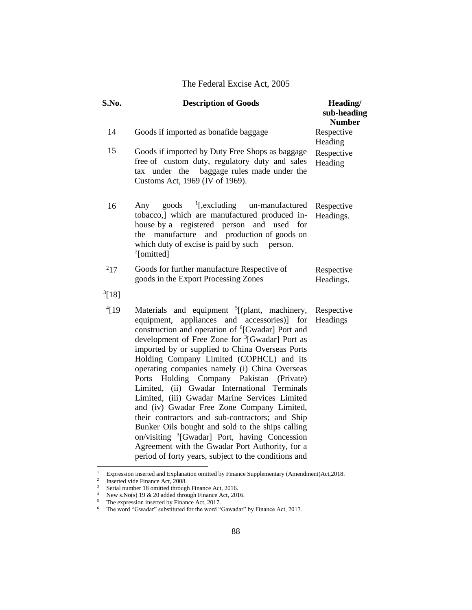| S.No.      | <b>Description of Goods</b>                                                                                                                                                                                                                                                                                                                                                                                                                                                                                                                                                                                                                                                                                                                                                                                                                                           | Heading/<br>sub-heading<br><b>Number</b> |
|------------|-----------------------------------------------------------------------------------------------------------------------------------------------------------------------------------------------------------------------------------------------------------------------------------------------------------------------------------------------------------------------------------------------------------------------------------------------------------------------------------------------------------------------------------------------------------------------------------------------------------------------------------------------------------------------------------------------------------------------------------------------------------------------------------------------------------------------------------------------------------------------|------------------------------------------|
| 14         | Goods if imported as bonafide baggage                                                                                                                                                                                                                                                                                                                                                                                                                                                                                                                                                                                                                                                                                                                                                                                                                                 | Respective<br>Heading                    |
| 15         | Goods if imported by Duty Free Shops as baggage<br>free of custom duty, regulatory duty and sales<br>baggage rules made under the<br>under the<br>tax<br>Customs Act, 1969 (IV of 1969).                                                                                                                                                                                                                                                                                                                                                                                                                                                                                                                                                                                                                                                                              | Respective<br>Heading                    |
| 16         | $\frac{1}{2}$ [,excluding]<br>un-manufactured<br>goods<br>Any<br>tobacco,] which are manufactured produced in-<br>house by a registered person<br>and used for<br>and production of goods on<br>manufacture<br>the<br>which duty of excise is paid by such person.<br><sup>2</sup> [omitted]                                                                                                                                                                                                                                                                                                                                                                                                                                                                                                                                                                          | Respective<br>Headings.                  |
| $^{2}17$   | Goods for further manufacture Respective of<br>goods in the Export Processing Zones                                                                                                                                                                                                                                                                                                                                                                                                                                                                                                                                                                                                                                                                                                                                                                                   | Respective<br>Headings.                  |
| $^{3}[18]$ |                                                                                                                                                                                                                                                                                                                                                                                                                                                                                                                                                                                                                                                                                                                                                                                                                                                                       |                                          |
| $^{4}$ [19 | Materials and equipment <sup>5</sup> [(plant, machinery,<br>appliances and accessories)] for<br>equipment,<br>construction and operation of <sup>6</sup> [Gwadar] Port and<br>development of Free Zone for <sup>3</sup> [Gwadar] Port as<br>imported by or supplied to China Overseas Ports<br>Holding Company Limited (COPHCL) and its<br>operating companies namely (i) China Overseas<br>Holding Company Pakistan (Private)<br>Ports<br>Limited, (ii) Gwadar International Terminals<br>Limited, (iii) Gwadar Marine Services Limited<br>and (iv) Gwadar Free Zone Company Limited,<br>their contractors and sub-contractors; and Ship<br>Bunker Oils bought and sold to the ships calling<br>on/visiting <sup>3</sup> [Gwadar] Port, having Concession<br>Agreement with the Gwadar Port Authority, for a<br>period of forty years, subject to the conditions and | Respective<br>Headings                   |

<sup>&</sup>lt;sup>1</sup> Expression inserted and Explanation omitted by Finance Supplementary (Amendment)Act,2018.<br><sup>2</sup> Inserted vide Finance Act, 2008.

<sup>&</sup>lt;sup>3</sup> Serial number 18 omitted through Finance Act, 2016.

<sup>&</sup>lt;sup>4</sup> New s.No(s) 19 & 20 added through Finance Act, 2016.

 $5$  The expression inserted by Finance Act, 2017.

 $6$  The word "Gwadar" substituted for the word "Gawadar" by Finance Act, 2017.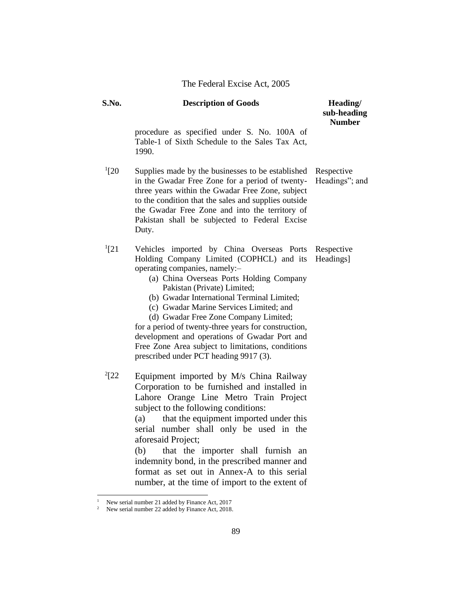| S.No.      | <b>Description of Goods</b>                                                                                                                                                                                                                                                                                                                                                                                                                                                                                                                            | Heading/<br>sub-heading<br><b>Number</b> |
|------------|--------------------------------------------------------------------------------------------------------------------------------------------------------------------------------------------------------------------------------------------------------------------------------------------------------------------------------------------------------------------------------------------------------------------------------------------------------------------------------------------------------------------------------------------------------|------------------------------------------|
|            | procedure as specified under S. No. 100A of<br>Table-1 of Sixth Schedule to the Sales Tax Act,<br>1990.                                                                                                                                                                                                                                                                                                                                                                                                                                                |                                          |
| $^{1}[20]$ | Supplies made by the businesses to be established<br>in the Gwadar Free Zone for a period of twenty-<br>three years within the Gwadar Free Zone, subject<br>to the condition that the sales and supplies outside<br>the Gwadar Free Zone and into the territory of<br>Pakistan shall be subjected to Federal Excise<br>Duty.                                                                                                                                                                                                                           | Respective<br>Headings"; and             |
| $^{1}[21]$ | Vehicles imported by China Overseas Ports Respective<br>Holding Company Limited (COPHCL) and its<br>operating companies, namely:-<br>(a) China Overseas Ports Holding Company<br>Pakistan (Private) Limited;<br>(b) Gwadar International Terminal Limited;<br>(c) Gwadar Marine Services Limited; and<br>(d) Gwadar Free Zone Company Limited;<br>for a period of twenty-three years for construction,<br>development and operations of Gwadar Port and<br>Free Zone Area subject to limitations, conditions<br>prescribed under PCT heading 9917 (3). | Headings]                                |
| $^{2}[22]$ | Equipment imported by M/s China Railway<br>Corporation to be furnished and installed in<br>Lahore Orange Line Metro Train Project<br>subject to the following conditions:<br>that the equipment imported under this<br>(a)<br>serial number shall only be used in the<br>aforesaid Project;<br>that the importer shall furnish an<br>(b)<br>indemnity bond, in the prescribed manner and<br>format as set out in Annex-A to this serial<br>number, at the time of import to the extent of                                                              |                                          |

<sup>&</sup>lt;sup>1</sup> New serial number 21 added by Finance Act, 2017

<sup>&</sup>lt;sup>2</sup> New serial number 22 added by Finance Act, 2018.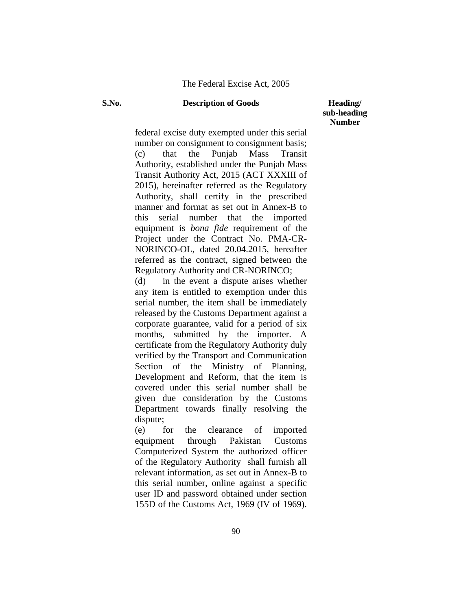# **sub-heading Number**

federal excise duty exempted under this serial number on consignment to consignment basis; (c) that the Punjab Mass Transit Authority, established under the Punjab Mass Transit Authority Act, 2015 (ACT XXXIII of 2015), hereinafter referred as the Regulatory Authority, shall certify in the prescribed manner and format as set out in Annex-B to this serial number that the imported equipment is *bona fide* requirement of the Project under the Contract No. PMA-CR-NORINCO-OL, dated 20.04.2015, hereafter referred as the contract, signed between the Regulatory Authority and CR-NORINCO;

(d) in the event a dispute arises whether any item is entitled to exemption under this serial number, the item shall be immediately released by the Customs Department against a corporate guarantee, valid for a period of six months, submitted by the importer. A certificate from the Regulatory Authority duly verified by the Transport and Communication Section of the Ministry of Planning, Development and Reform, that the item is covered under this serial number shall be given due consideration by the Customs Department towards finally resolving the dispute;

(e) for the clearance of imported equipment through Pakistan Customs Computerized System the authorized officer of the Regulatory Authority shall furnish all relevant information, as set out in Annex-B to this serial number, online against a specific user ID and password obtained under section 155D of the Customs Act, 1969 (IV of 1969).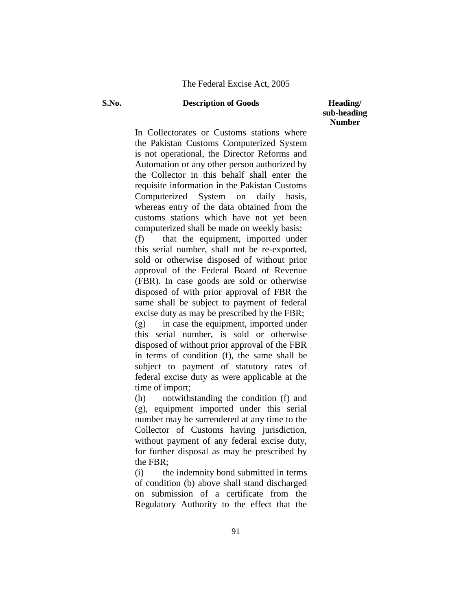**sub-heading Number**

In Collectorates or Customs stations where the Pakistan Customs Computerized System is not operational, the Director Reforms and Automation or any other person authorized by the Collector in this behalf shall enter the requisite information in the Pakistan Customs Computerized System on daily basis, whereas entry of the data obtained from the customs stations which have not yet been computerized shall be made on weekly basis;

(f) that the equipment, imported under this serial number, shall not be re-exported, sold or otherwise disposed of without prior approval of the Federal Board of Revenue (FBR). In case goods are sold or otherwise disposed of with prior approval of FBR the same shall be subject to payment of federal excise duty as may be prescribed by the FBR;

(g) in case the equipment, imported under this serial number, is sold or otherwise disposed of without prior approval of the FBR in terms of condition (f), the same shall be subject to payment of statutory rates of federal excise duty as were applicable at the time of import;

(h) notwithstanding the condition (f) and (g), equipment imported under this serial number may be surrendered at any time to the Collector of Customs having jurisdiction, without payment of any federal excise duty, for further disposal as may be prescribed by the FBR;

(i) the indemnity bond submitted in terms of condition (b) above shall stand discharged on submission of a certificate from the Regulatory Authority to the effect that the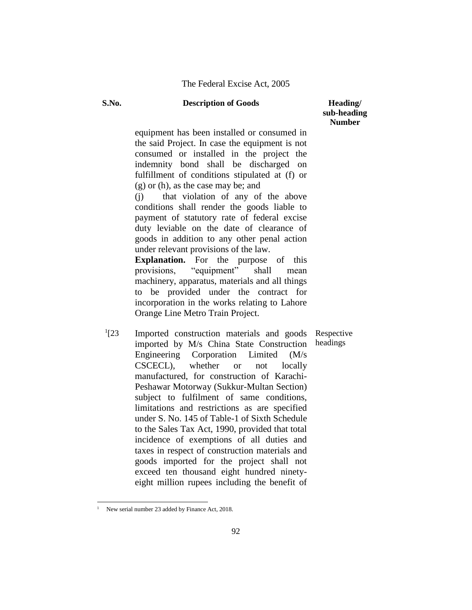**sub-heading Number**

equipment has been installed or consumed in the said Project. In case the equipment is not consumed or installed in the project the indemnity bond shall be discharged on fulfillment of conditions stipulated at (f) or (g) or (h), as the case may be; and

(j) that violation of any of the above conditions shall render the goods liable to payment of statutory rate of federal excise duty leviable on the date of clearance of goods in addition to any other penal action under relevant provisions of the law.

**Explanation.** For the purpose of this provisions, "equipment" shall mean machinery, apparatus, materials and all things to be provided under the contract for incorporation in the works relating to Lahore Orange Line Metro Train Project.

 $^{1}[23]$ Imported construction materials and goods imported by M/s China State Construction Engineering Corporation Limited (M/s CSCECL), whether or not locally manufactured, for construction of Karachi-Peshawar Motorway (Sukkur-Multan Section) subject to fulfilment of same conditions, limitations and restrictions as are specified under S. No. 145 of Table-1 of Sixth Schedule to the Sales Tax Act, 1990, provided that total incidence of exemptions of all duties and taxes in respect of construction materials and goods imported for the project shall not exceed ten thousand eight hundred ninetyeight million rupees including the benefit of Respective headings

New serial number 23 added by Finance Act, 2018.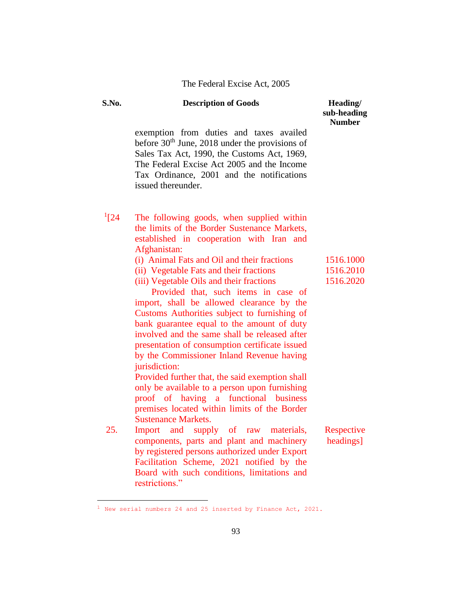| S.No.      | <b>Description of Goods</b>                                                                                                                                                                                                                                                                                                                                                                                                                                                                                                                                                    | Heading/<br>sub-heading<br><b>Number</b> |
|------------|--------------------------------------------------------------------------------------------------------------------------------------------------------------------------------------------------------------------------------------------------------------------------------------------------------------------------------------------------------------------------------------------------------------------------------------------------------------------------------------------------------------------------------------------------------------------------------|------------------------------------------|
|            | exemption from duties and taxes availed<br>before $30th$ June, 2018 under the provisions of<br>Sales Tax Act, 1990, the Customs Act, 1969,<br>The Federal Excise Act 2005 and the Income<br>Tax Ordinance, 2001 and the notifications<br>issued thereunder.                                                                                                                                                                                                                                                                                                                    |                                          |
| $^{1}[24]$ | The following goods, when supplied within<br>the limits of the Border Sustenance Markets,<br>established in cooperation with Iran and<br>Afghanistan:                                                                                                                                                                                                                                                                                                                                                                                                                          |                                          |
|            | (i) Animal Fats and Oil and their fractions                                                                                                                                                                                                                                                                                                                                                                                                                                                                                                                                    | 1516.1000<br>1516.2010                   |
|            | (ii) Vegetable Fats and their fractions<br>(iii) Vegetable Oils and their fractions                                                                                                                                                                                                                                                                                                                                                                                                                                                                                            | 1516.2020                                |
|            | Provided that, such items in case of<br>import, shall be allowed clearance by the<br>Customs Authorities subject to furnishing of<br>bank guarantee equal to the amount of duty<br>involved and the same shall be released after<br>presentation of consumption certificate issued<br>by the Commissioner Inland Revenue having<br>jurisdiction:<br>Provided further that, the said exemption shall<br>only be available to a person upon furnishing<br>proof of having a<br>functional business<br>premises located within limits of the Border<br><b>Sustenance Markets.</b> |                                          |
| 25.        | and<br>supply of raw materials,<br>Import<br>components, parts and plant and machinery<br>by registered persons authorized under Export<br>Facilitation Scheme, 2021 notified by the                                                                                                                                                                                                                                                                                                                                                                                           | Respective<br>headings]                  |
|            | Board with such conditions, limitations and<br>restrictions."                                                                                                                                                                                                                                                                                                                                                                                                                                                                                                                  |                                          |

 $1$  New serial numbers 24 and 25 inserted by Finance Act, 2021.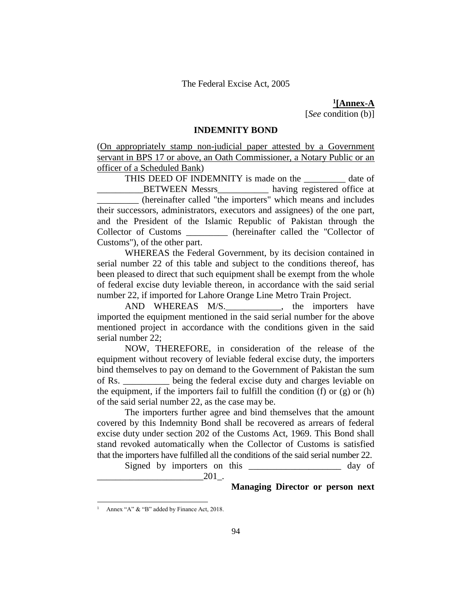**1 [Annex-A** [*See* condition (b)]

#### **INDEMNITY BOND**

(On appropriately stamp non-judicial paper attested by a Government servant in BPS 17 or above, an Oath Commissioner, a Notary Public or an officer of a Scheduled Bank)

THIS DEED OF INDEMNITY is made on the date of \_BETWEEN Messrs\_\_\_\_\_\_\_\_\_\_\_ having registered office at \_\_\_\_\_\_\_\_\_ (hereinafter called "the importers" which means and includes their successors, administrators, executors and assignees) of the one part, and the President of the Islamic Republic of Pakistan through the Collector of Customs \_\_\_\_\_\_\_\_\_ (hereinafter called the "Collector of Customs"), of the other part.

WHEREAS the Federal Government, by its decision contained in serial number 22 of this table and subject to the conditions thereof, has been pleased to direct that such equipment shall be exempt from the whole of federal excise duty leviable thereon, in accordance with the said serial number 22, if imported for Lahore Orange Line Metro Train Project.

AND WHEREAS M/S. , the importers have imported the equipment mentioned in the said serial number for the above mentioned project in accordance with the conditions given in the said serial number 22;

NOW, THEREFORE, in consideration of the release of the equipment without recovery of leviable federal excise duty, the importers bind themselves to pay on demand to the Government of Pakistan the sum of Rs. \_\_\_\_\_\_\_\_\_\_ being the federal excise duty and charges leviable on the equipment, if the importers fail to fulfill the condition  $(f)$  or  $(g)$  or  $(h)$ of the said serial number 22, as the case may be.

The importers further agree and bind themselves that the amount covered by this Indemnity Bond shall be recovered as arrears of federal excise duty under section 202 of the Customs Act, 1969. This Bond shall stand revoked automatically when the Collector of Customs is satisfied that the importers have fulfilled all the conditions of the said serial number 22.

Signed by importers on this \_\_\_\_\_\_\_\_\_\_\_\_\_\_\_\_\_\_\_\_ day of  $_{201}$ .

**Managing Director or person next** 

Annex "A" & "B" added by Finance Act, 2018.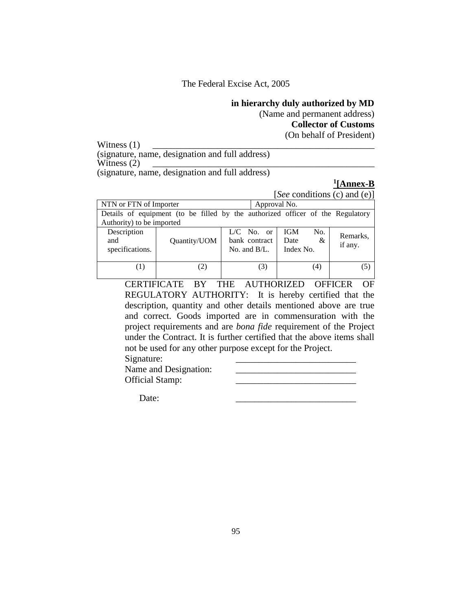### **in hierarchy duly authorized by MD**

(Name and permanent address)

**Collector of Customs**

(On behalf of President)

Witness  $(1)$ (signature, name, designation and full address) Witness  $(2)$ (signature, name, designation and full address)

### **1 [Annex-B**

[*See* conditions (c) and (e)]

| NTN or FTN of Importer                | Approval No.                                                                   |                                                  |                                      |                     |  |
|---------------------------------------|--------------------------------------------------------------------------------|--------------------------------------------------|--------------------------------------|---------------------|--|
|                                       | Details of equipment (to be filled by the authorized officer of the Regulatory |                                                  |                                      |                     |  |
|                                       | Authority) to be imported                                                      |                                                  |                                      |                     |  |
| Description<br>and<br>specifications. | Quantity/UOM                                                                   | $L/C$ No. or<br>bank contract<br>No. and $B/L$ . | No.<br>IGM<br>&<br>Date<br>Index No. | Remarks,<br>if any. |  |
|                                       | (2)                                                                            | (3)                                              | (4)                                  | (5)                 |  |

CERTIFICATE BY THE AUTHORIZED OFFICER OF REGULATORY AUTHORITY: It is hereby certified that the description, quantity and other details mentioned above are true and correct. Goods imported are in commensuration with the project requirements and are *bona fide* requirement of the Project under the Contract. It is further certified that the above items shall not be used for any other purpose except for the Project.

| Signature:             |  |
|------------------------|--|
| Name and Designation:  |  |
| <b>Official Stamp:</b> |  |

Date: \_\_\_\_\_\_\_\_\_\_\_\_\_\_\_\_\_\_\_\_\_\_\_\_\_\_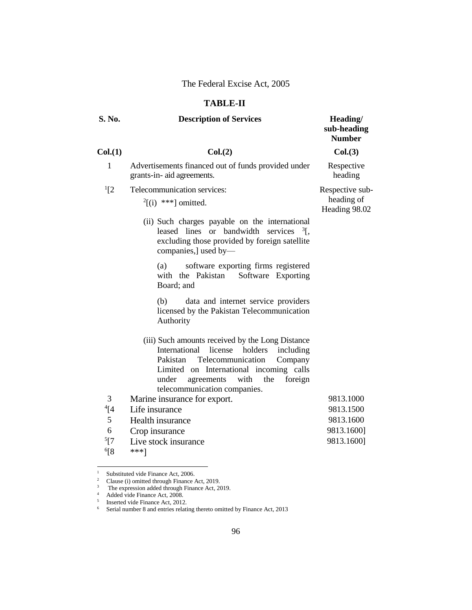### **TABLE-II**

| S. No.    | <b>Description of Services</b>                                                                                                                                                                                                                                            | Heading/<br>sub-heading<br><b>Number</b> |
|-----------|---------------------------------------------------------------------------------------------------------------------------------------------------------------------------------------------------------------------------------------------------------------------------|------------------------------------------|
| Col.(1)   | Col.(2)                                                                                                                                                                                                                                                                   | Col.(3)                                  |
| 1         | Advertisements financed out of funds provided under<br>grants-in- aid agreements.                                                                                                                                                                                         | Respective<br>heading                    |
| $^{1}[2]$ | Telecommunication services:                                                                                                                                                                                                                                               | Respective sub-                          |
|           | $^{2}$ [(i) ***] omitted.                                                                                                                                                                                                                                                 | heading of<br>Heading 98.02              |
|           | (ii) Such charges payable on the international<br>leased lines or bandwidth services $\frac{3}{5}$ ,<br>excluding those provided by foreign satellite<br>companies,] used by-                                                                                             |                                          |
|           | software exporting firms registered<br>(a)<br>with the Pakistan<br>Software Exporting<br>Board; and                                                                                                                                                                       |                                          |
|           | data and internet service providers<br>(b)<br>licensed by the Pakistan Telecommunication<br>Authority                                                                                                                                                                     |                                          |
|           | (iii) Such amounts received by the Long Distance<br>International<br>license<br>holders<br>including<br>Pakistan<br>Telecommunication<br>Company<br>Limited on International incoming calls<br>with the<br>foreign<br>under<br>agreements<br>telecommunication companies. |                                          |
| 3         | Marine insurance for export.                                                                                                                                                                                                                                              | 9813.1000                                |
| $^{4}[4]$ | Life insurance                                                                                                                                                                                                                                                            | 9813.1500                                |
| 5         | Health insurance                                                                                                                                                                                                                                                          | 9813.1600                                |
| 6         | Crop insurance                                                                                                                                                                                                                                                            | 9813.1600]                               |
| 5[7       | Live stock insurance                                                                                                                                                                                                                                                      | 9813.1600]                               |
| $6$ [8    | ***1                                                                                                                                                                                                                                                                      |                                          |

 $1\,$ <sup>1</sup> Substituted vide Finance Act, 2006.

<sup>&</sup>lt;sup>2</sup> Clause (i) omitted through Finance Act, 2019.

 $3$  The expression added through Finance Act, 2019.

<sup>&</sup>lt;sup>4</sup> Added vide Finance Act, 2008. 5

Inserted vide Finance Act, 2012.

<sup>&</sup>lt;sup>6</sup> Serial number 8 and entries relating thereto omitted by Finance Act, 2013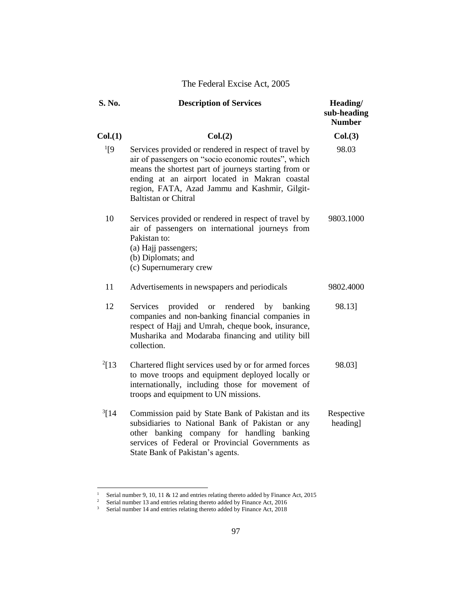| S. No.         | <b>Description of Services</b>                                                                                                                                                                                                                                                                         | Heading/<br>sub-heading<br><b>Number</b> |
|----------------|--------------------------------------------------------------------------------------------------------------------------------------------------------------------------------------------------------------------------------------------------------------------------------------------------------|------------------------------------------|
| Col.(1)        | Col.(2)                                                                                                                                                                                                                                                                                                | Col.(3)                                  |
| $^{1}[9]$      | Services provided or rendered in respect of travel by<br>air of passengers on "socio economic routes", which<br>means the shortest part of journeys starting from or<br>ending at an airport located in Makran coastal<br>region, FATA, Azad Jammu and Kashmir, Gilgit-<br><b>Baltistan or Chitral</b> | 98.03                                    |
| 10             | Services provided or rendered in respect of travel by<br>air of passengers on international journeys from<br>Pakistan to:<br>(a) Hajj passengers;<br>(b) Diplomats; and<br>(c) Supernumerary crew                                                                                                      | 9803.1000                                |
| 11             | Advertisements in newspapers and periodicals                                                                                                                                                                                                                                                           | 9802.4000                                |
| 12             | Services<br>provided<br>rendered by banking<br><b>or</b><br>companies and non-banking financial companies in<br>respect of Hajj and Umrah, cheque book, insurance,<br>Musharika and Modaraba financing and utility bill<br>collection.                                                                 | 98.13]                                   |
| $^{2}$ [13     | Chartered flight services used by or for armed forces<br>to move troops and equipment deployed locally or<br>internationally, including those for movement of<br>troops and equipment to UN missions.                                                                                                  | 98.03]                                   |
| $\frac{3}{14}$ | Commission paid by State Bank of Pakistan and its<br>subsidiaries to National Bank of Pakistan or any<br>other banking company for handling banking<br>services of Federal or Provincial Governments as<br>State Bank of Pakistan's agents.                                                            | Respective<br>heading]                   |

<sup>&</sup>lt;sup>1</sup> Serial number 9, 10, 11 & 12 and entries relating thereto added by Finance Act, 2015

<sup>&</sup>lt;sup>2</sup> Serial number 13 and entries relating thereto added by Finance Act, 2016

 $3$  Serial number 14 and entries relating thereto added by Finance Act, 2018